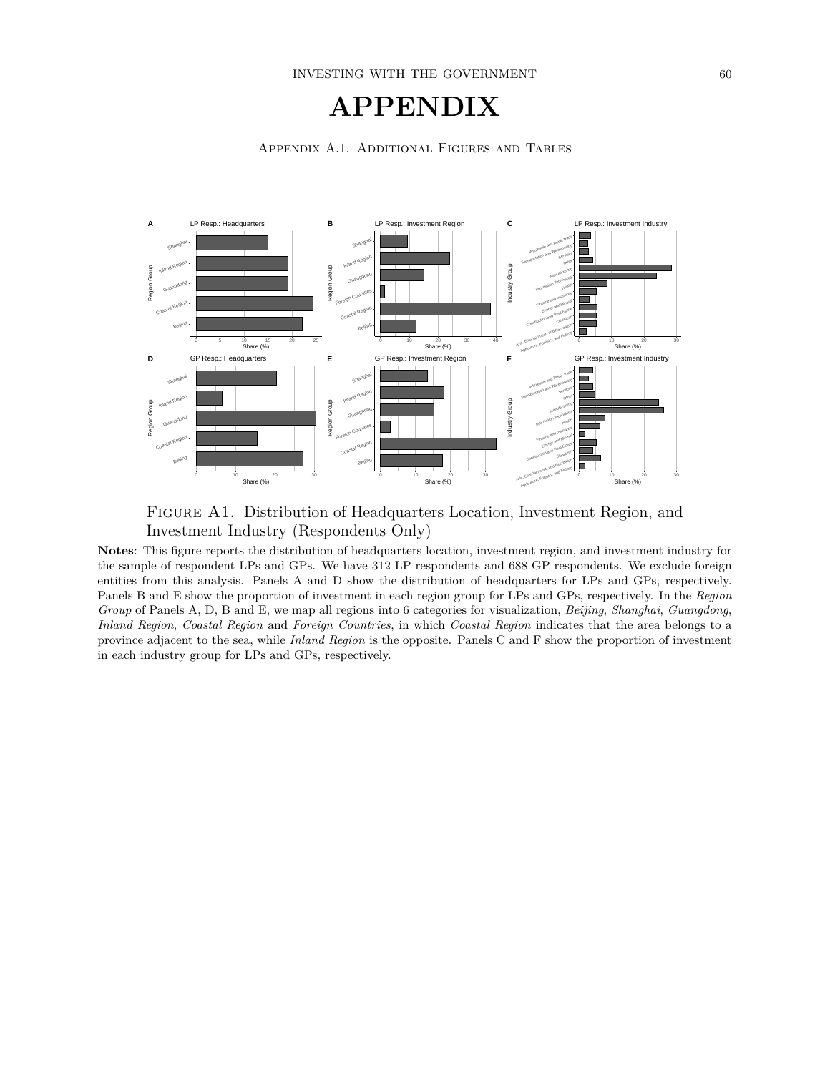## **APPENDIX**







**Notes**: This figure reports the distribution of headquarters location, investment region, and investment industry for the sample of respondent LPs and GPs. We have 312 LP respondents and 688 GP respondents. We exclude foreign entities from this analysis. Panels A and D show the distribution of headquarters for LPs and GPs, respectively. Panels B and E show the proportion of investment in each region group for LPs and GPs, respectively. In the *Region Group* of Panels A, D, B and E, we map all regions into 6 categories for visualization, *Beijing*, *Shanghai*, *Guangdong*, *Inland Region*, *Coastal Region* and *Foreign Countries*, in which *Coastal Region* indicates that the area belongs to a province adjacent to the sea, while *Inland Region* is the opposite. Panels C and F show the proportion of investment in each industry group for LPs and GPs, respectively.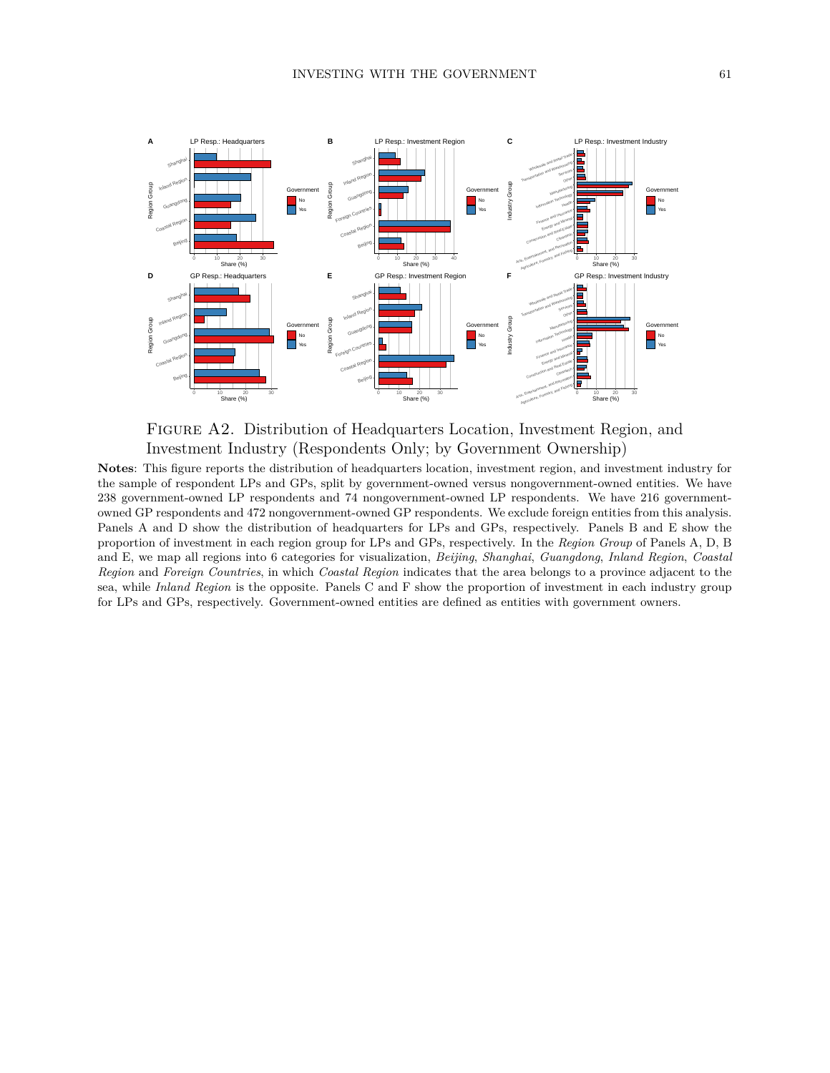

Figure A2. Distribution of Headquarters Location, Investment Region, and Investment Industry (Respondents Only; by Government Ownership)

**Notes**: This figure reports the distribution of headquarters location, investment region, and investment industry for the sample of respondent LPs and GPs, split by government-owned versus nongovernment-owned entities. We have 238 government-owned LP respondents and 74 nongovernment-owned LP respondents. We have 216 governmentowned GP respondents and 472 nongovernment-owned GP respondents. We exclude foreign entities from this analysis. Panels A and D show the distribution of headquarters for LPs and GPs, respectively. Panels B and E show the proportion of investment in each region group for LPs and GPs, respectively. In the *Region Group* of Panels A, D, B and E, we map all regions into 6 categories for visualization, *Beijing*, *Shanghai*, *Guangdong*, *Inland Region*, *Coastal Region* and *Foreign Countries*, in which *Coastal Region* indicates that the area belongs to a province adjacent to the sea, while *Inland Region* is the opposite. Panels C and F show the proportion of investment in each industry group for LPs and GPs, respectively. Government-owned entities are defined as entities with government owners.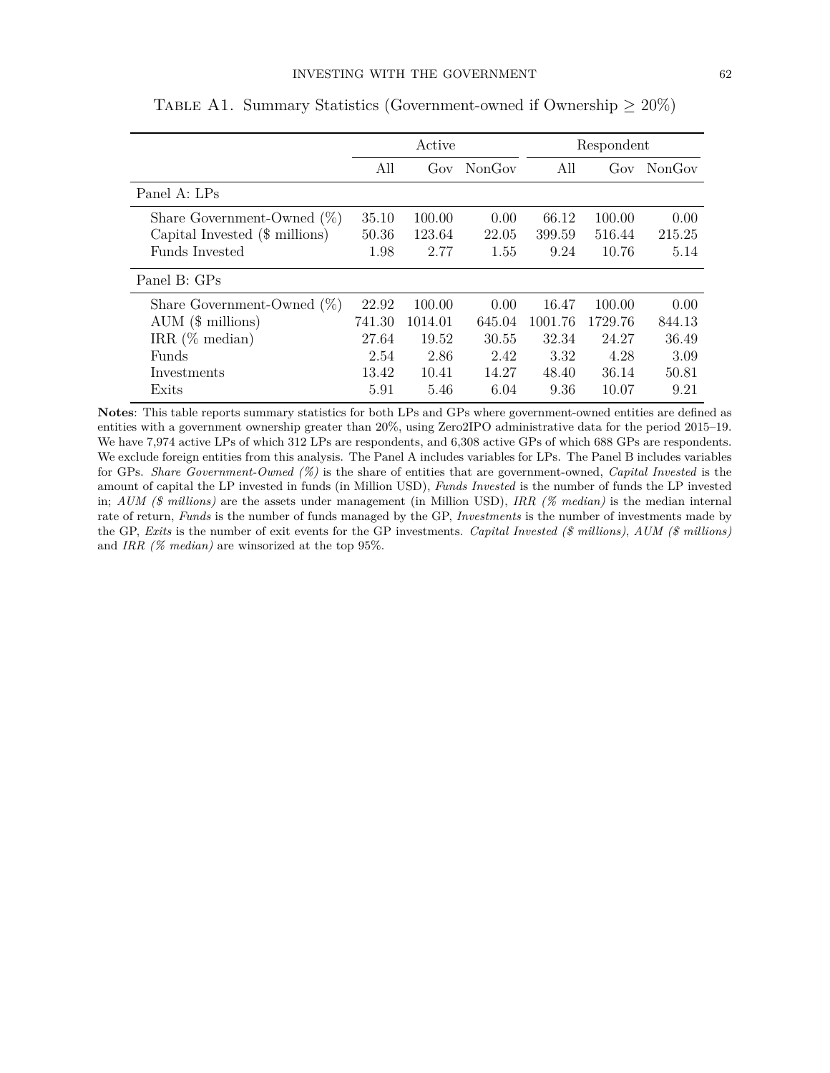|                                |        | Active  |        |         | Respondent |        |  |
|--------------------------------|--------|---------|--------|---------|------------|--------|--|
|                                | All    | Gov     | NonGov | All     | Gov        | NonGov |  |
| Panel A: LPs                   |        |         |        |         |            |        |  |
| Share Government-Owned $(\%)$  | 35.10  | 100.00  | 0.00   | 66.12   | 100.00     | 0.00   |  |
| Capital Invested (\$ millions) | 50.36  | 123.64  | 22.05  | 399.59  | 516.44     | 215.25 |  |
| <b>Funds</b> Invested          | 1.98   | 2.77    | 1.55   | 9.24    | 10.76      | 5.14   |  |
| Panel B: GPs                   |        |         |        |         |            |        |  |
| Share Government-Owned $(\%)$  | 22.92  | 100.00  | 0.00   | 16.47   | 100.00     | 0.00   |  |
| $AUM$ ( $\$$ millions)         | 741.30 | 1014.01 | 645.04 | 1001.76 | 1729.76    | 844.13 |  |
| IRR $(\%$ median)              | 27.64  | 19.52   | 30.55  | 32.34   | 24.27      | 36.49  |  |
| Funds                          | 2.54   | 2.86    | 2.42   | 3.32    | 4.28       | 3.09   |  |
| Investments                    | 13.42  | 10.41   | 14.27  | 48.40   | 36.14      | 50.81  |  |
| Exits                          | 5.91   | 5.46    | 6.04   | 9.36    | 10.07      | 9.21   |  |

TABLE A1. Summary Statistics (Government-owned if Ownership  $\geq 20\%$ )

**Notes**: This table reports summary statistics for both LPs and GPs where government-owned entities are defined as entities with a government ownership greater than 20%, using Zero2IPO administrative data for the period 2015–19. We have 7,974 active LPs of which 312 LPs are respondents, and 6,308 active GPs of which 688 GPs are respondents. We exclude foreign entities from this analysis. The Panel A includes variables for LPs. The Panel B includes variables for GPs. *Share Government-Owned (%)* is the share of entities that are government-owned, *Capital Invested* is the amount of capital the LP invested in funds (in Million USD), *Funds Invested* is the number of funds the LP invested in; *AUM (\$ millions)* are the assets under management (in Million USD), *IRR (% median)* is the median internal rate of return, *Funds* is the number of funds managed by the GP, *Investments* is the number of investments made by the GP, *Exits* is the number of exit events for the GP investments. *Capital Invested (\$ millions)*, *AUM (\$ millions)* and *IRR (% median)* are winsorized at the top 95%.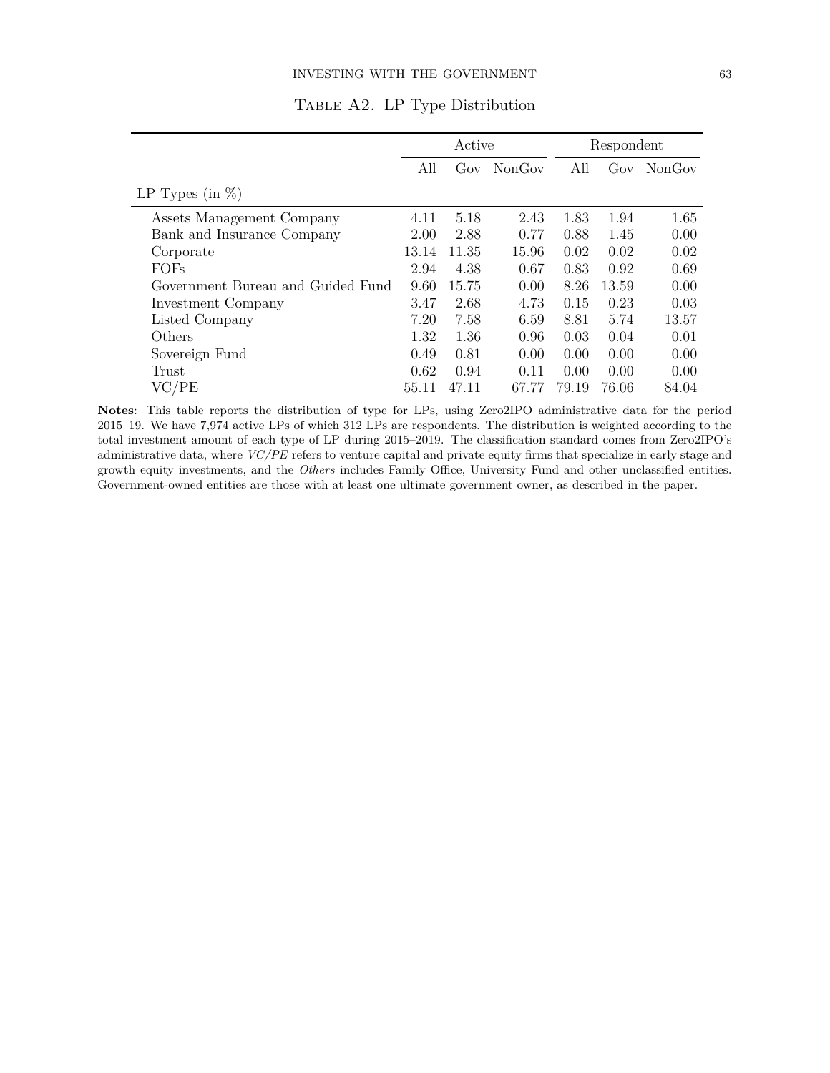|                                   |       | Active |        |       | Respondent |        |
|-----------------------------------|-------|--------|--------|-------|------------|--------|
|                                   | All   | Gov    | NonGov | All   | Gov        | NonGov |
| LP Types (in $\%$ )               |       |        |        |       |            |        |
| Assets Management Company         | 4.11  | 5.18   | 2.43   | 1.83  | 1.94       | 1.65   |
| Bank and Insurance Company        | 2.00  | 2.88   | 0.77   | 0.88  | 1.45       | 0.00   |
| Corporate                         | 13.14 | 11.35  | 15.96  | 0.02  | 0.02       | 0.02   |
| <b>FOFs</b>                       | 2.94  | 4.38   | 0.67   | 0.83  | 0.92       | 0.69   |
| Government Bureau and Guided Fund | 9.60  | 15.75  | 0.00   | 8.26  | 13.59      | 0.00   |
| Investment Company                | 3.47  | 2.68   | 4.73   | 0.15  | 0.23       | 0.03   |
| Listed Company                    | 7.20  | 7.58   | 6.59   | 8.81  | 5.74       | 13.57  |
| Others                            | 1.32  | 1.36   | 0.96   | 0.03  | 0.04       | 0.01   |
| Sovereign Fund                    | 0.49  | 0.81   | 0.00   | 0.00  | 0.00       | 0.00   |
| Trust                             | 0.62  | 0.94   | 0.11   | 0.00  | 0.00       | 0.00   |
| VC/PE                             | 55.11 | 47.11  | 67.77  | 79.19 | 76.06      | 84.04  |

Table A2. LP Type Distribution

**Notes**: This table reports the distribution of type for LPs, using Zero2IPO administrative data for the period 2015–19. We have 7,974 active LPs of which 312 LPs are respondents. The distribution is weighted according to the total investment amount of each type of LP during 2015–2019. The classification standard comes from Zero2IPO's administrative data, where *VC/PE* refers to venture capital and private equity firms that specialize in early stage and growth equity investments, and the *Others* includes Family Office, University Fund and other unclassified entities. Government-owned entities are those with at least one ultimate government owner, as described in the paper.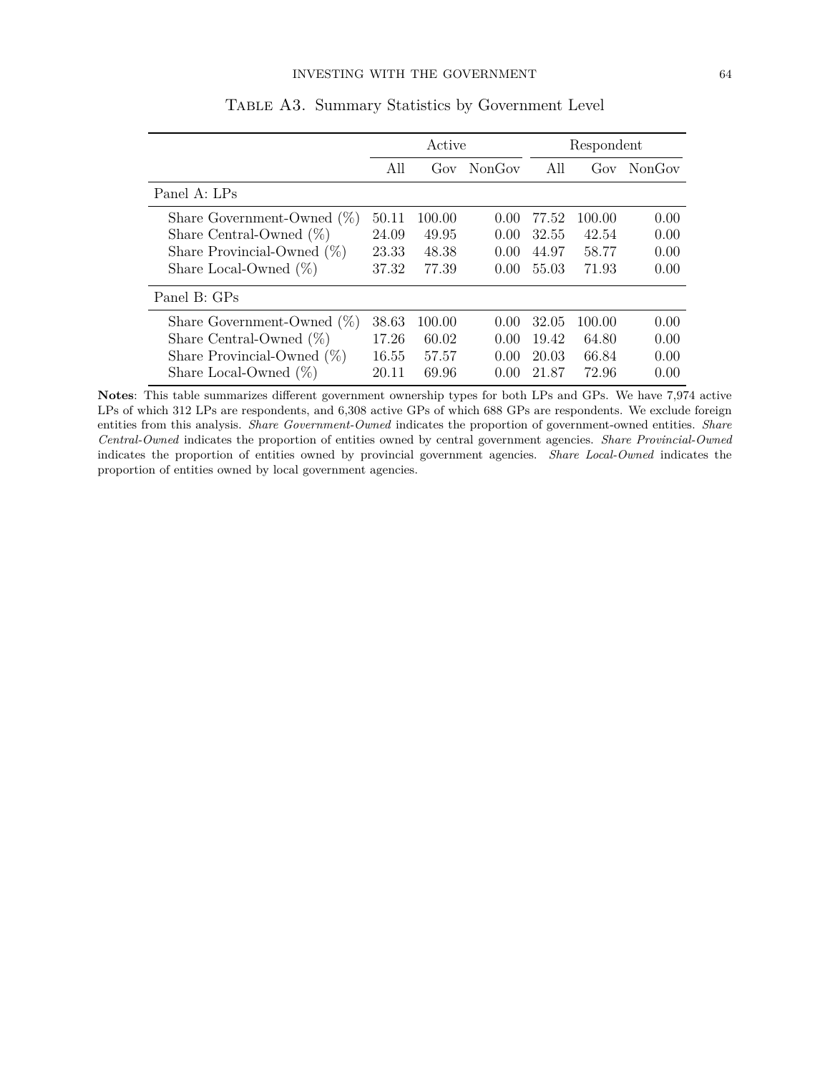|                               | Active |              |        | Respondent |        |        |
|-------------------------------|--------|--------------|--------|------------|--------|--------|
|                               | All    | $_{\rm cov}$ | NonGov | All        | Gov    | NonGov |
| Panel A: LPs                  |        |              |        |            |        |        |
| Share Government-Owned $(\%)$ | 50.11  | 100.00       | 0.00   | 77.52      | 100.00 | 0.00   |
| Share Central-Owned $(\%)$    | 24.09  | 49.95        | 0.00   | 32.55      | 42.54  | 0.00   |
| Share Provincial-Owned $(\%)$ | 23.33  | 48.38        | 0.00   | 44.97      | 58.77  | 0.00   |
| Share Local-Owned $(\%)$      | 37.32  | 77.39        | 0.00   | 55.03      | 71.93  | 0.00   |
| Panel B: GPs                  |        |              |        |            |        |        |
| Share Government-Owned $(\%)$ | 38.63  | 100.00       | 0.00   | 32.05      | 100.00 | 0.00   |
| Share Central-Owned $(\%)$    | 17.26  | 60.02        | 0.00   | 19.42      | 64.80  | 0.00   |
| Share Provincial-Owned $(\%)$ | 16.55  | 57.57        | 0.00   | 20.03      | 66.84  | 0.00   |
| Share Local-Owned $(\%)$      | 20.11  | 69.96        | 0.00   | 21.87      | 72.96  | 0.00   |

Table A3. Summary Statistics by Government Level

**Notes**: This table summarizes different government ownership types for both LPs and GPs. We have 7,974 active LPs of which 312 LPs are respondents, and 6,308 active GPs of which 688 GPs are respondents. We exclude foreign entities from this analysis. *Share Government-Owned* indicates the proportion of government-owned entities. *Share Central-Owned* indicates the proportion of entities owned by central government agencies. *Share Provincial-Owned* indicates the proportion of entities owned by provincial government agencies. *Share Local-Owned* indicates the proportion of entities owned by local government agencies.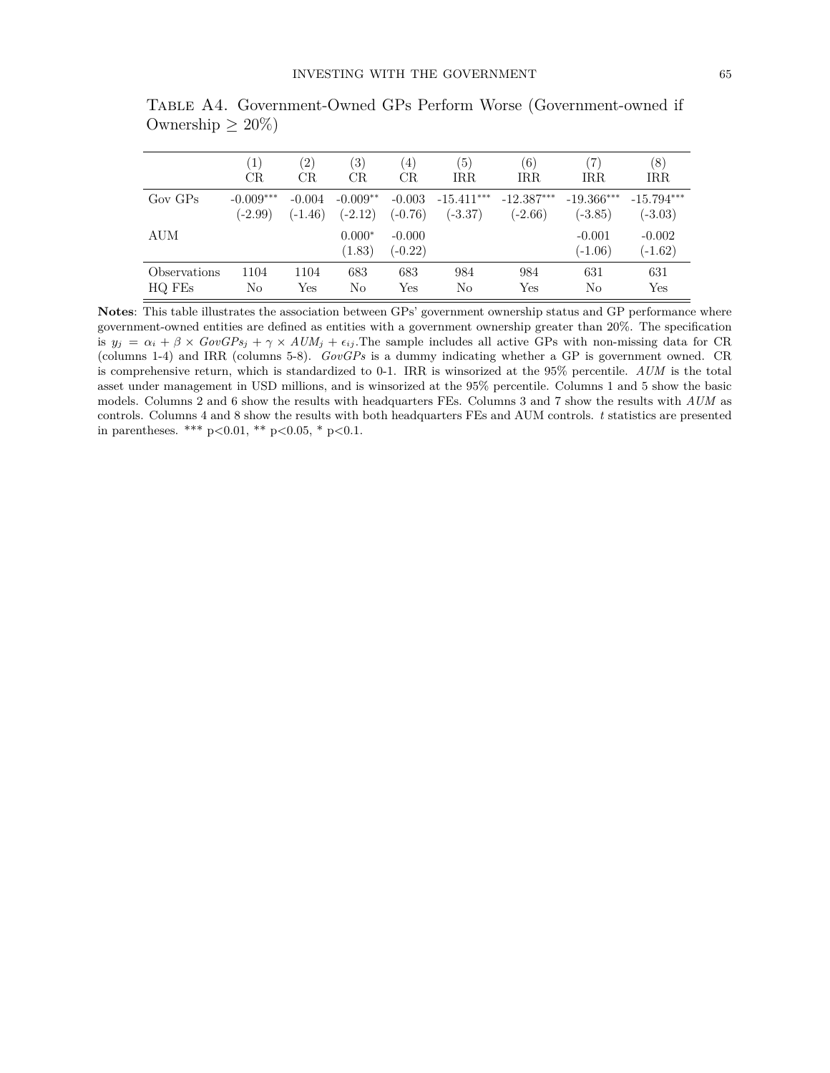|              | $\left(1\right)$ | $\left( 2\right)$ | $\left( 3\right)$  | $\left(4\right)$      | (5)          | (6)          | (7)                   | (8)                   |
|--------------|------------------|-------------------|--------------------|-----------------------|--------------|--------------|-----------------------|-----------------------|
|              | CR               | CR                | CR.                | CR.                   | IRR.         | IRR.         | IRR                   | IRR                   |
| $Gov$ $GPs$  | $-0.009***$      | $-0.004$          | $-0.009**$         | $-0.003$              | $-15.411***$ | $-12.387***$ | $-19.366***$          | $-15.794***$          |
|              | $(-2.99)$        | $(-1.46)$         | $(-2.12)$          | $(-0.76)$             | $(-3.37)$    | $(-2.66)$    | $(-3.85)$             | $(-3.03)$             |
| <b>AUM</b>   |                  |                   | $0.000*$<br>(1.83) | $-0.000$<br>$(-0.22)$ |              |              | $-0.001$<br>$(-1.06)$ | $-0.002$<br>$(-1.62)$ |
| Observations | 1104             | 1104              | 683                | 683                   | 984          | 984          | 631                   | 631                   |
| HQ FEs       | No               | Yes               | No                 | Yes                   | No           | Yes          | No                    | Yes                   |

Table A4. Government-Owned GPs Perform Worse (Government-owned if Ownership  $\geq 20\%$ )

**Notes**: This table illustrates the association between GPs' government ownership status and GP performance where government-owned entities are defined as entities with a government ownership greater than 20%. The specification is  $y_j = \alpha_i + \beta \times GovGPs_j + \gamma \times AUM_j + \epsilon_{ij}$ . The sample includes all active GPs with non-missing data for CR (columns 1-4) and IRR (columns 5-8). *GovGPs* is a dummy indicating whether a GP is government owned. CR is comprehensive return, which is standardized to 0-1. IRR is winsorized at the 95% percentile. *AUM* is the total asset under management in USD millions, and is winsorized at the 95% percentile. Columns 1 and 5 show the basic models. Columns 2 and 6 show the results with headquarters FEs. Columns 3 and 7 show the results with *AUM* as controls. Columns 4 and 8 show the results with both headquarters FEs and AUM controls. *t* statistics are presented in parentheses. \*\*\* p*<*0.01, \*\* p*<*0.05, \* p*<*0.1.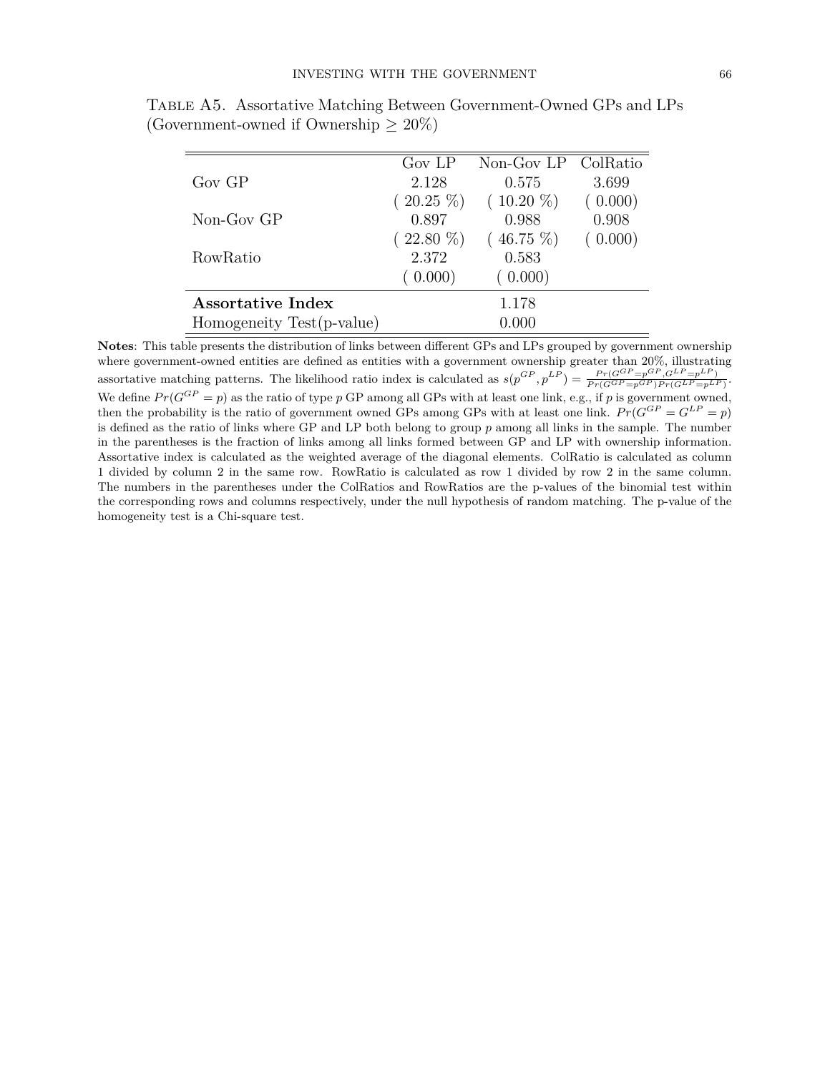|                           | Gov LP      | Non-Gov LP ColRatio |         |
|---------------------------|-------------|---------------------|---------|
| $Gov$ $GP$                | 2.128       | 0.575               | 3.699   |
|                           | $(20.25\%)$ | $(10.20\%)$         | (0.000) |
| $Non-GovGP$               | 0.897       | 0.988               | 0.908   |
|                           | $(22.80\%)$ | $(46.75\%)$         | (0.000) |
| RowRatio                  | 2.372       | 0.583               |         |
|                           | (0.000)     | (0.000)             |         |
| Assortative Index         |             | 1.178               |         |
| Homogeneity Test(p-value) |             | 0.000               |         |

Table A5. Assortative Matching Between Government-Owned GPs and LPs (Government-owned if Ownership  $\geq 20\%$ )

**Notes**: This table presents the distribution of links between different GPs and LPs grouped by government ownership where government-owned entities are defined as entities with a government ownership greater than 20%, illustrating assortative matching patterns. The likelihood ratio index is calculated as  $s(p^{GP}, p^{LP}) = \frac{Pr(G^{GP} = p^{GP}, G^{LP} = p^{LP})}{Pr(G^{GP} = p^{GP})Pr(G^{LP} = p^{LP})}$ . We define  $Pr(G^{GP} = p)$  as the ratio of type p GP among all GPs with at least one link, e.g., if p is government owned, then the probability is the ratio of government owned GPs among GPs with at least one link.  $Pr(G^{GP} = G^{LP} = p)$ is defined as the ratio of links where GP and LP both belong to group *p* among all links in the sample. The number in the parentheses is the fraction of links among all links formed between GP and LP with ownership information. Assortative index is calculated as the weighted average of the diagonal elements. ColRatio is calculated as column 1 divided by column 2 in the same row. RowRatio is calculated as row 1 divided by row 2 in the same column. The numbers in the parentheses under the ColRatios and RowRatios are the p-values of the binomial test within the corresponding rows and columns respectively, under the null hypothesis of random matching. The p-value of the homogeneity test is a Chi-square test.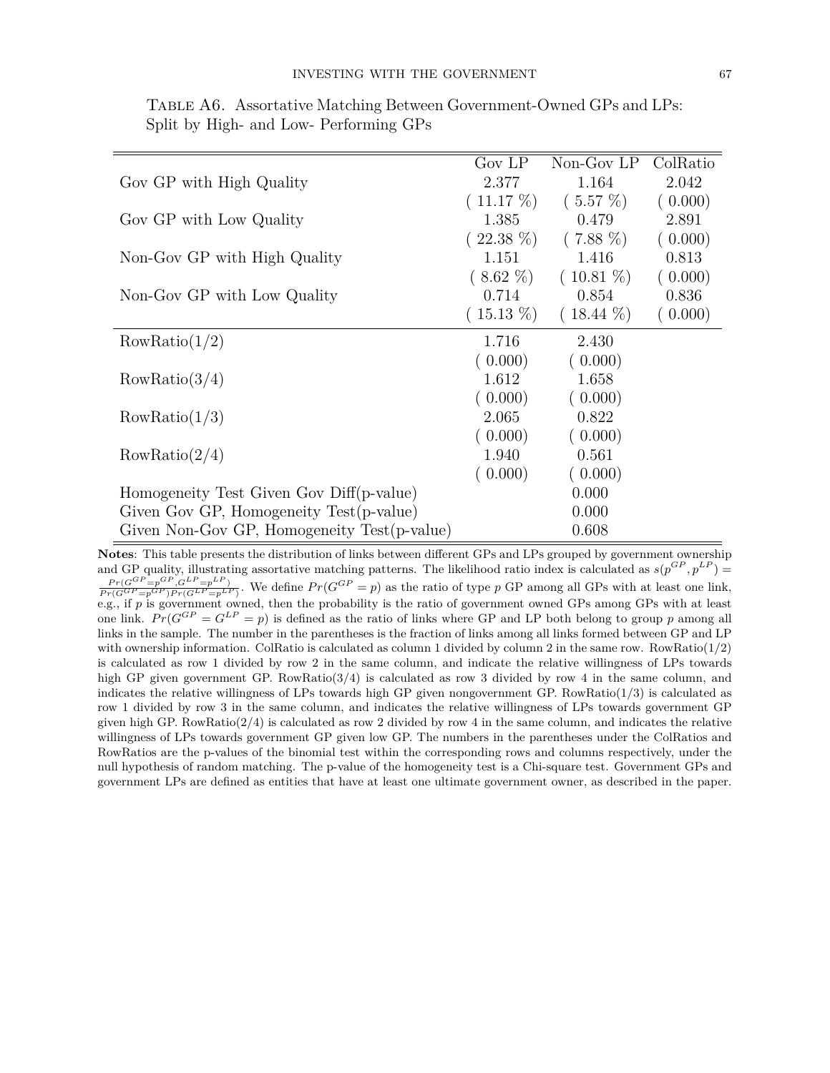|                                             | Gov LP      | Non-Gov LP  | ColRatio |
|---------------------------------------------|-------------|-------------|----------|
| Gov GP with High Quality                    | 2.377       | 1.164       | 2.042    |
|                                             | $(11.17\%)$ | $(5.57\%)$  | (0.000)  |
| Gov GP with Low Quality                     | 1.385       | 0.479       | 2.891    |
|                                             | $(22.38\%)$ | $(7.88\%)$  | (0.000)  |
| Non-Gov GP with High Quality                | 1.151       | 1.416       | 0.813    |
|                                             | $(8.62\%)$  | $(10.81\%)$ | (0.000)  |
| Non-Gov GP with Low Quality                 | 0.714       | 0.854       | 0.836    |
|                                             | $(15.13\%)$ | $(18.44\%)$ | (0.000)  |
| RowRatio(1/2)                               | 1.716       | 2.430       |          |
|                                             | (0.000)     | (0.000)     |          |
| RowRatio(3/4)                               | 1.612       | 1.658       |          |
|                                             | (0.000)     | (0.000)     |          |
| RowRatio(1/3)                               | 2.065       | 0.822       |          |
|                                             | (0.000)     | (0.000)     |          |
| RowRatio(2/4)                               | 1.940       | 0.561       |          |
|                                             | (0.000)     | (0.000)     |          |
| Homogeneity Test Given Gov Diff(p-value)    |             | 0.000       |          |
| Given Gov GP, Homogeneity Test(p-value)     |             | 0.000       |          |
| Given Non-Gov GP, Homogeneity Test(p-value) |             | 0.608       |          |

Table A6. Assortative Matching Between Government-Owned GPs and LPs: Split by High- and Low- Performing GPs

**Notes**: This table presents the distribution of links between different GPs and LPs grouped by government ownership and GP quality, illustrating assortative matching patterns. The likelihood ratio index is calculated as  $s(p^{GP}, p^{LP})$  $\frac{Pr(G^{GP} = p^{GP}, G^{LP} = p^{LP})}{Pr(G^{GP} = p^{GP})Pr(G^{LP} = p^{LP})}$ . We define  $Pr(G^{GP} = p)$  as the ratio of type p GP among all GPs with at least one link, e.g., if p is government owned, then the probability is the ratio of government owned GPs among GPs with at least one link.  $Pr(G^{GP} = G^{LP} = p)$  is defined as the ratio of links where GP and LP both belong to group *p* among all links in the sample. The number in the parentheses is the fraction of links among all links formed between GP and LP with ownership information. ColRatio is calculated as column 1 divided by column 2 in the same row. RowRatio $(1/2)$ is calculated as row 1 divided by row 2 in the same column, and indicate the relative willingness of LPs towards high GP given government GP. RowRatio( $3/4$ ) is calculated as row 3 divided by row 4 in the same column, and indicates the relative willingness of LPs towards high GP given nongovernment GP.  $RowRatio(1/3)$  is calculated as row 1 divided by row 3 in the same column, and indicates the relative willingness of LPs towards government GP given high GP. RowRatio $(2/4)$  is calculated as row 2 divided by row 4 in the same column, and indicates the relative willingness of LPs towards government GP given low GP. The numbers in the parentheses under the ColRatios and RowRatios are the p-values of the binomial test within the corresponding rows and columns respectively, under the null hypothesis of random matching. The p-value of the homogeneity test is a Chi-square test. Government GPs and government LPs are defined as entities that have at least one ultimate government owner, as described in the paper.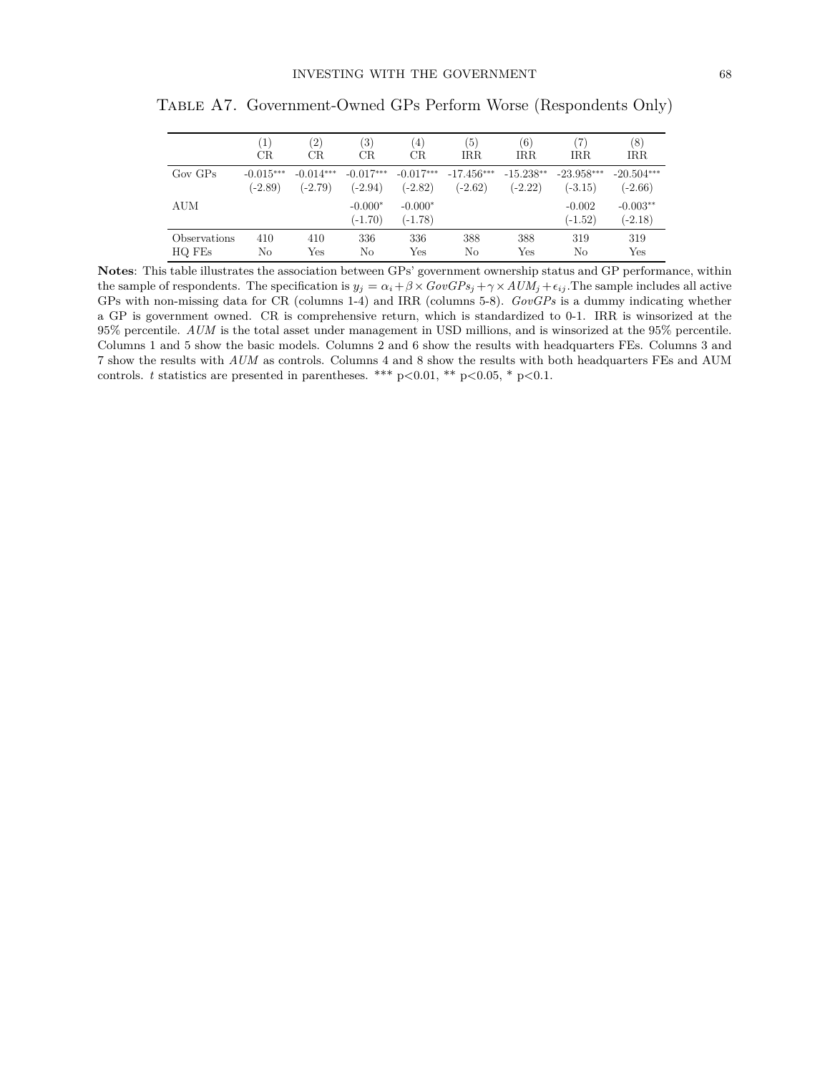|              | $\left(1\right)$ | $\left( 2\right)$ | $\left( 3\right)$      | $^{(4)}$               | $\left(5\right)$ | (6)         | (7)                   | (8)                     |
|--------------|------------------|-------------------|------------------------|------------------------|------------------|-------------|-----------------------|-------------------------|
|              | CR.              | CR                | CR.                    | CR                     | <b>IRR</b>       | <b>IRR</b>  | <b>IRR</b>            | <b>IRR</b>              |
| $Gov$ $GPs$  | $-0.015***$      | $-0.014***$       | $-0.017***$            | $-0.017***$            | $-17.456***$     | $-15.238**$ | $-23.958***$          | $-20.504***$            |
|              | $(-2.89)$        | $(-2.79)$         | $(-2.94)$              | $(-2.82)$              | $(-2.62)$        | $(-2.22)$   | $(-3.15)$             | $(-2.66)$               |
| AUM          |                  |                   | $-0.000*$<br>$(-1.70)$ | $-0.000*$<br>$(-1.78)$ |                  |             | $-0.002$<br>$(-1.52)$ | $-0.003**$<br>$(-2.18)$ |
| Observations | 410              | 410               | 336                    | 336                    | 388              | 388         | 319                   | 319                     |
| HQ FEs       | No               | Yes               | No                     | Yes                    | No               | Yes         | No                    | Yes                     |

Table A7. Government-Owned GPs Perform Worse (Respondents Only)

**Notes**: This table illustrates the association between GPs' government ownership status and GP performance, within the sample of respondents. The specification is  $y_j = \alpha_i + \beta \times GovGPs_j + \gamma \times AUM_j + \epsilon_{ij}$ . The sample includes all active GPs with non-missing data for CR (columns 1-4) and IRR (columns 5-8). *GovGPs* is a dummy indicating whether a GP is government owned. CR is comprehensive return, which is standardized to 0-1. IRR is winsorized at the 95% percentile. *AUM* is the total asset under management in USD millions, and is winsorized at the 95% percentile. Columns 1 and 5 show the basic models. Columns 2 and 6 show the results with headquarters FEs. Columns 3 and 7 show the results with *AUM* as controls. Columns 4 and 8 show the results with both headquarters FEs and AUM controls. *t* statistics are presented in parentheses. \*\*\* p*<*0.01, \*\* p*<*0.05, \* p*<*0.1.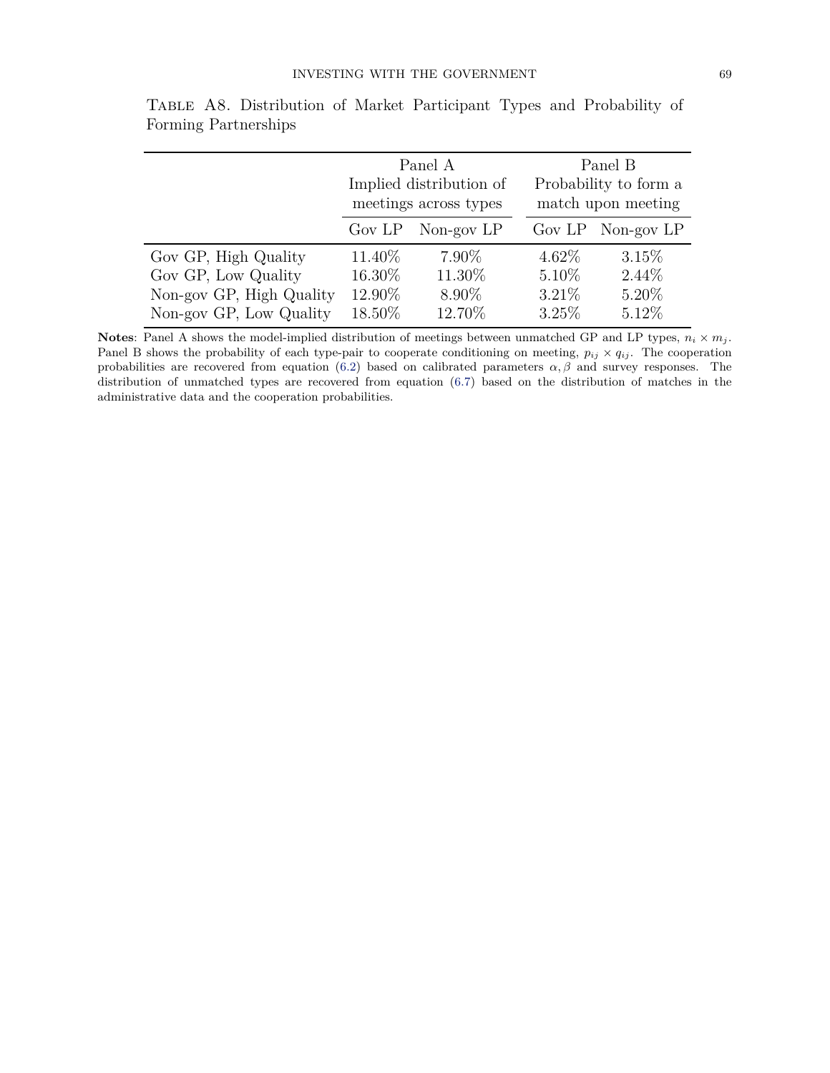|                          | Panel A<br>Implied distribution of<br>meetings across types |                   | Panel B<br>Probability to form a<br>match upon meeting |                   |  |
|--------------------------|-------------------------------------------------------------|-------------------|--------------------------------------------------------|-------------------|--|
|                          |                                                             | Gov LP Non-gov LP |                                                        | Gov LP Non-gov LP |  |
| Gov GP, High Quality     | 11.40\%                                                     | $7.90\%$          | $4.62\%$                                               | 3.15%             |  |
| Gov GP, Low Quality      | $16.30\%$                                                   | 11.30%            | 5.10%                                                  | $2.44\%$          |  |
| Non-gov GP, High Quality | 12.90%                                                      | $8.90\%$          | $3.21\%$                                               | 5.20%             |  |
| Non-gov GP, Low Quality  | 18.50%                                                      | 12.70%            | 3.25%                                                  | 5.12%             |  |

Table A8. Distribution of Market Participant Types and Probability of Forming Partnerships

**Notes**: Panel A shows the model-implied distribution of meetings between unmatched GP and LP types,  $n_i \times m_j$ . Panel B shows the probability of each type-pair to cooperate conditioning on meeting,  $p_{ij} \times q_{ij}$ . The cooperation probabilities are recovered from equation [\(6.2\)](#page--1-0) based on calibrated parameters  $\alpha, \beta$  and survey responses. The distribution of unmatched types are recovered from equation [\(6.7\)](#page--1-1) based on the distribution of matches in the administrative data and the cooperation probabilities.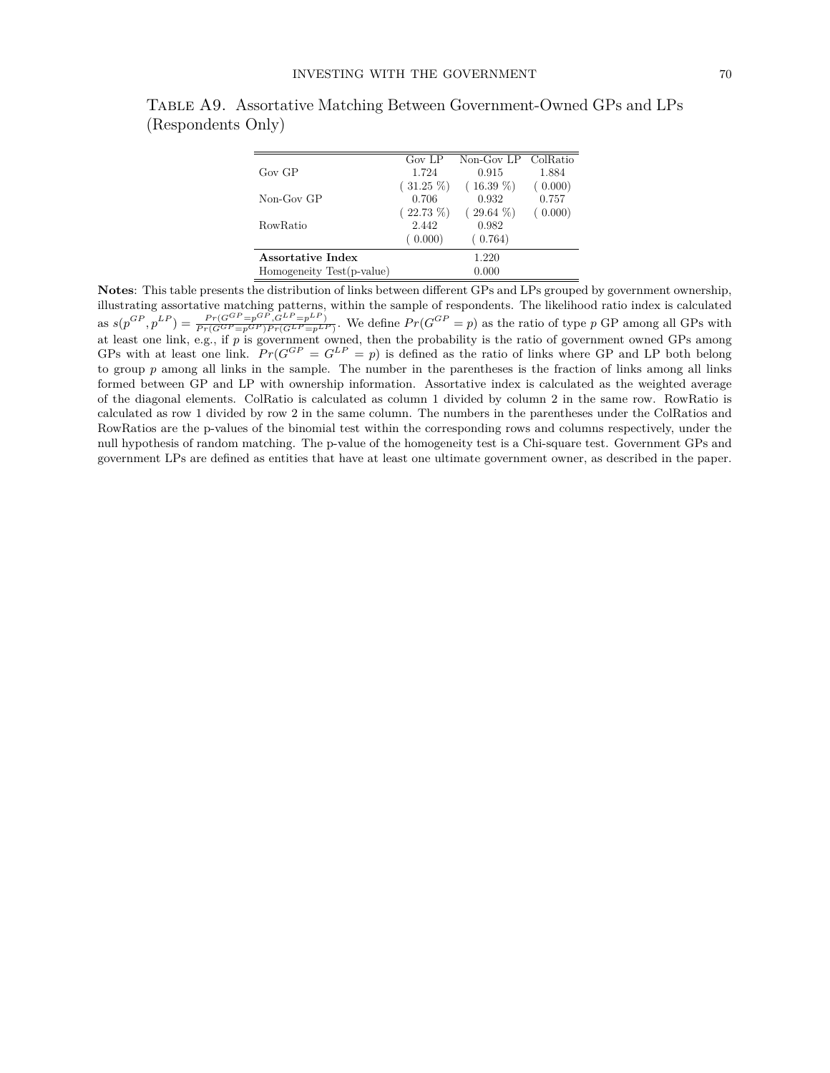|                           | Gov LP      | Non-Gov LP ColRatio |         |
|---------------------------|-------------|---------------------|---------|
| $Gov$ GP                  | 1.724       | 0.915               | 1.884   |
|                           | $(31.25\%)$ | $(16.39\%)$         | (0.000) |
| Non-Gov GP                | 0.706       | 0.932               | 0.757   |
|                           | $(22.73\%)$ | $(29.64\%)$         | 0.000)  |
| RowRatio                  | 2.442       | 0.982               |         |
|                           | (0.000)     | (0.764)             |         |
| Assortative Index         |             | 1.220               |         |
| Homogeneity Test(p-value) |             | 0.000               |         |

Table A9. Assortative Matching Between Government-Owned GPs and LPs (Respondents Only)

**Notes**: This table presents the distribution of links between different GPs and LPs grouped by government ownership, illustrating assortative matching patterns, within the sample of respondents. The likelihood ratio index is calculated as  $s(p^{GP}, p^{LP}) = \frac{Pr(G^{GP} = p^{GP}, G^{LP} = p^{LP})}{Pr(G^{GP} = p^{GP})Pr(G^{LP} = p^{LP})}$ . We define  $Pr(G^{GP} = p)$  as the ratio of type p GP among all GPs with at least one link, e.g., if *p* is government owned, then the probability is the ratio of government owned GPs among GPs with at least one link.  $Pr(G^{GP} = G^{LP} = p)$  is defined as the ratio of links where GP and LP both belong to group *p* among all links in the sample. The number in the parentheses is the fraction of links among all links formed between GP and LP with ownership information. Assortative index is calculated as the weighted average of the diagonal elements. ColRatio is calculated as column 1 divided by column 2 in the same row. RowRatio is calculated as row 1 divided by row 2 in the same column. The numbers in the parentheses under the ColRatios and RowRatios are the p-values of the binomial test within the corresponding rows and columns respectively, under the null hypothesis of random matching. The p-value of the homogeneity test is a Chi-square test. Government GPs and government LPs are defined as entities that have at least one ultimate government owner, as described in the paper.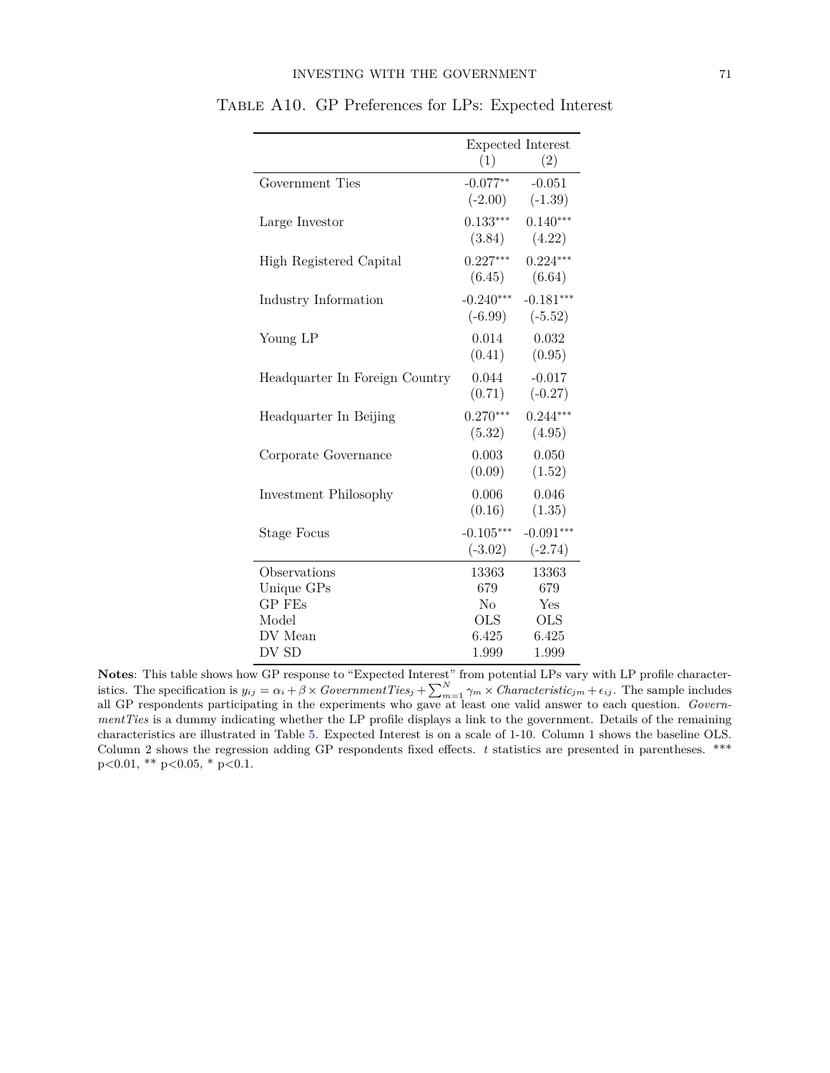|                                | Expected Interest        |                          |  |
|--------------------------------|--------------------------|--------------------------|--|
|                                | (1)                      | (2)                      |  |
| Government Ties                | $-0.077**$<br>$(-2.00)$  | $-0.051$<br>$(-1.39)$    |  |
| Large Investor                 | $0.133***$<br>(3.84)     | $0.140***$<br>(4.22)     |  |
| High Registered Capital        | $0.227***$<br>(6.45)     | $0.224***$<br>(6.64)     |  |
| Industry Information           | $-0.240***$<br>$(-6.99)$ | $-0.181***$<br>$(-5.52)$ |  |
| Young LP                       | 0.014<br>(0.41)          | 0.032<br>(0.95)          |  |
| Headquarter In Foreign Country | 0.044<br>(0.71)          | $-0.017$<br>$(-0.27)$    |  |
| Headquarter In Beijing         | $0.270***$<br>(5.32)     | $0.244***$<br>(4.95)     |  |
| Corporate Governance           | 0.003<br>(0.09)          | 0.050<br>(1.52)          |  |
| Investment Philosophy          | 0.006<br>(0.16)          | 0.046<br>(1.35)          |  |
| <b>Stage Focus</b>             | $-0.105***$<br>$(-3.02)$ | $-0.091***$<br>$(-2.74)$ |  |
| Observations                   | 13363                    | 13363                    |  |
| Unique GPs                     | 679                      | 679                      |  |
| <b>GP FEs</b>                  | No                       | Yes                      |  |
| Model                          | <b>OLS</b>               | <b>OLS</b>               |  |
| DV Mean                        | 6.425                    | 6.425                    |  |
| DV SD                          | 1.999                    | 1.999                    |  |

Table A10. GP Preferences for LPs: Expected Interest

**Notes**: This table shows how GP response to "Expected Interest" from potential LPs vary with LP profile characteristics. The specification is  $y_{ij} = \alpha_i + \beta \times GovernmentTies_j + \sum_{m=1}^{N} \gamma_m \times Characteristic_{jm} + \epsilon_{ij}$ . The sample includes all GP respondents participating in the experiments who gave at least one valid answer to each question. *GovernmentTies* is a dummy indicating whether the LP profile displays a link to the government. Details of the remaining characteristics are illustrated in Table [5.](#page--1-2) Expected Interest is on a scale of 1-10. Column 1 shows the baseline OLS. Column 2 shows the regression adding GP respondents fixed effects. *t* statistics are presented in parentheses. \*\*\* p*<*0.01, \*\* p*<*0.05, \* p*<*0.1.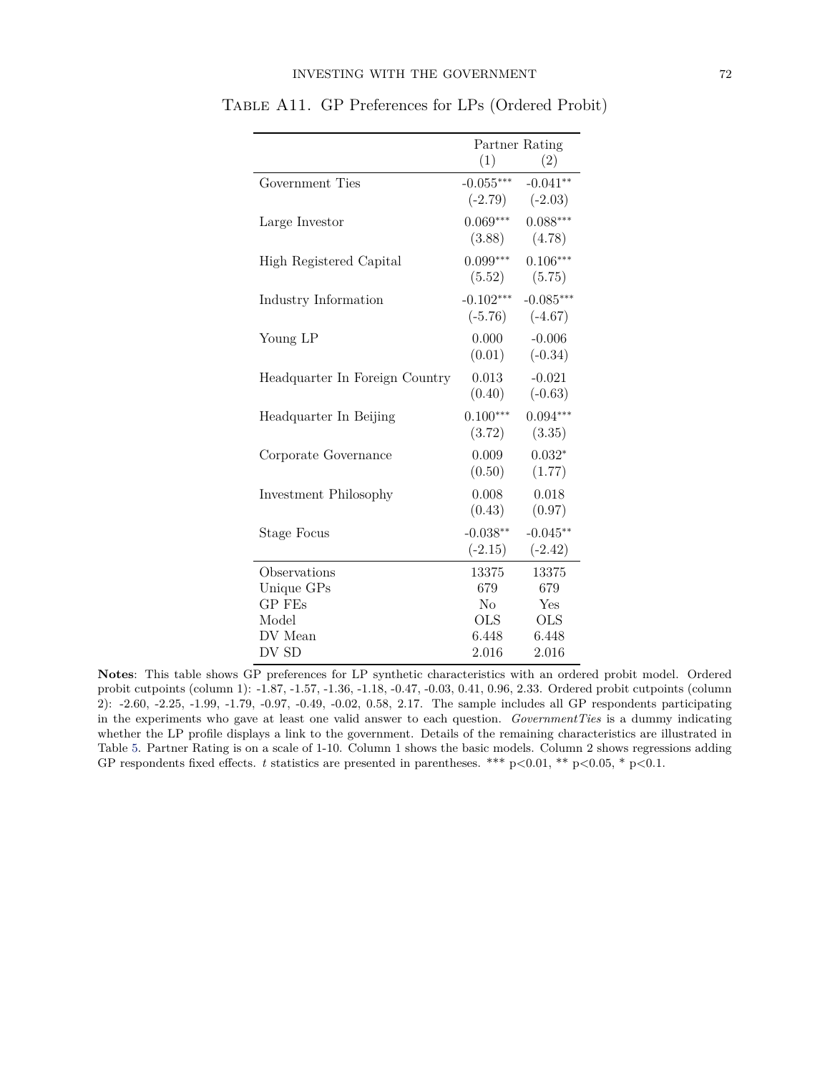|                                | Partner Rating           |                          |  |
|--------------------------------|--------------------------|--------------------------|--|
|                                | (1)                      | (2)                      |  |
| Government Ties                | $-0.055***$<br>$(-2.79)$ | $-0.041**$<br>$(-2.03)$  |  |
| Large Investor                 | $0.069***$<br>(3.88)     | $0.088***$<br>(4.78)     |  |
| High Registered Capital        | $0.099***$<br>(5.52)     | $0.106***$<br>(5.75)     |  |
| Industry Information           | $-0.102***$<br>$(-5.76)$ | $-0.085***$<br>$(-4.67)$ |  |
| Young LP                       | 0.000<br>(0.01)          | $-0.006$<br>$(-0.34)$    |  |
| Headquarter In Foreign Country | 0.013<br>(0.40)          | $-0.021$<br>$(-0.63)$    |  |
| Headquarter In Beijing         | $0.100***$<br>(3.72)     | $0.094***$<br>(3.35)     |  |
| Corporate Governance           | 0.009<br>(0.50)          | $0.032*$<br>(1.77)       |  |
| Investment Philosophy          | 0.008<br>(0.43)          | 0.018<br>(0.97)          |  |
| <b>Stage Focus</b>             | $-0.038**$<br>$(-2.15)$  | $-0.045**$<br>$(-2.42)$  |  |
| Observations                   | 13375                    | 13375                    |  |
| Unique GPs                     | 679                      | 679                      |  |
| <b>GP FEs</b>                  | No                       | Yes                      |  |
| Model                          | OLS                      | <b>OLS</b>               |  |
| DV Mean                        | 6.448                    | 6.448                    |  |
| DV SD                          | 2.016                    | 2.016                    |  |

Table A11. GP Preferences for LPs (Ordered Probit)

**Notes**: This table shows GP preferences for LP synthetic characteristics with an ordered probit model. Ordered probit cutpoints (column 1): -1.87, -1.57, -1.36, -1.18, -0.47, -0.03, 0.41, 0.96, 2.33. Ordered probit cutpoints (column 2): -2.60, -2.25, -1.99, -1.79, -0.97, -0.49, -0.02, 0.58, 2.17. The sample includes all GP respondents participating in the experiments who gave at least one valid answer to each question. *GovernmentTies* is a dummy indicating whether the LP profile displays a link to the government. Details of the remaining characteristics are illustrated in Table [5.](#page--1-2) Partner Rating is on a scale of 1-10. Column 1 shows the basic models. Column 2 shows regressions adding GP respondents fixed effects. *t* statistics are presented in parentheses. \*\*\* p*<*0.01, \*\* p*<*0.05, \* p*<*0.1.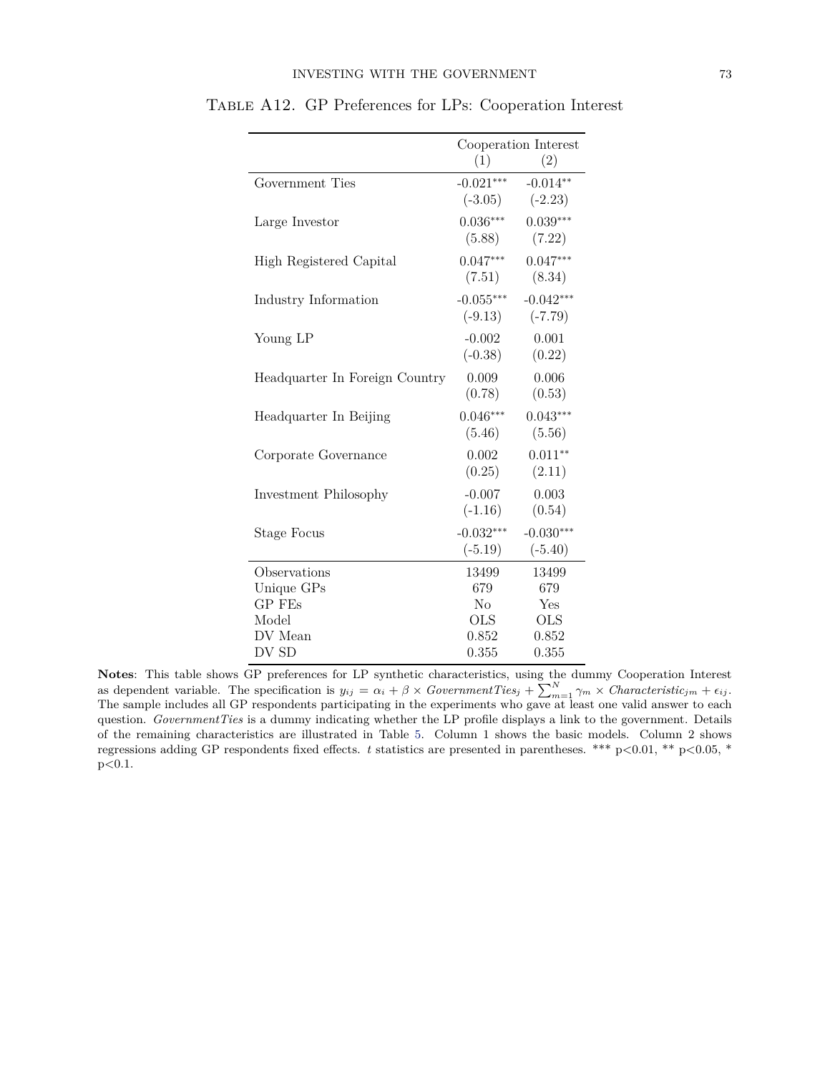|                                | Cooperation Interest     |                          |  |
|--------------------------------|--------------------------|--------------------------|--|
|                                | (1)                      | (2)                      |  |
| Government Ties                | $-0.021***$<br>$(-3.05)$ | $-0.014**$<br>$(-2.23)$  |  |
| Large Investor                 | $0.036***$<br>(5.88)     | $0.039***$<br>(7.22)     |  |
| High Registered Capital        | $0.047***$<br>(7.51)     | $0.047***$<br>(8.34)     |  |
| Industry Information           | $-0.055***$<br>$(-9.13)$ | $-0.042***$<br>$(-7.79)$ |  |
| Young LP                       | $-0.002$<br>$(-0.38)$    | 0.001<br>(0.22)          |  |
| Headquarter In Foreign Country | 0.009<br>(0.78)          | 0.006<br>(0.53)          |  |
| Headquarter In Beijing         | $0.046***$<br>(5.46)     | $0.043***$<br>(5.56)     |  |
| Corporate Governance           | 0.002<br>(0.25)          | $0.011**$<br>(2.11)      |  |
| Investment Philosophy          | $-0.007$<br>$(-1.16)$    | 0.003<br>(0.54)          |  |
| <b>Stage Focus</b>             | $-0.032***$<br>$(-5.19)$ | $-0.030***$<br>$(-5.40)$ |  |
| Observations                   | 13499                    | 13499                    |  |
| Unique GPs                     | 679                      | 679                      |  |
| GP FEs                         | N <sub>o</sub>           | Yes                      |  |
| Model                          | <b>OLS</b>               | <b>OLS</b>               |  |
| DV Mean                        | 0.852                    | 0.852                    |  |
| DV SD                          | 0.355                    | 0.355                    |  |

Table A12. GP Preferences for LPs: Cooperation Interest

Notes: This table shows GP preferences for LP synthetic characteristics, using the dummy Cooperation Interest as dependent variable. The specification is  $y_{ij} = \alpha_i + \beta \times GovernmentTies_j + \sum_{m=1}^{N} \gamma_m \times Characteristic_{jm} + \epsilon_{ij}$ . The sample includes all GP respondents participating in the experiments who gave at least one valid answer to each question. *GovernmentTies* is a dummy indicating whether the LP profile displays a link to the government. Details of the remaining characteristics are illustrated in Table [5.](#page--1-2) Column 1 shows the basic models. Column 2 shows regressions adding GP respondents fixed effects. *t* statistics are presented in parentheses. \*\*\* p*<*0.01, \*\* p*<*0.05, \* p*<*0.1.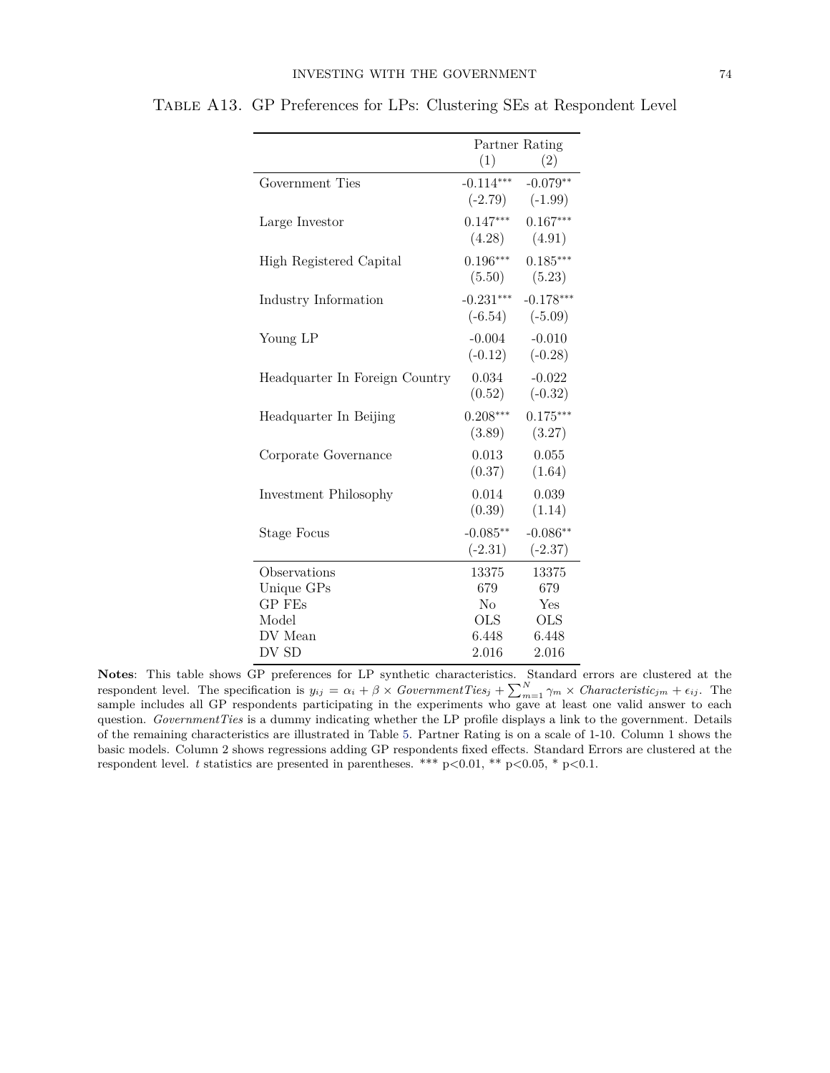|                                |                          | Partner Rating           |
|--------------------------------|--------------------------|--------------------------|
|                                | (1)                      | (2)                      |
| Government Ties                | $-0.114***$<br>$(-2.79)$ | $-0.079**$<br>$(-1.99)$  |
| Large Investor                 | $0.147***$<br>(4.28)     | $0.167***$<br>(4.91)     |
| High Registered Capital        | $0.196***$<br>(5.50)     | $0.185***$<br>(5.23)     |
| Industry Information           | $-0.231***$<br>$(-6.54)$ | $-0.178***$<br>$(-5.09)$ |
| Young LP                       | $-0.004$<br>$(-0.12)$    | $-0.010$<br>$(-0.28)$    |
| Headquarter In Foreign Country | 0.034<br>(0.52)          | $-0.022$<br>$(-0.32)$    |
| Headquarter In Beijing         | $0.208***$<br>(3.89)     | $0.175***$<br>(3.27)     |
| Corporate Governance           | 0.013<br>(0.37)          | 0.055<br>(1.64)          |
| Investment Philosophy          | 0.014<br>(0.39)          | 0.039<br>(1.14)          |
| <b>Stage Focus</b>             | $-0.085**$<br>$(-2.31)$  | $-0.086**$<br>$(-2.37)$  |
| Observations                   | 13375                    | 13375                    |
| Unique GPs                     | 679                      | 679                      |
| <b>GP FEs</b>                  | $\rm No$                 | Yes                      |
| Model                          | OLS                      | <b>OLS</b>               |
| DV Mean                        | 6.448                    | 6.448                    |
| DV SD                          | 2.016                    | 2.016                    |

Table A13. GP Preferences for LPs: Clustering SEs at Respondent Level

**Notes**: This table shows GP preferences for LP synthetic characteristics. Standard errors are clustered at the respondent level. The specification is  $y_{ij} = \alpha_i + \beta \times GovernmentTies_j + \sum_{m=1}^{N} \gamma_m \times Characteristic_{jm} + \epsilon_{ij}$ . The sample includes all GP respondents participating in the experiments who gave at least one valid answer to each question. *GovernmentTies* is a dummy indicating whether the LP profile displays a link to the government. Details of the remaining characteristics are illustrated in Table [5.](#page--1-2) Partner Rating is on a scale of 1-10. Column 1 shows the basic models. Column 2 shows regressions adding GP respondents fixed effects. Standard Errors are clustered at the respondent level. *t* statistics are presented in parentheses. \*\*\* p*<*0.01, \*\* p*<*0.05, \* p*<*0.1.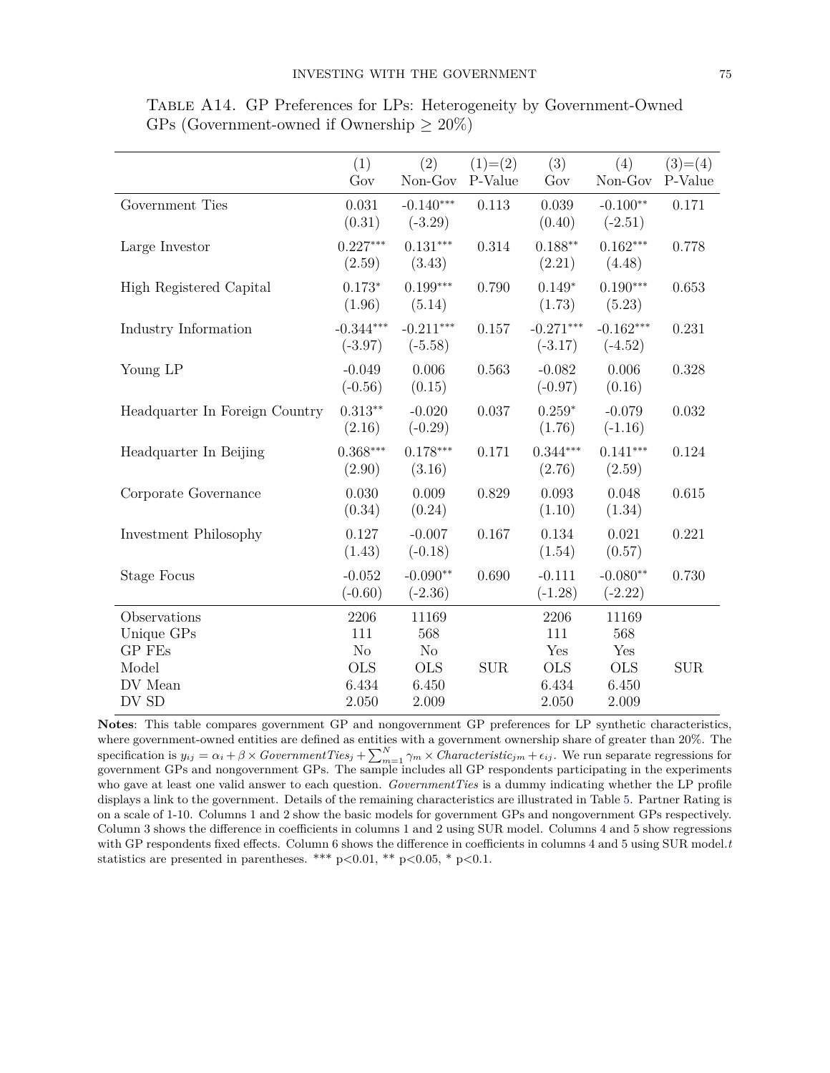|                                | (1)<br>Gov               | (2)<br>Non-Gov           | $(1)= (2)$<br>P-Value | (3)<br>Gov               | (4)<br>Non-Gov           | $(3)=(4)$<br>P-Value |
|--------------------------------|--------------------------|--------------------------|-----------------------|--------------------------|--------------------------|----------------------|
| Government Ties                | 0.031<br>(0.31)          | $-0.140***$<br>$(-3.29)$ | 0.113                 | 0.039<br>(0.40)          | $-0.100**$<br>$(-2.51)$  | 0.171                |
| Large Investor                 | $0.227***$<br>(2.59)     | $0.131***$<br>(3.43)     | 0.314                 | $0.188**$<br>(2.21)      | $0.162***$<br>(4.48)     | 0.778                |
| High Registered Capital        | $0.173*$<br>(1.96)       | $0.199***$<br>(5.14)     | 0.790                 | $0.149*$<br>(1.73)       | $0.190***$<br>(5.23)     | 0.653                |
| Industry Information           | $-0.344***$<br>$(-3.97)$ | $-0.211***$<br>$(-5.58)$ | 0.157                 | $-0.271***$<br>$(-3.17)$ | $-0.162***$<br>$(-4.52)$ | 0.231                |
| Young LP                       | $-0.049$<br>$(-0.56)$    | 0.006<br>(0.15)          | 0.563                 | $-0.082$<br>$(-0.97)$    | 0.006<br>(0.16)          | 0.328                |
| Headquarter In Foreign Country | $0.313**$<br>(2.16)      | $-0.020$<br>$(-0.29)$    | 0.037                 | $0.259*$<br>(1.76)       | $-0.079$<br>$(-1.16)$    | 0.032                |
| Headquarter In Beijing         | $0.368***$<br>(2.90)     | $0.178***$<br>(3.16)     | 0.171                 | $0.344***$<br>(2.76)     | $0.141***$<br>(2.59)     | 0.124                |
| Corporate Governance           | 0.030<br>(0.34)          | 0.009<br>(0.24)          | 0.829                 | 0.093<br>(1.10)          | 0.048<br>(1.34)          | 0.615                |
| Investment Philosophy          | 0.127<br>(1.43)          | $-0.007$<br>$(-0.18)$    | 0.167                 | 0.134<br>(1.54)          | 0.021<br>(0.57)          | 0.221                |
| <b>Stage Focus</b>             | $-0.052$<br>$(-0.60)$    | $-0.090**$<br>$(-2.36)$  | 0.690                 | $-0.111$<br>$(-1.28)$    | $-0.080**$<br>$(-2.22)$  | 0.730                |
| Observations                   | 2206                     | 11169                    |                       | 2206                     | 11169                    |                      |
| Unique GPs<br>GP FEs           | 111<br>No                | 568<br>N <sub>o</sub>    |                       | 111<br>Yes               | 568<br>Yes               |                      |
| Model                          | <b>OLS</b>               | <b>OLS</b>               | <b>SUR</b>            | <b>OLS</b>               | <b>OLS</b>               | <b>SUR</b>           |
| DV Mean                        | 6.434                    | 6.450                    |                       | 6.434                    | 6.450                    |                      |
| DV SD                          | 2.050                    | 2.009                    |                       | 2.050                    | 2.009                    |                      |

Table A14. GP Preferences for LPs: Heterogeneity by Government-Owned GPs (Government-owned if Ownership  $\geq 20\%$ )

**Notes**: This table compares government GP and nongovernment GP preferences for LP synthetic characteristics, where government-owned entities are defined as entities with a government ownership share of greater than 20%. The specification is  $y_{ij} = \alpha_i + \beta \times GovernmentTies_j + \sum_{m=1}^{N} \gamma_m \times Characteristic_{jm} + \epsilon_{ij}$ . We run separate regressions for government GPs and nongovernment GPs. The sample includes all GP respondents participating in the experiments who gave at least one valid answer to each question. *GovernmentTies* is a dummy indicating whether the LP profile displays a link to the government. Details of the remaining characteristics are illustrated in Table [5.](#page--1-2) Partner Rating is on a scale of 1-10. Columns 1 and 2 show the basic models for government GPs and nongovernment GPs respectively. Column 3 shows the difference in coefficients in columns 1 and 2 using SUR model. Columns 4 and 5 show regressions with GP respondents fixed effects. Column 6 shows the difference in coefficients in columns 4 and 5 using SUR model.*t* statistics are presented in parentheses. \*\*\* p*<*0.01, \*\* p*<*0.05, \* p*<*0.1.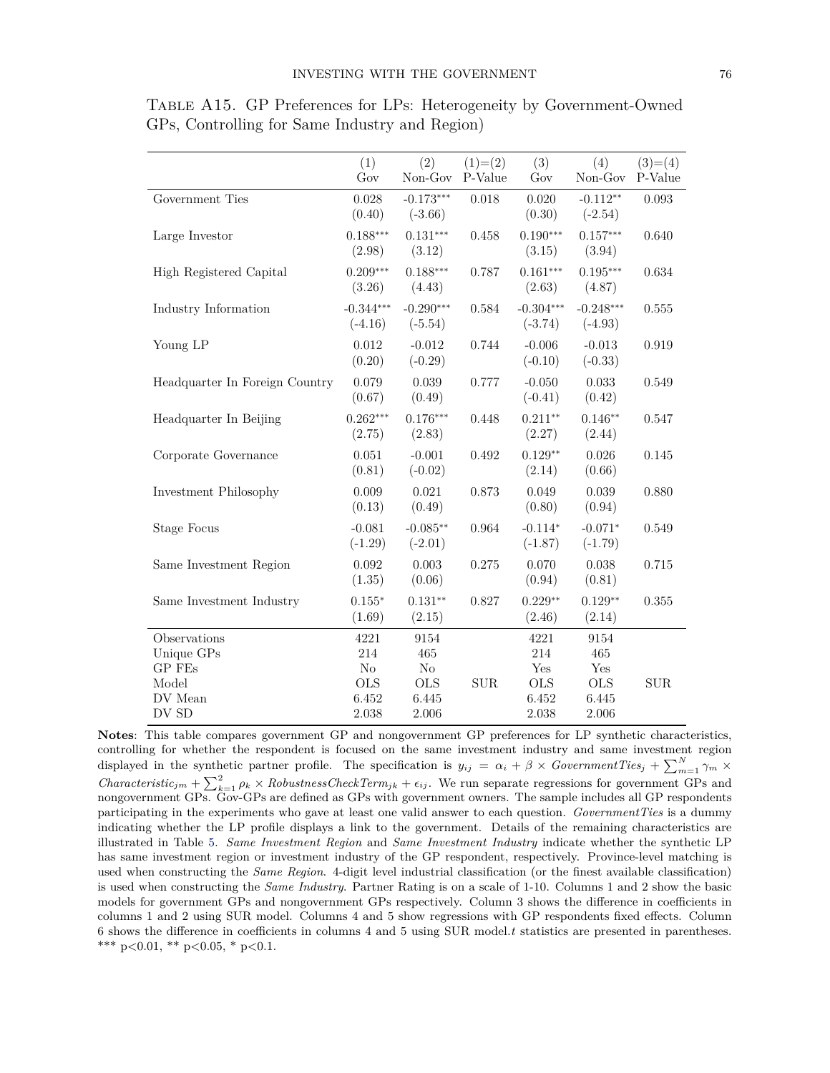|                                | (1)<br>Gov               | (2)<br>Non-Gov           | $(1)=(2)$<br>P-Value | (3)<br>Gov               | (4)<br>Non-Gov           | $(3)=(4)$<br>P-Value |
|--------------------------------|--------------------------|--------------------------|----------------------|--------------------------|--------------------------|----------------------|
| Government Ties                | 0.028<br>(0.40)          | $-0.173***$<br>$(-3.66)$ | 0.018                | 0.020<br>(0.30)          | $-0.112**$<br>$(-2.54)$  | 0.093                |
| Large Investor                 | $0.188***$<br>(2.98)     | $0.131***$<br>(3.12)     | 0.458                | $0.190***$<br>(3.15)     | $0.157***$<br>(3.94)     | 0.640                |
| High Registered Capital        | $0.209***$<br>(3.26)     | $0.188***$<br>(4.43)     | 0.787                | $0.161***$<br>(2.63)     | $0.195***$<br>(4.87)     | 0.634                |
| Industry Information           | $-0.344***$<br>$(-4.16)$ | $-0.290***$<br>$(-5.54)$ | 0.584                | $-0.304***$<br>$(-3.74)$ | $-0.248***$<br>$(-4.93)$ | 0.555                |
| Young LP                       | 0.012<br>(0.20)          | $-0.012$<br>$(-0.29)$    | 0.744                | $-0.006$<br>$(-0.10)$    | $-0.013$<br>$(-0.33)$    | 0.919                |
| Headquarter In Foreign Country | 0.079<br>(0.67)          | 0.039<br>(0.49)          | 0.777                | $-0.050$<br>$(-0.41)$    | 0.033<br>(0.42)          | 0.549                |
| Headquarter In Beijing         | $0.262***$<br>(2.75)     | $0.176***$<br>(2.83)     | 0.448                | $0.211**$<br>(2.27)      | $0.146**$<br>(2.44)      | 0.547                |
| Corporate Governance           | $0.051\,$<br>(0.81)      | $-0.001$<br>$(-0.02)$    | 0.492                | $0.129**$<br>(2.14)      | 0.026<br>(0.66)          | 0.145                |
| Investment Philosophy          | 0.009<br>(0.13)          | 0.021<br>(0.49)          | 0.873                | 0.049<br>(0.80)          | 0.039<br>(0.94)          | 0.880                |
| <b>Stage Focus</b>             | $-0.081$<br>$(-1.29)$    | $-0.085**$<br>$(-2.01)$  | 0.964                | $-0.114*$<br>$(-1.87)$   | $-0.071*$<br>$(-1.79)$   | 0.549                |
| Same Investment Region         | 0.092<br>(1.35)          | 0.003<br>(0.06)          | 0.275                | 0.070<br>(0.94)          | 0.038<br>(0.81)          | 0.715                |
| Same Investment Industry       | $0.155*$<br>(1.69)       | $0.131**$<br>(2.15)      | 0.827                | $0.229**$<br>(2.46)      | $0.129**$<br>(2.14)      | 0.355                |
| Observations                   | 4221                     | 9154                     |                      | 4221                     | 9154                     |                      |
| Unique GPs                     | 214                      | 465                      |                      | 214                      | 465                      |                      |
| GP FEs                         | No                       | $\rm No$                 |                      | Yes                      | Yes                      |                      |
| Model                          | <b>OLS</b>               | <b>OLS</b>               | $\rm{SUB}$           | <b>OLS</b>               | <b>OLS</b>               | $\rm{SUB}$           |
| DV Mean                        | 6.452                    | 6.445                    |                      | 6.452                    | 6.445                    |                      |
| DV SD                          | 2.038                    | 2.006                    |                      | 2.038                    | 2.006                    |                      |

Table A15. GP Preferences for LPs: Heterogeneity by Government-Owned GPs, Controlling for Same Industry and Region)

**Notes**: This table compares government GP and nongovernment GP preferences for LP synthetic characteristics, controlling for whether the respondent is focused on the same investment industry and same investment region displayed in the synthetic partner profile. The specification is  $y_{ij} = \alpha_i + \beta \times GovernmentTies_j + \sum_{m=1}^{N} \gamma_m \times$ *Characteristic<sub>jm</sub>* +  $\sum_{k=1}^{2} \rho_k \times RobustnessCheckTerm_{jk} + \epsilon_{ij}$ . We run separate regressions for government GPs and nongovernment GPs. Gov-GPs are defined as GPs with government owners. The sample includes all GP respondents participating in the experiments who gave at least one valid answer to each question. *GovernmentTies* is a dummy indicating whether the LP profile displays a link to the government. Details of the remaining characteristics are illustrated in Table [5.](#page--1-2) *Same Investment Region* and *Same Investment Industry* indicate whether the synthetic LP has same investment region or investment industry of the GP respondent, respectively. Province-level matching is used when constructing the *Same Region*. 4-digit level industrial classification (or the finest available classification) is used when constructing the *Same Industry*. Partner Rating is on a scale of 1-10. Columns 1 and 2 show the basic models for government GPs and nongovernment GPs respectively. Column 3 shows the difference in coefficients in columns 1 and 2 using SUR model. Columns 4 and 5 show regressions with GP respondents fixed effects. Column 6 shows the difference in coefficients in columns 4 and 5 using SUR model.*t* statistics are presented in parentheses. \*\*\* p*<*0.01, \*\* p*<*0.05, \* p*<*0.1.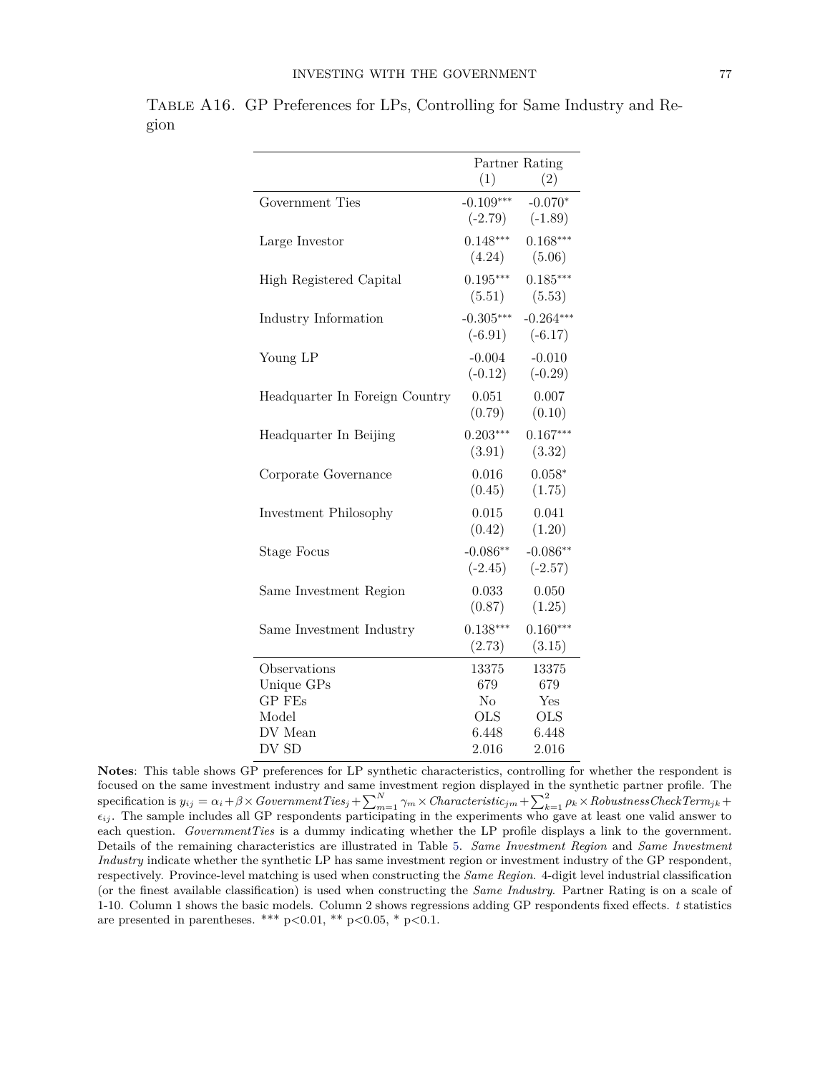|                                |             | Partner Rating |
|--------------------------------|-------------|----------------|
|                                | (1)         | (2)            |
| Government Ties                | $-0.109***$ | $-0.070*$      |
|                                | $(-2.79)$   | $(-1.89)$      |
| Large Investor                 | $0.148***$  | $0.168***$     |
|                                | (4.24)      | (5.06)         |
| High Registered Capital        | $0.195***$  | $0.185***$     |
|                                | (5.51)      | (5.53)         |
| Industry Information           | $-0.305***$ | $-0.264***$    |
|                                | $(-6.91)$   | $(-6.17)$      |
| Young LP                       | $-0.004$    | $-0.010$       |
|                                | $(-0.12)$   | $(-0.29)$      |
| Headquarter In Foreign Country | 0.051       | 0.007          |
|                                | (0.79)      | (0.10)         |
| Headquarter In Beijing         | $0.203***$  | $0.167***$     |
|                                | (3.91)      | (3.32)         |
| Corporate Governance           | 0.016       | $0.058*$       |
|                                | (0.45)      | (1.75)         |
| Investment Philosophy          | 0.015       | 0.041          |
|                                | (0.42)      | (1.20)         |
| <b>Stage Focus</b>             | $-0.086**$  | $-0.086**$     |
|                                | $(-2.45)$   | $(-2.57)$      |
| Same Investment Region         | 0.033       | 0.050          |
|                                | (0.87)      | (1.25)         |
| Same Investment Industry       | $0.138***$  | $0.160***$     |
|                                | (2.73)      | (3.15)         |
| Observations                   | 13375       | 13375          |
| Unique GPs                     | 679         | 679            |
| GP FEs                         | $\rm No$    | Yes            |
| Model                          | <b>OLS</b>  | <b>OLS</b>     |
| DV Mean                        | 6.448       | 6.448          |
| DV SD                          | 2.016       | 2.016          |

Table A16. GP Preferences for LPs, Controlling for Same Industry and Region

**Notes**: This table shows GP preferences for LP synthetic characteristics, controlling for whether the respondent is focused on the same investment industry and same investment region displayed in the synthetic partner profile. The  $\text{specification is } y_{ij} = \alpha_i + \beta \times GovernmentTies_j + \sum_{m=1}^{N}\gamma_m \times Characteristic_{jm} + \sum_{k=1}^{2}\rho_k \times RobustnessCheckTerm_{jk} +$ *ϵij* . The sample includes all GP respondents participating in the experiments who gave at least one valid answer to each question. *GovernmentTies* is a dummy indicating whether the LP profile displays a link to the government. Details of the remaining characteristics are illustrated in Table [5.](#page--1-2) *Same Investment Region* and *Same Investment Industry* indicate whether the synthetic LP has same investment region or investment industry of the GP respondent, respectively. Province-level matching is used when constructing the *Same Region*. 4-digit level industrial classification (or the finest available classification) is used when constructing the *Same Industry*. Partner Rating is on a scale of 1-10. Column 1 shows the basic models. Column 2 shows regressions adding GP respondents fixed effects. *t* statistics are presented in parentheses. \*\*\* p*<*0.01, \*\* p*<*0.05, \* p*<*0.1.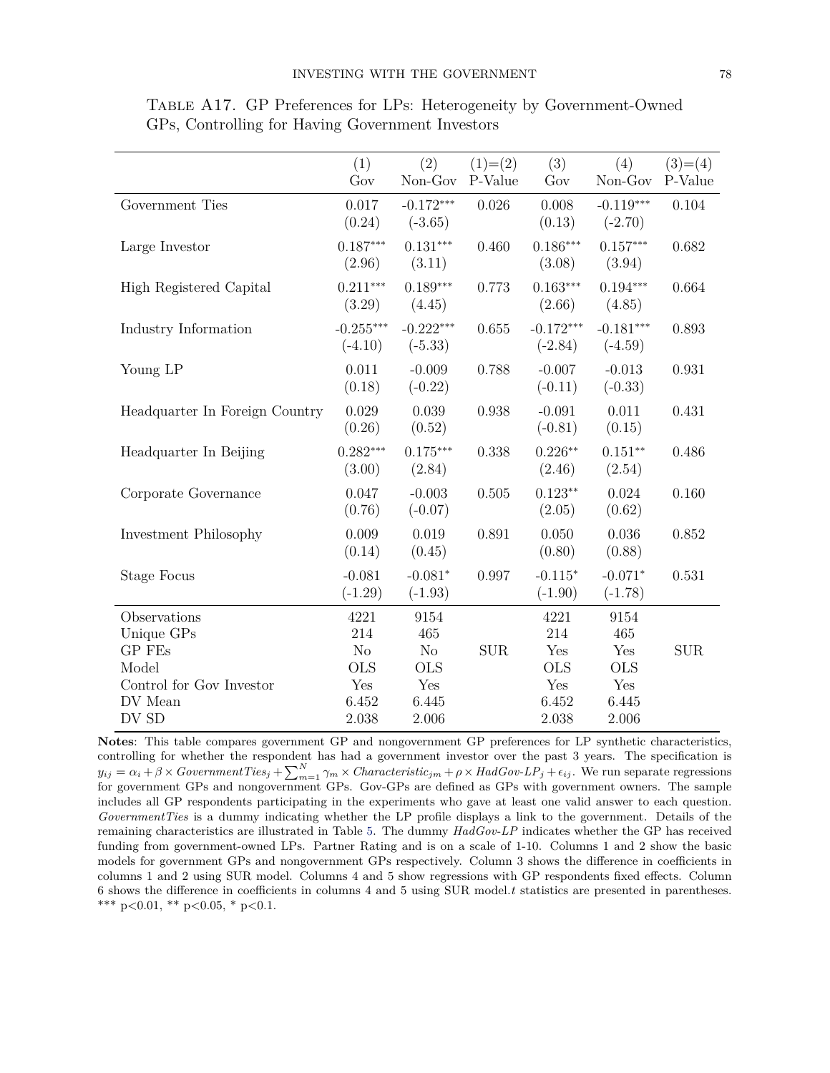|                                | (1)<br>Gov               | (2)<br>Non-Gov           | $(1)=(2)$<br>P-Value | (3)<br>Gov               | (4)<br>Non-Gov           | $(3)=(4)$<br>P-Value |
|--------------------------------|--------------------------|--------------------------|----------------------|--------------------------|--------------------------|----------------------|
| Government Ties                | 0.017<br>(0.24)          | $-0.172***$<br>$(-3.65)$ | 0.026                | 0.008<br>(0.13)          | $-0.119***$<br>$(-2.70)$ | 0.104                |
| Large Investor                 | $0.187***$<br>(2.96)     | $0.131***$<br>(3.11)     | 0.460                | $0.186***$<br>(3.08)     | $0.157***$<br>(3.94)     | 0.682                |
| High Registered Capital        | $0.211***$<br>(3.29)     | $0.189***$<br>(4.45)     | 0.773                | $0.163***$<br>(2.66)     | $0.194***$<br>(4.85)     | 0.664                |
| Industry Information           | $-0.255***$<br>$(-4.10)$ | $-0.222***$<br>$(-5.33)$ | 0.655                | $-0.172***$<br>$(-2.84)$ | $-0.181***$<br>$(-4.59)$ | 0.893                |
| Young LP                       | 0.011<br>(0.18)          | $-0.009$<br>$(-0.22)$    | 0.788                | $-0.007$<br>$(-0.11)$    | $-0.013$<br>$(-0.33)$    | 0.931                |
| Headquarter In Foreign Country | 0.029<br>(0.26)          | 0.039<br>(0.52)          | 0.938                | $-0.091$<br>$(-0.81)$    | 0.011<br>(0.15)          | 0.431                |
| Headquarter In Beijing         | $0.282***$<br>(3.00)     | $0.175***$<br>(2.84)     | 0.338                | $0.226**$<br>(2.46)      | $0.151**$<br>(2.54)      | 0.486                |
| Corporate Governance           | 0.047<br>(0.76)          | $-0.003$<br>$(-0.07)$    | 0.505                | $0.123**$<br>(2.05)      | 0.024<br>(0.62)          | 0.160                |
| Investment Philosophy          | 0.009<br>(0.14)          | 0.019<br>(0.45)          | 0.891                | 0.050<br>(0.80)          | 0.036<br>(0.88)          | 0.852                |
| <b>Stage Focus</b>             | $-0.081$<br>$(-1.29)$    | $-0.081*$<br>$(-1.93)$   | 0.997                | $-0.115*$<br>$(-1.90)$   | $-0.071*$<br>$(-1.78)$   | 0.531                |
| Observations                   | 4221                     | 9154                     |                      | 4221                     | 9154                     |                      |
| Unique GPs                     | 214                      | 465                      |                      | 214                      | 465                      |                      |
| GP FEs                         | No                       | $\rm No$                 | SUB                  | Yes                      | Yes                      | SUB                  |
| Model                          | <b>OLS</b>               | <b>OLS</b>               |                      | <b>OLS</b>               | <b>OLS</b>               |                      |
| Control for Gov Investor       | Yes                      | Yes                      |                      | Yes                      | Yes                      |                      |
| DV Mean                        | 6.452                    | 6.445                    |                      | 6.452                    | 6.445                    |                      |
| DV SD                          | $2.038\,$                | 2.006                    |                      | 2.038                    | 2.006                    |                      |

Table A17. GP Preferences for LPs: Heterogeneity by Government-Owned GPs, Controlling for Having Government Investors

**Notes**: This table compares government GP and nongovernment GP preferences for LP synthetic characteristics, controlling for whether the respondent has had a government investor over the past 3 years. The specification is  $y_{ij} = \alpha_i + \beta \times GovernmentTies_j + \sum_{m=1}^{N}\gamma_m \times Characteristic_{jm} + \rho \times HadGov\text{-}LP_j + \epsilon_{ij}.$  We run separate regressions for government GPs and nongovernment GPs. Gov-GPs are defined as GPs with government owners. The sample includes all GP respondents participating in the experiments who gave at least one valid answer to each question. *GovernmentTies* is a dummy indicating whether the LP profile displays a link to the government. Details of the remaining characteristics are illustrated in Table [5.](#page--1-2) The dummy *HadGov-LP* indicates whether the GP has received funding from government-owned LPs. Partner Rating and is on a scale of 1-10. Columns 1 and 2 show the basic models for government GPs and nongovernment GPs respectively. Column 3 shows the difference in coefficients in columns 1 and 2 using SUR model. Columns 4 and 5 show regressions with GP respondents fixed effects. Column 6 shows the difference in coefficients in columns 4 and 5 using SUR model.*t* statistics are presented in parentheses. \*\*\* p*<*0.01, \*\* p*<*0.05, \* p*<*0.1.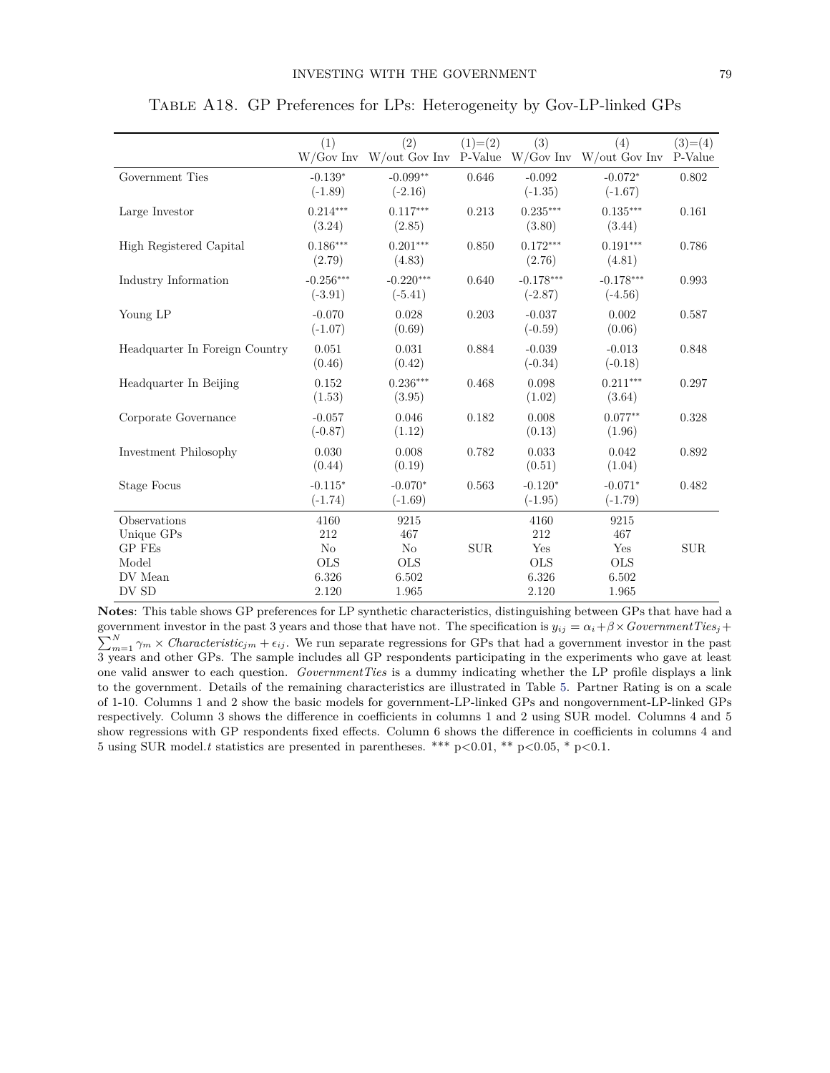|                                | (1)                      | (2)<br>$W/Gov$ Inv $W/out$ Gov Inv P-Value | $(1)=(2)$  | (3)                      | (4)<br>$W/Gov$ Inv $W/out$ Gov Inv | $(3)=(4)$<br>P-Value |
|--------------------------------|--------------------------|--------------------------------------------|------------|--------------------------|------------------------------------|----------------------|
| Government Ties                | $-0.139*$<br>$(-1.89)$   | $-0.099**$<br>$(-2.16)$                    | 0.646      | $-0.092$<br>$(-1.35)$    | $-0.072*$<br>$(-1.67)$             | 0.802                |
| Large Investor                 | $0.214***$<br>(3.24)     | $0.117***$<br>(2.85)                       | 0.213      | $0.235***$<br>(3.80)     | $0.135***$<br>(3.44)               | 0.161                |
| High Registered Capital        | $0.186***$<br>(2.79)     | $0.201***$<br>(4.83)                       | 0.850      | $0.172***$<br>(2.76)     | $0.191***$<br>(4.81)               | 0.786                |
| Industry Information           | $-0.256***$<br>$(-3.91)$ | $-0.220***$<br>$(-5.41)$                   | 0.640      | $-0.178***$<br>$(-2.87)$ | $-0.178***$<br>$(-4.56)$           | 0.993                |
| Young LP                       | $-0.070$<br>$(-1.07)$    | 0.028<br>(0.69)                            | 0.203      | $-0.037$<br>$(-0.59)$    | 0.002<br>(0.06)                    | 0.587                |
| Headquarter In Foreign Country | 0.051<br>(0.46)          | 0.031<br>(0.42)                            | 0.884      | $-0.039$<br>$(-0.34)$    | $-0.013$<br>$(-0.18)$              | 0.848                |
| Headquarter In Beijing         | 0.152<br>(1.53)          | $0.236***$<br>(3.95)                       | 0.468      | 0.098<br>(1.02)          | $0.211***$<br>(3.64)               | 0.297                |
| Corporate Governance           | $-0.057$<br>$(-0.87)$    | 0.046<br>(1.12)                            | 0.182      | 0.008<br>(0.13)          | $0.077**$<br>(1.96)                | 0.328                |
| Investment Philosophy          | 0.030<br>(0.44)          | 0.008<br>(0.19)                            | 0.782      | 0.033<br>(0.51)          | 0.042<br>(1.04)                    | 0.892                |
| <b>Stage Focus</b>             | $-0.115*$<br>$(-1.74)$   | $-0.070*$<br>$(-1.69)$                     | 0.563      | $-0.120*$<br>$(-1.95)$   | $-0.071*$<br>$(-1.79)$             | 0.482                |
| Observations                   | 4160                     | 9215                                       |            | 4160                     | 9215                               |                      |
| Unique GPs                     | 212                      | 467                                        |            | 212                      | 467                                |                      |
| GP FEs                         | N <sub>o</sub>           | No                                         | $\rm{SUB}$ | Yes                      | Yes                                | <b>SUR</b>           |
| Model                          | <b>OLS</b>               | <b>OLS</b>                                 |            | <b>OLS</b>               | <b>OLS</b>                         |                      |
| DV Mean                        | 6.326                    | 6.502                                      |            | 6.326                    | 6.502                              |                      |
| DV SD                          | 2.120                    | 1.965                                      |            | 2.120                    | 1.965                              |                      |

Table A18. GP Preferences for LPs: Heterogeneity by Gov-LP-linked GPs

**Notes**: This table shows GP preferences for LP synthetic characteristics, distinguishing between GPs that have had a  $\sum_{m=1}^{N} \gamma_m \times$  *Characteristic<sub>jm</sub>* +  $\epsilon_{ij}$ . We run separate regressions for GPs that had a government investor in the past government investor in the past 3 years and those that have not. The specification is  $y_{ij} = \alpha_i + \beta \times GovernmentTies_j +$ 3 years and other GPs. The sample includes all GP respondents participating in the experiments who gave at least one valid answer to each question. *GovernmentTies* is a dummy indicating whether the LP profile displays a link to the government. Details of the remaining characteristics are illustrated in Table [5.](#page--1-2) Partner Rating is on a scale of 1-10. Columns 1 and 2 show the basic models for government-LP-linked GPs and nongovernment-LP-linked GPs respectively. Column 3 shows the difference in coefficients in columns 1 and 2 using SUR model. Columns 4 and 5 show regressions with GP respondents fixed effects. Column 6 shows the difference in coefficients in columns 4 and 5 using SUR model.*t* statistics are presented in parentheses. \*\*\* p*<*0.01, \*\* p*<*0.05, \* p*<*0.1.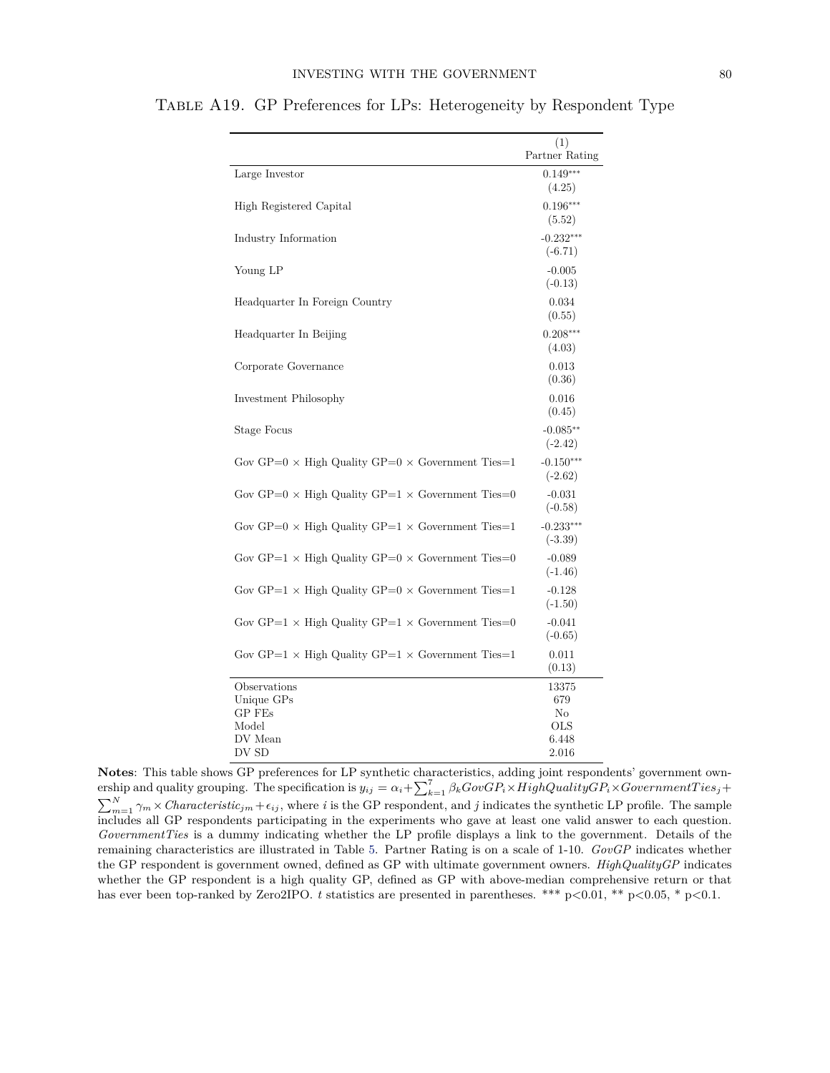|                                                                | (1)<br>Partner Rating    |
|----------------------------------------------------------------|--------------------------|
| Large Investor                                                 | $0.149***$<br>(4.25)     |
| High Registered Capital                                        | $0.196***$<br>(5.52)     |
| Industry Information                                           | $-0.232***$<br>$(-6.71)$ |
| Young LP                                                       | $-0.005$<br>$(-0.13)$    |
| Headquarter In Foreign Country                                 | 0.034<br>(0.55)          |
| Headquarter In Beijing                                         | $0.208***$<br>(4.03)     |
| Corporate Governance                                           | 0.013<br>(0.36)          |
| Investment Philosophy                                          | 0.016<br>(0.45)          |
| <b>Stage Focus</b>                                             | $-0.085**$<br>$(-2.42)$  |
| Gov GP=0 $\times$ High Quality GP=0 $\times$ Government Ties=1 | $-0.150***$<br>$(-2.62)$ |
| Gov GP=0 $\times$ High Quality GP=1 $\times$ Government Ties=0 | $-0.031$<br>$(-0.58)$    |
| Gov GP=0 $\times$ High Quality GP=1 $\times$ Government Ties=1 | $-0.233***$<br>$(-3.39)$ |
| Gov GP=1 $\times$ High Quality GP=0 $\times$ Government Ties=0 | $-0.089$<br>$(-1.46)$    |
| Gov GP=1 $\times$ High Quality GP=0 $\times$ Government Ties=1 | $-0.128$<br>$(-1.50)$    |
| Gov GP=1 $\times$ High Quality GP=1 $\times$ Government Ties=0 | $-0.041$<br>$(-0.65)$    |
| Gov GP=1 $\times$ High Quality GP=1 $\times$ Government Ties=1 | 0.011<br>(0.13)          |
| Observations                                                   | 13375                    |
| Unique GPs                                                     | 679                      |
| GP FEs                                                         | No                       |
| Model<br>DV Mean                                               | OLS<br>6.448             |
| DV SD                                                          | 2.016                    |

Table A19. GP Preferences for LPs: Heterogeneity by Respondent Type

**Notes**: This table shows GP preferences for LP synthetic characteristics, adding joint respondents' government own- $\sum_{k=1}^{7} \beta_k GovGP_i \times HighQuality GPP_i \times Government Ties_j +$  $\sum_{m=1}^{N} \gamma_m \times Characteristic_{jm} + \epsilon_{ij}$ , where *i* is the GP respondent, and *j* indicates the synthetic LP profile. The sample includes all GP respondents participating in the experiments who gave at least one valid answer to each question. *GovernmentTies* is a dummy indicating whether the LP profile displays a link to the government. Details of the remaining characteristics are illustrated in Table [5.](#page--1-2) Partner Rating is on a scale of 1-10. *GovGP* indicates whether the GP respondent is government owned, defined as GP with ultimate government owners. *HighQualityGP* indicates whether the GP respondent is a high quality GP, defined as GP with above-median comprehensive return or that has ever been top-ranked by Zero2IPO. *t* statistics are presented in parentheses. \*\*\* p*<*0.01, \*\* p*<*0.05, \* p*<*0.1.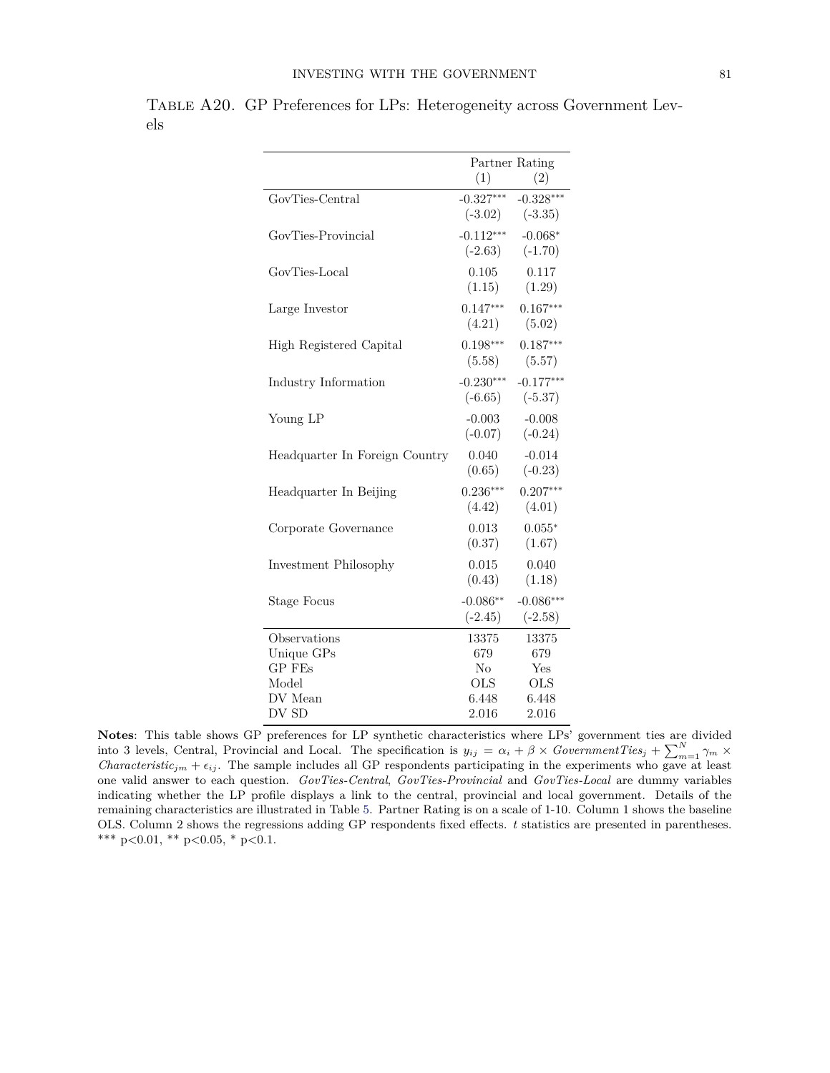|                                | Partner Rating |                     |  |
|--------------------------------|----------------|---------------------|--|
|                                | (1)            | (2)                 |  |
| GovTies-Central                | $-0.327***$    | $-0.328***$         |  |
|                                |                | $(-3.02)$ $(-3.35)$ |  |
| GovTies-Provincial             | $-0.112***$    | $-0.068*$           |  |
|                                | $(-2.63)$      | $(-1.70)$           |  |
| GovTies-Local                  | 0.105          | 0.117               |  |
|                                | (1.15)         | (1.29)              |  |
| Large Investor                 | $0.147***$     | $0.167***$          |  |
|                                | (4.21)         | (5.02)              |  |
| High Registered Capital        | $0.198***$     | $0.187***$          |  |
|                                | (5.58)         | (5.57)              |  |
| Industry Information           | $-0.230***$    | $-0.177***$         |  |
|                                | $(-6.65)$      | $(-5.37)$           |  |
| Young LP                       | $-0.003$       | $-0.008$            |  |
|                                | $(-0.07)$      | $(-0.24)$           |  |
| Headquarter In Foreign Country | 0.040          | $-0.014$            |  |
|                                | (0.65)         | $(-0.23)$           |  |
| Headquarter In Beijing         | $0.236***$     | $0.207***$          |  |
|                                | (4.42)         | (4.01)              |  |
| Corporate Governance           | 0.013          | $0.055*$            |  |
|                                | (0.37)         | (1.67)              |  |
| Investment Philosophy          | 0.015          | 0.040               |  |
|                                | (0.43)         | (1.18)              |  |
| Stage Focus                    | $-0.086**$     | $-0.086***$         |  |
|                                | $(-2.45)$      | $(-2.58)$           |  |
| Observations                   | 13375          | 13375               |  |
| Unique GPs                     | 679            | 679                 |  |
| <b>GP</b> FEs                  | $\rm No$       | Yes                 |  |
| Model                          | <b>OLS</b>     | <b>OLS</b>          |  |
| DV Mean                        | 6.448          | 6.448               |  |
| DV SD                          | 2.016          | 2.016               |  |

Table A20. GP Preferences for LPs: Heterogeneity across Government Levels

**Notes**: This table shows GP preferences for LP synthetic characteristics where LPs' government ties are divided into 3 levels, Central, Provincial and Local. The specification is  $y_{ij} = \alpha_i + \beta \times GovernmentTies_j + \sum_{m=1}^{N} \gamma_m \times$ *Characteristic<sub>jm</sub>* +  $\epsilon_{ij}$ . The sample includes all GP respondents participating in the experiments who gave at least one valid answer to each question. *GovTies-Central*, *GovTies-Provincial* and *GovTies-Local* are dummy variables indicating whether the LP profile displays a link to the central, provincial and local government. Details of the remaining characteristics are illustrated in Table [5.](#page--1-2) Partner Rating is on a scale of 1-10. Column 1 shows the baseline OLS. Column 2 shows the regressions adding GP respondents fixed effects. *t* statistics are presented in parentheses. \*\*\* p*<*0.01, \*\* p*<*0.05, \* p*<*0.1.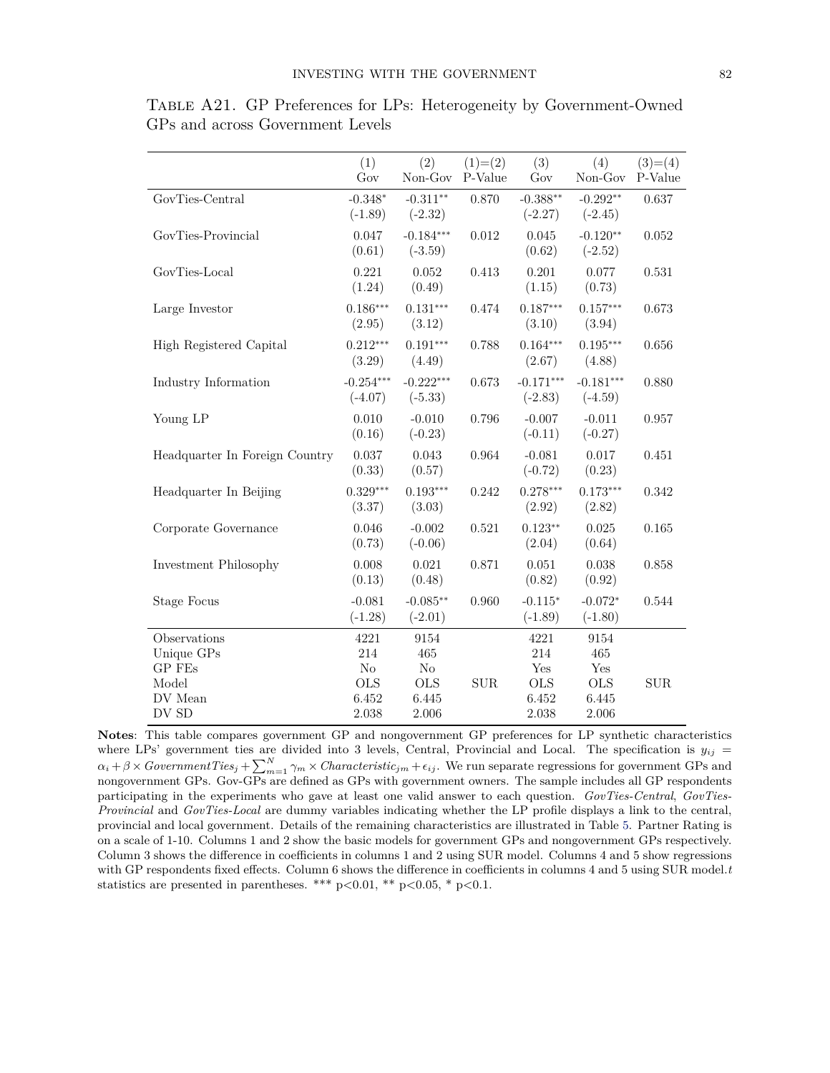|                                | (1)<br>Gov               | (2)<br>Non-Gov           | $(1)=(2)$<br>P-Value | (3)<br>Gov               | (4)<br>Non-Gov           | $(3)=(4)$<br>P-Value |
|--------------------------------|--------------------------|--------------------------|----------------------|--------------------------|--------------------------|----------------------|
| GovTies-Central                | $-0.348*$<br>$(-1.89)$   | $-0.311**$<br>$(-2.32)$  | 0.870                | $-0.388**$<br>$(-2.27)$  | $-0.292**$<br>$(-2.45)$  | 0.637                |
| GovTies-Provincial             | 0.047<br>(0.61)          | $-0.184***$<br>$(-3.59)$ | 0.012                | 0.045<br>(0.62)          | $-0.120**$<br>$(-2.52)$  | 0.052                |
| GovTies-Local                  | 0.221<br>(1.24)          | 0.052<br>(0.49)          | 0.413                | 0.201<br>(1.15)          | 0.077<br>(0.73)          | 0.531                |
| Large Investor                 | $0.186***$<br>(2.95)     | $0.131***$<br>(3.12)     | 0.474                | $0.187***$<br>(3.10)     | $0.157***$<br>(3.94)     | 0.673                |
| High Registered Capital        | $0.212***$<br>(3.29)     | $0.191***$<br>(4.49)     | 0.788                | $0.164***$<br>(2.67)     | $0.195***$<br>(4.88)     | 0.656                |
| Industry Information           | $-0.254***$<br>$(-4.07)$ | $-0.222***$<br>$(-5.33)$ | 0.673                | $-0.171***$<br>$(-2.83)$ | $-0.181***$<br>$(-4.59)$ | 0.880                |
| Young LP                       | 0.010<br>(0.16)          | $-0.010$<br>$(-0.23)$    | 0.796                | $-0.007$<br>$(-0.11)$    | $-0.011$<br>$(-0.27)$    | 0.957                |
| Headquarter In Foreign Country | 0.037<br>(0.33)          | 0.043<br>(0.57)          | 0.964                | $-0.081$<br>$(-0.72)$    | 0.017<br>(0.23)          | 0.451                |
| Headquarter In Beijing         | $0.329***$<br>(3.37)     | $0.193***$<br>(3.03)     | 0.242                | $0.278***$<br>(2.92)     | $0.173***$<br>(2.82)     | 0.342                |
| Corporate Governance           | 0.046<br>(0.73)          | $-0.002$<br>$(-0.06)$    | 0.521                | $0.123**$<br>(2.04)      | 0.025<br>(0.64)          | 0.165                |
| Investment Philosophy          | 0.008<br>(0.13)          | 0.021<br>(0.48)          | 0.871                | 0.051<br>(0.82)          | 0.038<br>(0.92)          | 0.858                |
| <b>Stage Focus</b>             | $-0.081$<br>$(-1.28)$    | $-0.085**$<br>$(-2.01)$  | 0.960                | $-0.115*$<br>$(-1.89)$   | $-0.072*$<br>$(-1.80)$   | 0.544                |
| Observations                   | 4221                     | 9154                     |                      | 4221                     | 9154                     |                      |
| Unique GPs                     | 214                      | 465                      |                      | 214                      | 465                      |                      |
| GP FEs                         | $\rm No$                 | $\rm No$                 |                      | Yes                      | Yes                      |                      |
| Model                          | <b>OLS</b>               | <b>OLS</b>               | ${\rm SUR}$          | <b>OLS</b>               | <b>OLS</b>               | ${\rm SUR}$          |
| DV Mean                        | 6.452                    | 6.445                    |                      | 6.452                    | 6.445                    |                      |
| DV SD                          | 2.038                    | 2.006                    |                      | 2.038                    | 2.006                    |                      |

Table A21. GP Preferences for LPs: Heterogeneity by Government-Owned GPs and across Government Levels

**Notes**: This table compares government GP and nongovernment GP preferences for LP synthetic characteristics where LPs' government ties are divided into 3 levels, Central, Provincial and Local. The specification is  $y_{ij}$  =  $\alpha_i + \beta \times GovernmentTies_j + \sum_{m=1}^{N} \gamma_m \times Characteristic_{jm} + \epsilon_{ij}$ . We run separate regressions for government GPs and nongovernment GPs. Gov-GPs are defined as GPs with government owners. The sample includes all GP respondents participating in the experiments who gave at least one valid answer to each question. *GovTies-Central*, *GovTies-Provincial* and *GovTies-Local* are dummy variables indicating whether the LP profile displays a link to the central, provincial and local government. Details of the remaining characteristics are illustrated in Table [5.](#page--1-2) Partner Rating is on a scale of 1-10. Columns 1 and 2 show the basic models for government GPs and nongovernment GPs respectively. Column 3 shows the difference in coefficients in columns 1 and 2 using SUR model. Columns 4 and 5 show regressions with GP respondents fixed effects. Column 6 shows the difference in coefficients in columns 4 and 5 using SUR model.*t* statistics are presented in parentheses. \*\*\* p*<*0.01, \*\* p*<*0.05, \* p*<*0.1.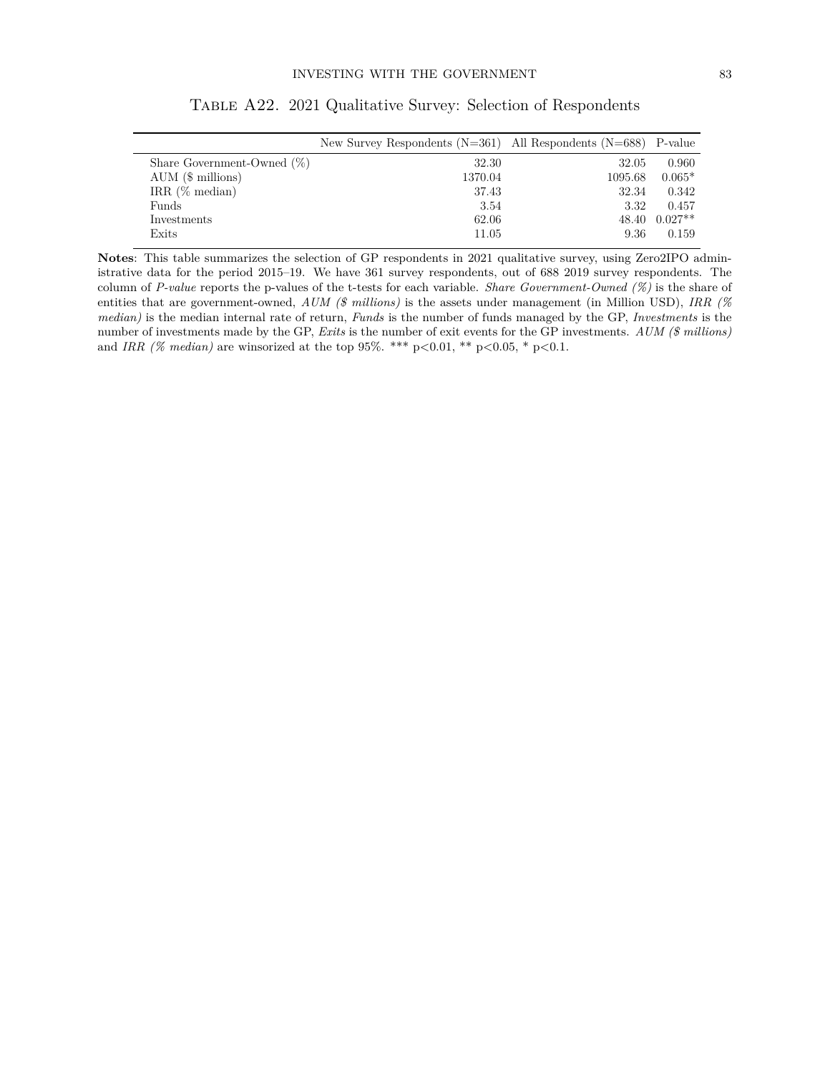|                               | New Survey Respondents $(N=361)$ All Respondents $(N=688)$ P-value |         |               |
|-------------------------------|--------------------------------------------------------------------|---------|---------------|
| Share Government-Owned $(\%)$ | 32.30                                                              | 32.05   | 0.960         |
| AUM (\$ millions)             | 1370.04                                                            | 1095.68 | $0.065*$      |
| IRR $(\%$ median)             | 37.43                                                              | 32.34   | 0.342         |
| Funds                         | 3.54                                                               | 3.32    | 0.457         |
| Investments                   | 62.06                                                              |         | 48.40 0.027** |
| Exits                         | 11.05                                                              | 9.36    | 0.159         |

Table A22. 2021 Qualitative Survey: Selection of Respondents

**Notes**: This table summarizes the selection of GP respondents in 2021 qualitative survey, using Zero2IPO administrative data for the period 2015–19. We have 361 survey respondents, out of 688 2019 survey respondents. The column of *P-value* reports the p-values of the t-tests for each variable. *Share Government-Owned (%)* is the share of entities that are government-owned, *AUM (\$ millions)* is the assets under management (in Million USD), *IRR (% median)* is the median internal rate of return, *Funds* is the number of funds managed by the GP, *Investments* is the number of investments made by the GP, *Exits* is the number of exit events for the GP investments. *AUM (\$ millions)* and *IRR (% median)* are winsorized at the top 95%. \*\*\* p*<*0.01, \*\* p*<*0.05, \* p*<*0.1.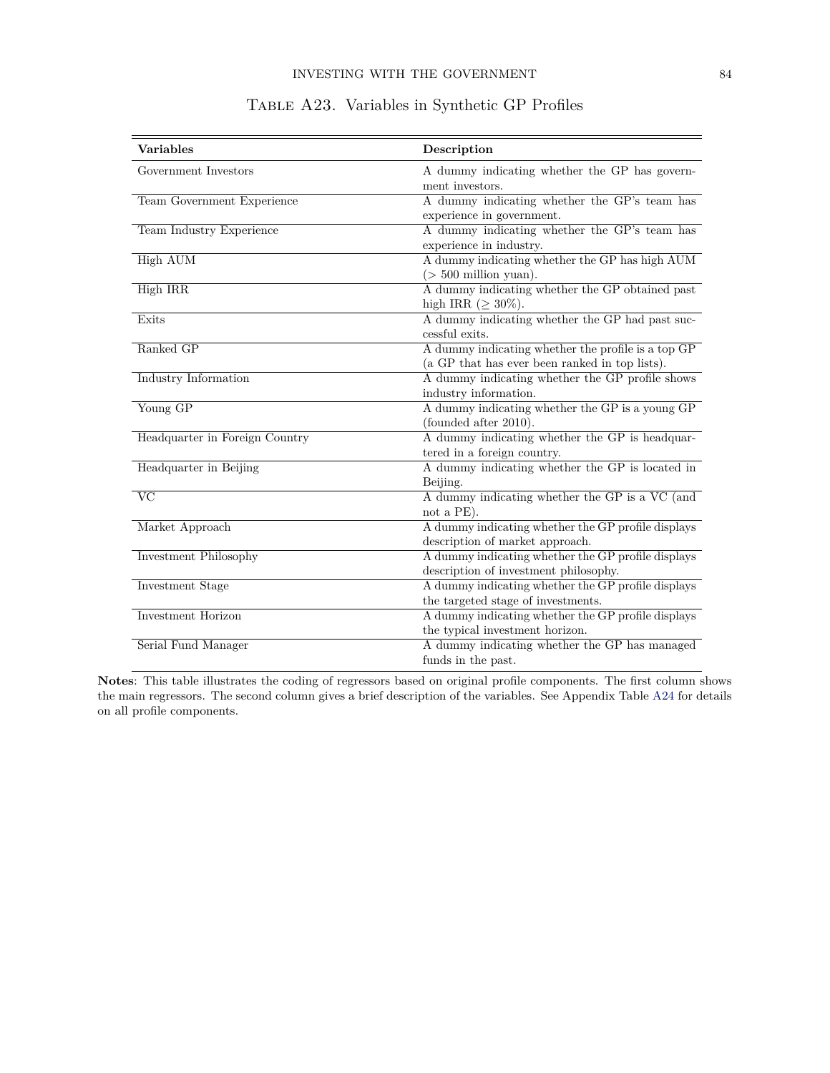<span id="page-24-0"></span>

| <b>Variables</b>               | Description                                                               |
|--------------------------------|---------------------------------------------------------------------------|
| Government Investors           | A dummy indicating whether the GP has govern-<br>ment investors.          |
| Team Government Experience     | A dummy indicating whether the GP's team has<br>experience in government. |
| Team Industry Experience       | A dummy indicating whether the GP's team has                              |
|                                | experience in industry.                                                   |
| <b>High AUM</b>                | A dummy indicating whether the GP has high AUM                            |
|                                | $($ > 500 million yuan).                                                  |
| High IRR                       | A dummy indicating whether the GP obtained past                           |
|                                | high IRR ( $\geq 30\%$ ).                                                 |
| Exits                          | A dummy indicating whether the GP had past suc-                           |
|                                | cessful exits.                                                            |
| Ranked GP                      | A dummy indicating whether the profile is a top GP                        |
|                                | (a GP that has ever been ranked in top lists).                            |
| Industry Information           | A dummy indicating whether the GP profile shows                           |
|                                | industry information.                                                     |
| Young GP                       | A dummy indicating whether the GP is a young GP                           |
|                                | (founded after 2010).                                                     |
| Headquarter in Foreign Country | A dummy indicating whether the GP is headquar-                            |
|                                | tered in a foreign country.                                               |
| Headquarter in Beijing         | A dummy indicating whether the GP is located in                           |
|                                | Beijing.                                                                  |
| $\overline{\text{VC}}$         | A dummy indicating whether the GP is a VC (and                            |
|                                | not a PE).                                                                |
| Market Approach                | A dummy indicating whether the GP profile displays                        |
|                                | description of market approach.                                           |
| Investment Philosophy          | A dummy indicating whether the GP profile displays                        |
|                                | description of investment philosophy.                                     |
| <b>Investment Stage</b>        | A dummy indicating whether the GP profile displays                        |
|                                | the targeted stage of investments.                                        |
| Investment Horizon             | A dummy indicating whether the GP profile displays                        |
|                                | the typical investment horizon.                                           |
| Serial Fund Manager            | A dummy indicating whether the GP has managed                             |
|                                | funds in the past.                                                        |

## Table A23. Variables in Synthetic GP Profiles

**Notes**: This table illustrates the coding of regressors based on original profile components. The first column shows the main regressors. The second column gives a brief description of the variables. See Appendix Table [A24](#page-25-0) for details on all profile components.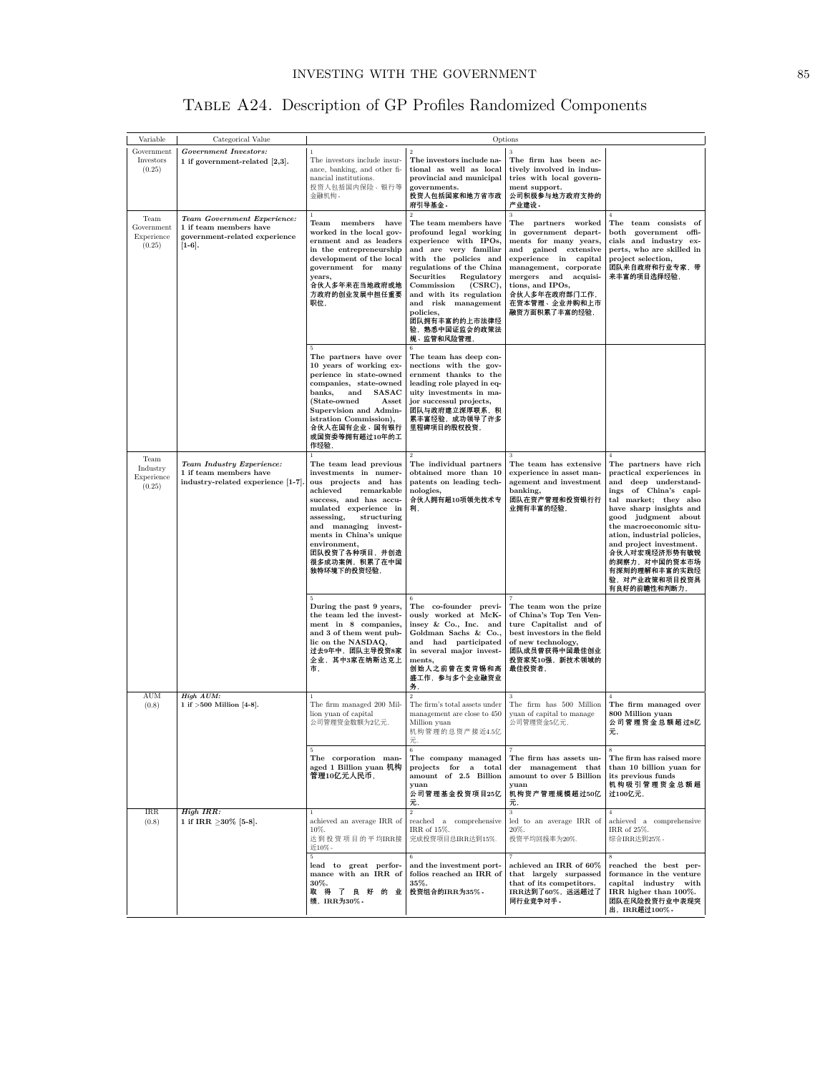| TABLE A24. Description of GP Profiles Randomized Components |  |  |  |
|-------------------------------------------------------------|--|--|--|
|                                                             |  |  |  |

<span id="page-25-0"></span>

| Variable                                   | Categorical Value                                                                                  | Options                                                                                                                                                                                                                                                                                               |                                                                                                                                                                                                                                                                                                                                              |                                                                                                                                                                                                                                                        |                                                                                                                                                                                                                                                                                                                                                         |
|--------------------------------------------|----------------------------------------------------------------------------------------------------|-------------------------------------------------------------------------------------------------------------------------------------------------------------------------------------------------------------------------------------------------------------------------------------------------------|----------------------------------------------------------------------------------------------------------------------------------------------------------------------------------------------------------------------------------------------------------------------------------------------------------------------------------------------|--------------------------------------------------------------------------------------------------------------------------------------------------------------------------------------------------------------------------------------------------------|---------------------------------------------------------------------------------------------------------------------------------------------------------------------------------------------------------------------------------------------------------------------------------------------------------------------------------------------------------|
| Government<br>Investors<br>(0.25)          | Government Investors:<br>1 if government-related $[2,3]$ .                                         | The investors include insur-<br>ance, banking, and other fi-<br>nancial institutions.<br>投资人包括国内保险、银行等<br>金融机构。                                                                                                                                                                                       | $\,2\,$<br>The investors include na-<br>tional as well as local<br>provincial and municipal<br>governments.<br>投资人包括国家和地方省市政<br>府引导基金。                                                                                                                                                                                                       | $\overline{\mathbf{3}}$<br>The firm has been ac-<br>tively involved in indus-<br>tries with local govern-<br>ment support.<br>公司积极参与地方政府支持的<br>产业建设。                                                                                                   |                                                                                                                                                                                                                                                                                                                                                         |
| Team<br>Government<br>Experience<br>(0.25) | Team Government Experience:<br>1 if team members have<br>government-related experience<br>$[1-6].$ | $\mathbf{1}$<br>Team members have<br>worked in the local gov-<br>ernment and as leaders<br>in the entrepreneurship<br>development of the local<br>government for many<br>years,<br>合伙人多年来在当地政府或地<br>方政府的创业发展中担任重要<br>职位,                                                                              | $\overline{2}$<br>The team members have<br>profound legal working<br>experience with IPOs,<br>and are very familiar<br>with the policies and<br>regulations of the China<br>Regulatory<br>Securities<br>(CSRC),<br>Commission<br>and with its regulation<br>and risk management<br>policies.<br>团队拥有丰富的的上市法律经<br>验,熟悉中国证监会的政策法<br>规、监管和风险管理, | 3<br>The partners<br>worked<br>in government depart-<br>ments for many years,<br>and gained extensive<br>experience in capital<br>management, corporate<br>mergers and acquisi-<br>tions, and IPOs,<br>合伙人多年在政府部门工作,<br>在资本管理、企业并购和上市<br>融资方面积累了丰富的经验, | $\overline{4}$<br>The team consists of<br>both government offi-<br>cials and industry ex-<br>perts, who are skilled in<br>project selection,<br>团队来自政府和行业专家,带<br>来丰富的项目选择经验,                                                                                                                                                                            |
|                                            |                                                                                                    | 5.<br>The partners have over<br>10 years of working ex-<br>perience in state-owned<br>companies, state-owned<br>banks,<br>and<br>SASAC<br>(State-owned<br>Asset<br>Supervision and Admin-<br>istration Commission),<br>合伙人在国有企业、国有银行<br>或国资委等拥有超过10年的工<br>作经验,                                        | The team has deep con-<br>nections with the gov-<br>ernment thanks to the<br>leading role played in eq-<br>uity investments in ma-<br>jor successul projects,<br>团队与政府建立深厚联系,积<br>累丰富经验,成功领导了许多<br>里程碑项目的股权投资,                                                                                                                               |                                                                                                                                                                                                                                                        |                                                                                                                                                                                                                                                                                                                                                         |
| Team<br>Industry<br>Experience<br>(0.25)   | Team Industry Experience:<br>1 if team members have<br>industry-related experience [1-7].          | The team lead previous<br>investments in numer-<br>ous projects and has<br>achieved<br>remarkable<br>success, and has accu-<br>mulated experience in<br>assessing,<br>structuring<br>and managing invest-<br>ments in China's unique<br>environment,<br>团队投资了各种项目,并创造<br>很多成功案例,积累了在中国<br>独特环境下的投资经验, | The individual partners<br>obtained more than 10<br>patents on leading tech-<br>nologies,<br>合伙人拥有超10项领先技术专<br>利,                                                                                                                                                                                                                            | The team has extensive<br>experience in asset man-<br>agement and investment<br>banking,<br>团队在资产管理和投资银行行<br>业拥有丰富的经验,                                                                                                                                 | The partners have rich<br>practical experiences in<br>and deep understand-<br>ings of China's capi-<br>tal market; they also<br>have sharp insights and<br>good judgment about<br>the macroeconomic situ-<br>ation, industrial policies,<br>and project investment.<br>合伙人对宏观经济形势有敏锐<br>的洞察力,对中国的资本市场<br>有深刻的理解和丰富的实践经<br>验,对产业政策和项目投资具<br>有良好的前瞻性和判断力, |
|                                            |                                                                                                    | During the past 9 years,<br>the team led the invest-<br>ment in 8 companies,<br>and 3 of them went pub-<br>lic on the NASDAQ,<br>过去9年中,团队主导投资8家<br>企业, 其中3家在纳斯达克上<br>市.                                                                                                                               | The co-founder previ-<br>ously worked at McK-<br>insey & Co., Inc. and<br>Goldman Sachs & Co.,<br>and had participated<br>in several major invest-<br>ments.<br>创始人之前曾在麦肯锡和高<br>盛工作,参与多个企业融资业<br>务,                                                                                                                                          | The team won the prize<br>of China's Top Ten Ven-<br>ture Capitalist and of<br>best investors in the field<br>of new technology,<br>团队成员曾获得中国最佳创业<br>投资家奖10强, 新技术领域的<br>最佳投资者,                                                                         |                                                                                                                                                                                                                                                                                                                                                         |
| <b>AUM</b><br>(0.8)                        | High AUM:<br>1 if $>500$ Million [4-8].                                                            | $1\,$<br>The firm managed 200 Mil-<br>lion yuan of capital<br>公司管理资金数额为2亿元,                                                                                                                                                                                                                           | $\,2$<br>The firm's total assets under<br>management are close to 450<br>Million yuan<br>机构管理的总资产接近4.5亿<br>元,                                                                                                                                                                                                                                | 3<br>The firm has 500 Million<br>yuan of capital to manage<br>公司管理资金5亿元,                                                                                                                                                                               | The firm managed over<br>800 Million yuan<br>公司管理资金总额超过8亿<br>元,                                                                                                                                                                                                                                                                                         |
|                                            |                                                                                                    | $\,$ 5 $\,$<br>The corporation man-<br>aged 1 Billion yuan 机构<br>管理10亿元人民币,                                                                                                                                                                                                                           | 6<br>The company managed<br>projects for a total<br>amount of 2.5 Billion<br>yuan<br>公司管理基金投资项目25亿<br>元,                                                                                                                                                                                                                                     | 7<br>The firm has assets un-<br>der management that<br>amount to over 5 Billion<br>yuan<br>机构资产管理规模超过50亿<br>元,                                                                                                                                         | 8<br>The firm has raised more<br>than 10 billion yuan for<br>its previous funds<br>机构吸引管理资金总额超<br>过100亿元,                                                                                                                                                                                                                                               |
| <b>IRR</b><br>(0.8)                        | High IRR:<br>1 if IRR $\geq$ 30% [5-8].                                                            | $\mathbf{1}$<br>achieved an average IRR of<br>10%.<br>达到投资项目的平均IRR接<br>近10%。                                                                                                                                                                                                                          | $\,2\,$<br>reached a comprehensive<br>IRR of 15%.<br>完成投资项目总IRR达到15%.                                                                                                                                                                                                                                                                        | $\sqrt{3}$<br>led to an average IRR of<br>20%.<br>投资平均回报率为20%.                                                                                                                                                                                         | $\overline{4}$<br>achieved a comprehensive<br>IRR of 25%.<br>综合IRR达到25%。                                                                                                                                                                                                                                                                                |
|                                            |                                                                                                    | 5<br>lead to great perfor-<br>mance with an IRR of<br>30%.<br>取得了良好的业<br>绩,IRR为30%。                                                                                                                                                                                                                   | 6<br>and the investment port-<br>folios reached an IRR of<br>35%.<br>投资组合的IRR为35%。                                                                                                                                                                                                                                                           | $\scriptstyle{7}$<br>achieved an IRR of 60%<br>that largely surpassed<br>that of its competitors.<br>IRR达到了60%,远远超过了<br>同行业竞争对手。                                                                                                                       | 8<br>reached the best per-<br>formance in the venture<br>capital industry with<br>IRR higher than 100%.<br>团队在风险投资行业中表现突<br>出, IRR超过100%。                                                                                                                                                                                                               |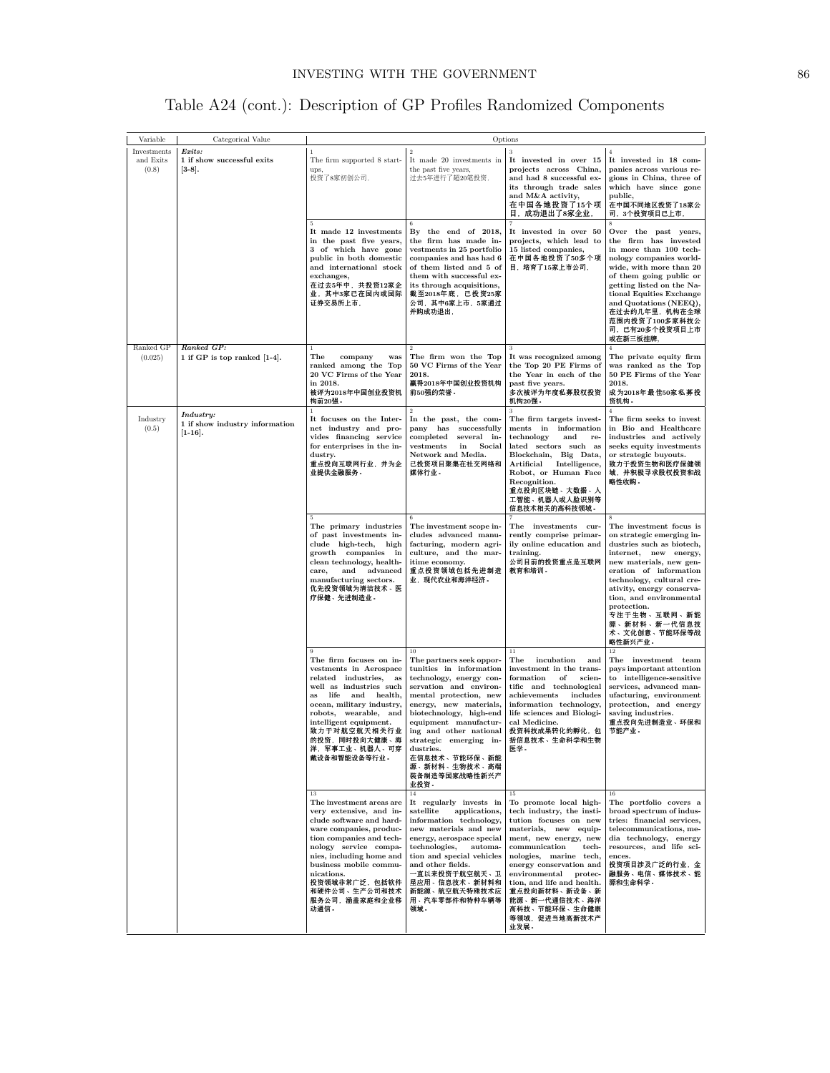| Table A24 (cont.): Description of GP Profiles Randomized Components |  |  |  |  |  |  |
|---------------------------------------------------------------------|--|--|--|--|--|--|
|---------------------------------------------------------------------|--|--|--|--|--|--|

| Variable                          | Categorical Value                                         | Options                                                                                                                                                                                                                                                                                              |                                                                                                                                                                                                                                                                                                                                                 |                                                                                                                                                                                                                                                                                                                                                        |                                                                                                                                                                                                                                                                                                                                 |
|-----------------------------------|-----------------------------------------------------------|------------------------------------------------------------------------------------------------------------------------------------------------------------------------------------------------------------------------------------------------------------------------------------------------------|-------------------------------------------------------------------------------------------------------------------------------------------------------------------------------------------------------------------------------------------------------------------------------------------------------------------------------------------------|--------------------------------------------------------------------------------------------------------------------------------------------------------------------------------------------------------------------------------------------------------------------------------------------------------------------------------------------------------|---------------------------------------------------------------------------------------------------------------------------------------------------------------------------------------------------------------------------------------------------------------------------------------------------------------------------------|
| Investments<br>and Exits<br>(0.8) | Exits:<br>1 if show successful exits<br>$[3-8]$ .         | $\mathbf{1}$<br>The firm supported 8 start-<br>ups.<br>投资了8家初创公司,                                                                                                                                                                                                                                    | $\,2\,$<br>It made 20 investments in<br>the past five years,<br>过去5年进行了超20笔投资,                                                                                                                                                                                                                                                                  | $\sqrt{3}$<br>It invested in over 15<br>projects across China.<br>and had 8 successful ex-<br>its through trade sales<br>and M&A activity,<br>在中国各地投资了15个项<br>目,成功退出了8家企业,                                                                                                                                                                             | $\overline{4}$<br>It invested in 18 com-<br>panies across various re-<br>gions in China, three of<br>which have since gone<br>public,<br>在中国不同地区投资了18家公<br>司,3个投资项目已上市,                                                                                                                                                         |
|                                   |                                                           | 5<br>It made 12 investments<br>in the past five years,<br>3 of which have gone<br>public in both domestic<br>and international stock<br>exchanges,<br>在过去5年中,共投资12家企<br>业,其中3家已在国内或国际<br>证券交易所上市,                                                                                                    | By the end of 2018,<br>the firm has made in-<br>vestments in 25 portfolio<br>companies and has had 6<br>of them listed and 5 of<br>them with successful ex-<br>its through acquisitions,<br>截至2018年底, 已投资25家<br>公司,其中6家上市,5家通过<br>并购成功退出,                                                                                                       | It invested in over 50<br>projects, which lead to<br>15 listed companies,<br>在中国各地投资了50多个项<br>目, 培育了15家上市公司,                                                                                                                                                                                                                                           | Over the past years,<br>the firm has invested<br>in more than 100 tech-<br>nology companies world-<br>wide, with more than 20<br>of them going public or<br>getting listed on the Na-<br>tional Equities Exchange<br>and Quotations (NEEQ),<br>在过去的几年里, 机构在全球<br>范围内投资了100多家科技公<br>司,已有20多个投资项目上市<br>或在新三板挂牌,                   |
| Ranked GP<br>(0.025)              | Ranked GP:<br>1 if GP is top ranked [1-4].                | $\mathbf{1}$<br>The<br>company<br>was<br>ranked among the Top<br>20 VC Firms of the Year<br>in 2018.<br>被评为2018年中国创业投资机<br>构前20强。<br>$\mathbf{1}$                                                                                                                                                    | The firm won the Top<br>50 VC Firms of the Year<br>2018.<br>贏得2018年中国创业投资机构<br>前50强的荣誉。<br>$\overline{2}$                                                                                                                                                                                                                                       | $\sqrt{3}$<br>It was recognized among<br>the Top 20 PE Firms of<br>the Year in each of the<br>past five years.<br>多次被评为年度私募股权投资<br>机构20强。<br>3                                                                                                                                                                                                         | The private equity firm<br>was ranked as the Top<br>50 PE Firms of the Year<br>2018.<br>成为2018年最佳50家私募投<br>资机构。<br>$\overline{4}$                                                                                                                                                                                               |
| Industry<br>(0.5)                 | Industry:<br>1 if show industry information<br>$[1-16]$ . | It focuses on the Inter-<br>net industry and pro-<br>vides financing service<br>for enterprises in the in-<br>dustry.<br>重点投向互联网行业,并为企<br>业提供金融服务。                                                                                                                                                   | In the past, the com-<br>pany has successfully<br>$\mathop{\mathrm{completed}}$<br>several in-<br>vestments<br>Social<br>in<br>Network and Media.<br>已投资项目聚集在社交网络和<br>媒体行业。                                                                                                                                                                     | The firm targets invest-<br>ments in information<br>technology<br>and<br>re-<br>lated sectors such as<br>Blockchain, Big Data,<br>Artificial<br>Intelligence,<br>Robot, or Human Face<br>Recognition.<br>重点投向区块链、大数据、人<br>工智能、机器人或人脸识别等<br>信息技术相关的高科技领域。                                                                                               | The firm seeks to invest<br>in Bio and Healthcare<br>industries and actively<br>seeks equity investments<br>or strategic buyouts.<br>致力于投资生物和医疗保健领<br>域,并积极寻求股权投资和战<br>略性收购。                                                                                                                                                    |
|                                   |                                                           | The primary industries<br>of past investments in-<br>clude high-tech, high<br>growth companies in<br>clean technology, health-<br>and advanced<br>care,<br>manufacturing sectors.<br>优先投资领域为清洁技术、医<br>疗保健、先进制造业。                                                                                     | The investment scope in-<br>cludes advanced manu-<br>facturing, modern agri-<br>culture, and the mar-<br>itime economy.<br>重点投资领域包括先进制造<br>业,现代农业和海洋经济。                                                                                                                                                                                         | The investments cur-<br>rently comprise primar-<br>ily online education and<br>training.<br>公司目前的投资重点是互联网<br>教育和培训。                                                                                                                                                                                                                                    | The investment focus is<br>on strategic emerging in-<br>dustries such as biotech,<br>internet, new energy,<br>new materials, new gen-<br>eration of information<br>technology, cultural cre-<br>ativity, energy conserva-<br>tion, and environmental<br>protection.<br>专注于生物、互联网、新能<br>源、新材料、新一代信息技<br>术、文化创意、节能环保等战<br>略性新兴产业。 |
|                                   |                                                           | The firm focuses on in-<br>vestments in Aerospace<br>$related$ $industries$ ,<br>as<br>well as industries such<br>life<br>and health,<br>as<br>ocean, military industry,<br>robots, wearable, and<br>intelligent equipment.<br>致力于对航空航天相关行业<br>的投资,同时投向大健康、海<br>洋,军事工业、机器人、可穿<br>戴设备和智能设备等行业。        | The partners seek oppor-<br>tunities in information<br>technology, energy con-<br>servation and environ-<br>mental protection, new<br>energy, new materials,<br>biotechnology, high-end<br>equipment manufactur-<br>ing and other national<br>strategic emerging<br>ın-<br>dustries.<br>在信息技术、节能环保、新能<br>源、新材料、生物技术、高端<br>装备制造等国家战略性新兴产<br>业投资。 | $11\,$<br>The<br>incubation<br>and<br>investment in the trans-<br>formation<br>of<br>scien-<br>tific and technological<br>$\rm{achievements}$<br>includes<br>information technology,<br>life sciences and Biologi-<br>cal Medicine.<br>投资科技成果转化的孵化,包<br>括信息技术、生命科学和生物<br>医学。                                                                           | 12<br>The investment team<br>pays important attention<br>to intelligence-sensitive<br>services, advanced man-<br>ufacturing, environment<br>protection, and energy<br>saving industries.<br>重点投向先进制造业、环保和<br>节能产业。                                                                                                              |
|                                   |                                                           | 13<br>The investment areas are<br>very extensive, and in-<br>clude software and hard-<br>ware companies, produc-<br>tion companies and tech-<br>nology service compa-<br>nies, including home and<br>business mobile commu-<br>nications.<br>投资领域非常广泛,包括软件<br>和硬件公司、生产公司和技术<br>服务公司,涵盖家庭和企业移<br>动通信。 | 14<br>It regularly invests in<br>satellite<br>applications,<br>information technology,<br>new materials and new<br>energy, aerospace special<br>technologies,<br>automa-<br>tion and special vehicles<br>and other fields.<br>一直以来投资于航空航天、卫<br>星应用、信息技术、新材料和<br>新能源、航空航天特殊技术应<br>用、汽车零部件和特种车辆等<br>领域。                                           | 15<br>To promote local high-<br>tech industry, the insti-<br>tution focuses on new<br>materials, new equip-<br>ment, new energy, new<br>communication<br>tech-<br>nologies, marine tech,<br>energy conservation and<br>environmental protec-<br>tion, and life and health.<br>重点投向新材料、新设备、新<br>能源、新一代通信技术、海洋<br>高科技、节能环保、生命健康<br>等领域,促进当地高新技术产<br>业发展。 | $16\,$<br>The portfolio covers a<br>broad spectrum of indus-<br>tries: financial services,<br>telecommunications, me-<br>dia technology, energy<br>resources, and life sci-<br>ences.<br>投资项目涉及广泛的行业,金<br>融服务、电信、媒体技术、能<br>源和生命科学。                                                                                              |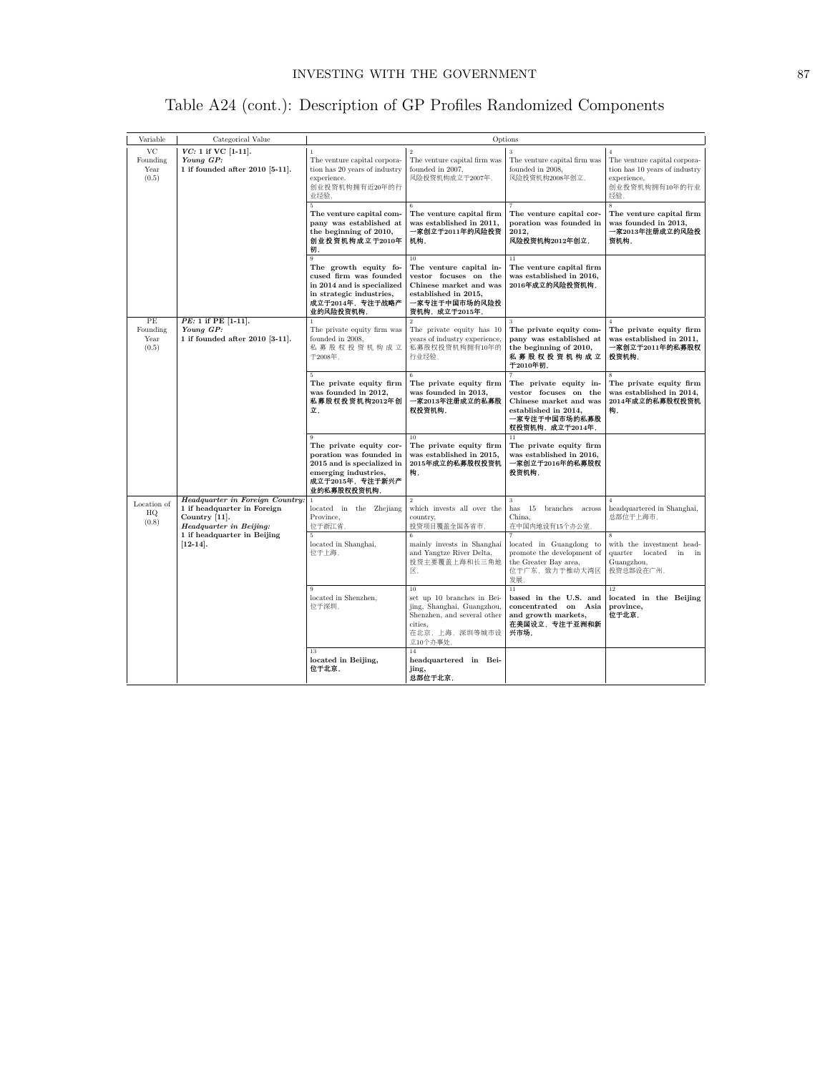|  |  | Table A24 (cont.): Description of GP Profiles Randomized Components |  |  |  |  |
|--|--|---------------------------------------------------------------------|--|--|--|--|
|--|--|---------------------------------------------------------------------|--|--|--|--|

| Variable                        | Categorical Value                                                                                                 | Options                                                                                                                                                      |                                                                                                                                             |                                                                                                                                        |                                                                                                                        |
|---------------------------------|-------------------------------------------------------------------------------------------------------------------|--------------------------------------------------------------------------------------------------------------------------------------------------------------|---------------------------------------------------------------------------------------------------------------------------------------------|----------------------------------------------------------------------------------------------------------------------------------------|------------------------------------------------------------------------------------------------------------------------|
| VC<br>Founding<br>Year<br>(0.5) | $VC: 1$ if $VC$ [1-11].<br>Young GP:<br>1 if founded after 2010 [5-11].                                           | $\mathbf{1}$<br>The venture capital corpora-<br>tion has 20 years of industry<br>experience.<br>创业投资机构拥有近20年的行<br>业经验,                                       | $\overline{2}$<br>The venture capital firm was<br>founded in 2007.<br>风险投资机构成立于2007年,                                                       | The venture capital firm was<br>founded in 2008.<br>风险投资机构2008年创立,                                                                     | $\overline{4}$<br>The venture capital corpora-<br>tion has 10 years of industry<br>experience,<br>创业投资机构拥有10年的行业<br>经验 |
|                                 |                                                                                                                   | $\overline{5}$<br>The venture capital com-<br>pany was established at<br>the beginning of 2010,<br>创业投资机构成立于2010年<br>初,                                      | The venture capital firm<br>was established in 2011.<br>一家创立于2011年的风险投资<br>机构,                                                              | The venture capital cor-<br>poration was founded in<br>2012,<br>风险投资机构2012年创立,                                                         | 8<br>The venture capital firm<br>was founded in 2013.<br>一家2013年注册成立的风险投<br>资机构,                                       |
|                                 |                                                                                                                   | $\overline{9}$<br>The growth equity fo-<br>cused firm was founded<br>in 2014 and is specialized<br>in strategic industries,<br>成立于2014年,专注于战略产<br>业的风险投资机构,  | 10<br>The venture capital in-<br>vestor focuses on the<br>Chinese market and was<br>established in 2015,<br>一家专注于中国市场的风险投<br>资机构, 成立于2015年, | 11<br>The venture capital firm<br>was established in 2016,<br>2016年成立的风险投资机构,                                                          |                                                                                                                        |
| PE<br>Founding<br>Year<br>(0.5) | PE: 1 if PE [1-11].<br>Young GP:<br>1 if founded after 2010 [3-11].                                               | The private equity firm was<br>founded in 2008,<br>私募股权投资机构成立<br>于2008年,<br>5                                                                                | $\overline{2}$<br>The private equity has 10<br>years of industry experience,<br>私募股权投资机构拥有10年的<br>行业经验.                                     | 3<br>The private equity com-<br>pany was established at<br>the beginning of 2010,<br>私募股权投资机构成立<br>于2010年初,                            | The private equity firm<br>was established in 2011,<br>一家创立于2011年的私募股权<br>投资机构,<br>$\bar{\mathbf{x}}$                  |
|                                 |                                                                                                                   | The private equity firm<br>was founded in 2012,<br>私募股权投资机构2012年创<br>立.                                                                                      | The private equity firm<br>was founded in 2013,<br>一家2013年注册成立的私募股<br>权投资机构,                                                                | The private equity in-<br>vestor focuses on the<br>Chinese market and was<br>established in 2014,<br>一家专注于中国市场的私募股<br>权投资机构, 成立于2014年, | The private equity firm<br>was established in 2014,<br>2014年成立的私募股权投资机<br>构.                                           |
|                                 |                                                                                                                   | $\overline{9}$<br>The private equity cor-<br>poration was founded in<br>2015 and is specialized in<br>emerging industries,<br>成立于2015年,专注于新兴产<br>业的私募股权投资机构, | 10<br>The private equity firm<br>was established in 2015,<br>2015年成立的私募股权投资机<br>构,                                                          | 11<br>The private equity firm<br>was established in 2016,<br>一家创立于2016年的私募股权<br>投资机构,                                                  |                                                                                                                        |
| Location of<br>HQ<br>(0.8)      | <b>Headquarter in Foreign Country:</b><br>1 if headquarter in Foreign<br>Country [11].<br>Headquarter in Beijing: | $\,1\,$<br>located in the Zhejiang<br>Province,<br>位于浙江省.                                                                                                    | which invests all over the<br>country,<br>投资项目覆盖全国各省市,                                                                                      | 3<br>has 15 branches across<br>China.<br>在中国内地设有15个办公室,                                                                                | headquartered in Shanghai,<br>总部位于上海市、                                                                                 |
|                                 | 1 if headquarter in Beijing<br>$[12-14]$ .                                                                        | located in Shanghai,<br>位于上海.                                                                                                                                | mainly invests in Shanghai<br>and Yangtze River Delta,<br>投资主要覆盖上海和长三角地<br>区.                                                               | located in Guangdong to<br>promote the development of<br>the Greater Bay area,<br>位于广东, 致力于推动大湾区<br>发展.                                | $\overline{\mathbf{s}}$<br>with the investment head-<br>quarter located<br>in<br>in<br>Guangzhou,<br>投资总部设在广州,         |
|                                 |                                                                                                                   | o.<br>located in Shenzhen,<br>位于深圳.                                                                                                                          | 10<br>set up 10 branches in Bei-<br>jing, Shanghai, Guangzhou,<br>Shenzhen, and several other<br>cities.<br>在北京, 上海, 深圳等城市设<br>立10个办事处,     | $\overline{11}$<br>based in the U.S. and<br>concentrated on Asia<br>and growth markets,<br>在美国设立,专注于亚洲和新<br>兴市场,                       | $\overline{12}$<br>located in the Beijing<br>province,<br>位于北京,                                                        |
|                                 |                                                                                                                   | 13<br>located in Beijing,<br>位于北京,                                                                                                                           | 14<br>headquartered in Bei-<br>jing,<br>总部位于北京,                                                                                             |                                                                                                                                        |                                                                                                                        |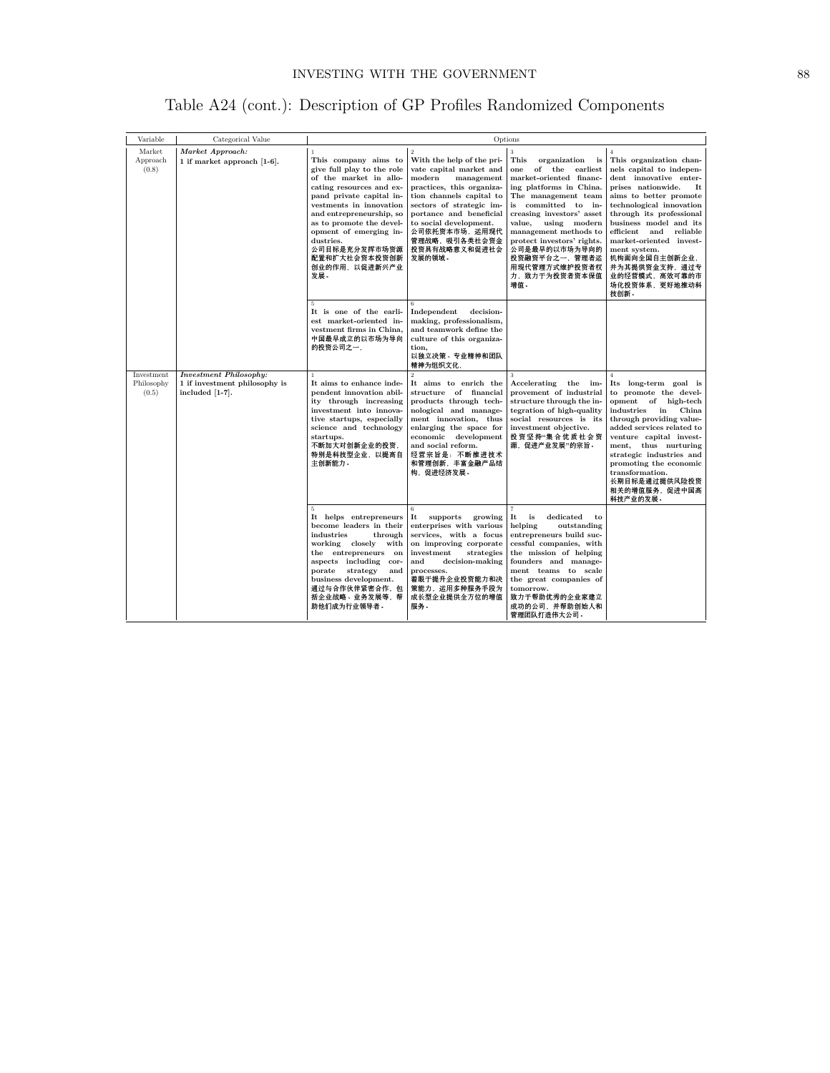| Table A24 (cont.): Description of GP Profiles Randomized Components |  |  |  |  |
|---------------------------------------------------------------------|--|--|--|--|
|---------------------------------------------------------------------|--|--|--|--|

| Variable                                                                       | Categorical Value                                                                 | Options                                                                                                                                                                                                                                                                                                                                    |                                                                                                                                                                                                                                                                                                       |                                                                                                                                                                                                                                                                                                                                                        |                                                                                                                                                                                                                                                                                                                                                                                                |
|--------------------------------------------------------------------------------|-----------------------------------------------------------------------------------|--------------------------------------------------------------------------------------------------------------------------------------------------------------------------------------------------------------------------------------------------------------------------------------------------------------------------------------------|-------------------------------------------------------------------------------------------------------------------------------------------------------------------------------------------------------------------------------------------------------------------------------------------------------|--------------------------------------------------------------------------------------------------------------------------------------------------------------------------------------------------------------------------------------------------------------------------------------------------------------------------------------------------------|------------------------------------------------------------------------------------------------------------------------------------------------------------------------------------------------------------------------------------------------------------------------------------------------------------------------------------------------------------------------------------------------|
| Market<br>Market Approach:<br>Approach<br>1 if market approach [1-6].<br>(0.8) |                                                                                   | $\overline{1}$<br>This company aims to<br>give full play to the role<br>of the market in allo-<br>cating resources and ex-<br>pand private capital in-<br>vestments in innovation<br>and entrepreneurship, so<br>as to promote the devel-<br>opment of emerging in-<br>dustries.<br>公司目标是充分发挥市场资源<br>配置和扩大社会资本投资创新<br>创业的作用,以促进新兴产业<br>发展。 | $\overline{2}$<br>With the help of the pri-<br>vate capital market and<br>modern<br>management<br>practices, this organiza-<br>tion channels capital to<br>sectors of strategic im-<br>portance and beneficial<br>to social development.<br>公司依托资本市场,运用现代<br>管理战略,吸引各类社会资金<br>投资具有战略意义和促进社会<br>发展的领域。 | 3<br>This<br>organization<br>is<br>of the earliest<br>one<br>market-oriented financ-<br>ing platforms in China.<br>The management team<br>is committed to in-<br>creasing investors' asset<br>value.<br>using modern<br>management methods to<br>protect investors' rights.<br>公司是最早的以市场为导向的<br>投资融资平台之一,管理者运<br>用现代管理方式维护投资者权<br>力、致力于为投资者资本保值<br>增值。 | $\overline{A}$<br>This organization chan-<br>nels capital to indepen-<br>dent innovative enter-<br>prises nationwide.<br>It<br>aims to better promote<br>technological innovation<br>through its professional<br>business model and its<br>efficient<br>and<br>reliable<br>market-oriented invest-<br>ment system.<br>机构面向全国自主创新企业,<br>并为其提供资金支持,通过专<br>业的经营模式,高效可靠的市<br>场化投资体系,更好地推动科<br>技创新。 |
|                                                                                |                                                                                   | 5<br>It is one of the earli-<br>est market-oriented in-<br>vestment firms in China,<br>中国最早成立的以市场为导向<br>的投资公司之一,                                                                                                                                                                                                                           | 6<br>decision-<br>Independent<br>making, professionalism,<br>and teamwork define the<br>culture of this organiza-<br>tion.<br>以独立决策、专业精神和团队<br>精神为组织文化,                                                                                                                                               |                                                                                                                                                                                                                                                                                                                                                        |                                                                                                                                                                                                                                                                                                                                                                                                |
| Investment<br>Philosophy<br>(0.5)                                              | <b>Investment Philosophy:</b><br>1 if investment philosophy is<br>included [1-7]. | $\overline{1}$<br>It aims to enhance inde-<br>pendent innovation abil-<br>ity through increasing<br>investment into innova-<br>tive startups, especially<br>science and technology<br>startups.<br>不断加大对创新企业的投资,<br>特别是科技型企业,以提高自<br>主创新能力。                                                                                                | $\overline{2}$<br>It aims to enrich the<br>structure of financial<br>products through tech-<br>nological and manage-<br>ment innovation, thus<br>enlarging the space for<br>economic development<br>and social reform.<br>经营宗旨是: 不断推进技术<br>和管理创新、丰富金融产品结<br>构,促进经济发展。                                 | 3<br>Accelerating<br>the im-<br>provement of industrial<br>structure through the in-<br>tegration of high-quality<br>social resources is its<br>investment objective.<br>投资坚持"集合优质社会资<br>源,促进产业发展"的宗旨。                                                                                                                                                 | $\overline{4}$<br>Its long-term goal is<br>to promote the devel-<br>opment<br>of high-tech<br>China<br>industries<br>in<br>through providing value-<br>added services related to<br>venture capital invest-<br>ment, thus nurturing<br>strategic industries and<br>promoting the economic<br>transformation.<br>长期目标是通过提供风险投资<br>相关的増值服务,促进中国高<br>科技产业的发展。                                     |
|                                                                                |                                                                                   | 5<br>It helps entrepreneurs<br>become leaders in their<br>industries<br>through<br>working closely<br>with<br>the entrepreneurs on<br>aspects including cor-<br>porate<br>strategy<br>and<br>business development.<br>通过与合作伙伴紧密合作,包<br>括企业战略、业务发展等,帮<br>助他们成为行业领导者。                                                                        | 6<br>It<br>supports<br>growing<br>enterprises with various<br>services, with a focus<br>on improving corporate<br>investment<br>strategies<br>and<br>decision-making<br>processes.<br>着眼于提升企业投资能力和决<br>策能力,运用多种服务手段为<br>成长型企业提供全方位的增值<br>服务。                                                          | $\overline{7}$<br>It<br>is<br>dedicated<br>to<br>outstanding<br>helping<br>entrepreneurs build suc-<br>cessful companies, with<br>the mission of helping<br>founders and manage-<br>ment teams to scale<br>the great companies of<br>tomorrow.<br>致力于帮助优秀的企业家建立<br>成功的公司,并帮助创始人和<br>管理团队打造伟大公司。                                                        |                                                                                                                                                                                                                                                                                                                                                                                                |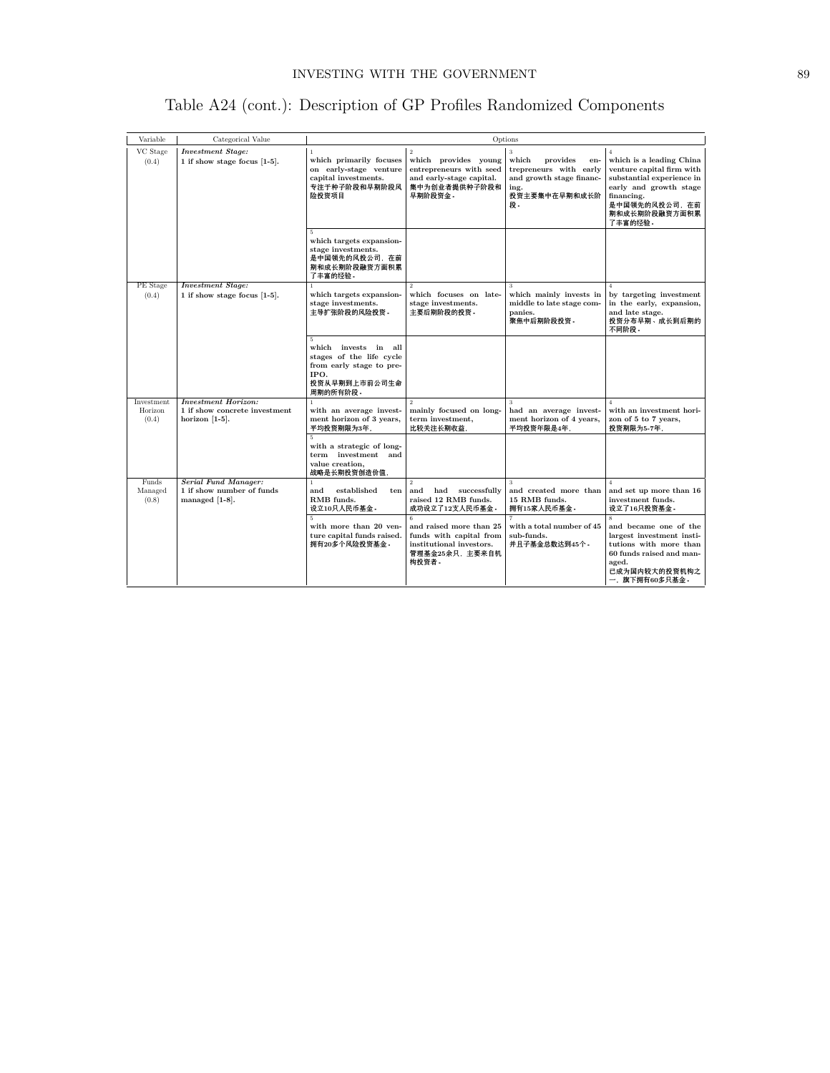| Table A24 (cont.): Description of GP Profiles Randomized Components |  |
|---------------------------------------------------------------------|--|
|---------------------------------------------------------------------|--|

| Variable                       | Categorical Value                                                                | Options                                                                                                                   |                                                                                                                           |                                                                                                                    |                                                                                                                                                                                            |
|--------------------------------|----------------------------------------------------------------------------------|---------------------------------------------------------------------------------------------------------------------------|---------------------------------------------------------------------------------------------------------------------------|--------------------------------------------------------------------------------------------------------------------|--------------------------------------------------------------------------------------------------------------------------------------------------------------------------------------------|
| VC Stage<br>(0.4)              | <b>Investment Stage:</b><br>1 if show stage focus [1-5].                         | $\mathbf{1}$<br>which primarily focuses<br>on early-stage venture<br>capital investments.<br>专注于种子阶段和早期阶段风<br>险投资项目<br>5. | $\overline{2}$<br>which provides young<br>entrepreneurs with seed<br>and early-stage capital.<br>集中为创业者提供种子阶段和<br>早期阶段资金。 | 3<br>which<br>provides<br>en-<br>trepreneurs with early<br>and growth stage financ-<br>ing.<br>投资主要集中在早期和成长阶<br>段。 | $\overline{4}$<br>which is a leading China<br>venture capital firm with<br>substantial experience in<br>early and growth stage<br>financing.<br>是中国领先的风投公司, 在前<br>期和成长期阶段融资方面积累<br>了丰富的经验。 |
|                                |                                                                                  | which targets expansion-<br>stage investments.<br>是中国领先的风投公司,在前<br>期和成长期阶段融资方面积累<br>了丰富的经验。                               |                                                                                                                           | $\mathbf{R}$                                                                                                       |                                                                                                                                                                                            |
| PE Stage<br>(0.4)              | <b>Investment Stage:</b><br>1 if show stage focus [1-5].                         | which targets expansion-<br>stage investments.<br>主导扩张阶段的风险投资。                                                            | $\mathcal{D}_{\alpha}$<br>which focuses on late-<br>stage investments.<br>主要后期阶段的投资。                                      | which mainly invests in<br>middle to late stage com-<br>panies.<br>聚焦中后期阶段投资。                                      | $\overline{4}$<br>by targeting investment<br>in the early, expansion,<br>and late stage.<br>投资分布早期、成长到后期的<br>不同阶段。                                                                         |
|                                |                                                                                  | 5<br>which invests in all<br>stages of the life cycle<br>from early stage to pre-<br>IPO.<br>投资从早期到上市前公司生命<br>周期的所有阶段。    |                                                                                                                           |                                                                                                                    |                                                                                                                                                                                            |
| Investment<br>Horizon<br>(0.4) | <b>Investment Horizon:</b><br>1 if show concrete investment<br>horizon $[1-5]$ . | $\mathbf{1}$<br>with an average invest-<br>ment horizon of 3 years,<br>平均投资期限为3年,                                         | $\overline{2}$<br>mainly focused on long-<br>term investment,<br>比较关注长期收益,                                                | 3<br>had an average invest-<br>ment horizon of 4 years,<br>平均投资年限是4年,                                              | with an investment hori-<br>zon of 5 to 7 years,<br>投资期限为5-7年,                                                                                                                             |
|                                |                                                                                  | 5<br>with a strategic of long-<br>term investment and<br>value creation.<br>战略是长期投资创造价值,                                  |                                                                                                                           |                                                                                                                    |                                                                                                                                                                                            |
| Funds<br>Managed<br>(0.8)      | <b>Serial Fund Manager:</b><br>1 if show number of funds<br>managed $[1-8]$ .    | $\mathbf{1}$<br>established<br>and<br>ten<br>RMB funds.<br>设立10只人民币基金。                                                    | $\overline{2}$<br>and<br>had<br>successfully<br>raised 12 RMB funds.<br>成功设立了12支人民币基金。<br>6.                              | $\overline{\mathbf{3}}$<br>and created more than<br>15 RMB funds.<br>拥有15家人民币基金。                                   | $\overline{4}$<br>and set up more than 16<br>investment funds.<br>设立了16只投资基金。<br>$\mathbf{S}$                                                                                              |
|                                |                                                                                  | with more than 20 ven-<br>ture capital funds raised.<br>拥有20多个风险投资基金。                                                     | and raised more than 25<br>funds with capital from<br>institutional investors.<br>管理基金25余只, 主要来自机<br>构投资者。                | with a total number of 45<br>sub-funds.<br>并且子基金总数达到45个。                                                           | and became one of the<br>largest investment insti-<br>tutions with more than<br>60 funds raised and man-<br>aged.<br>已成为国内较大的投资机构之<br>一,旗下拥有60多只基金。                                        |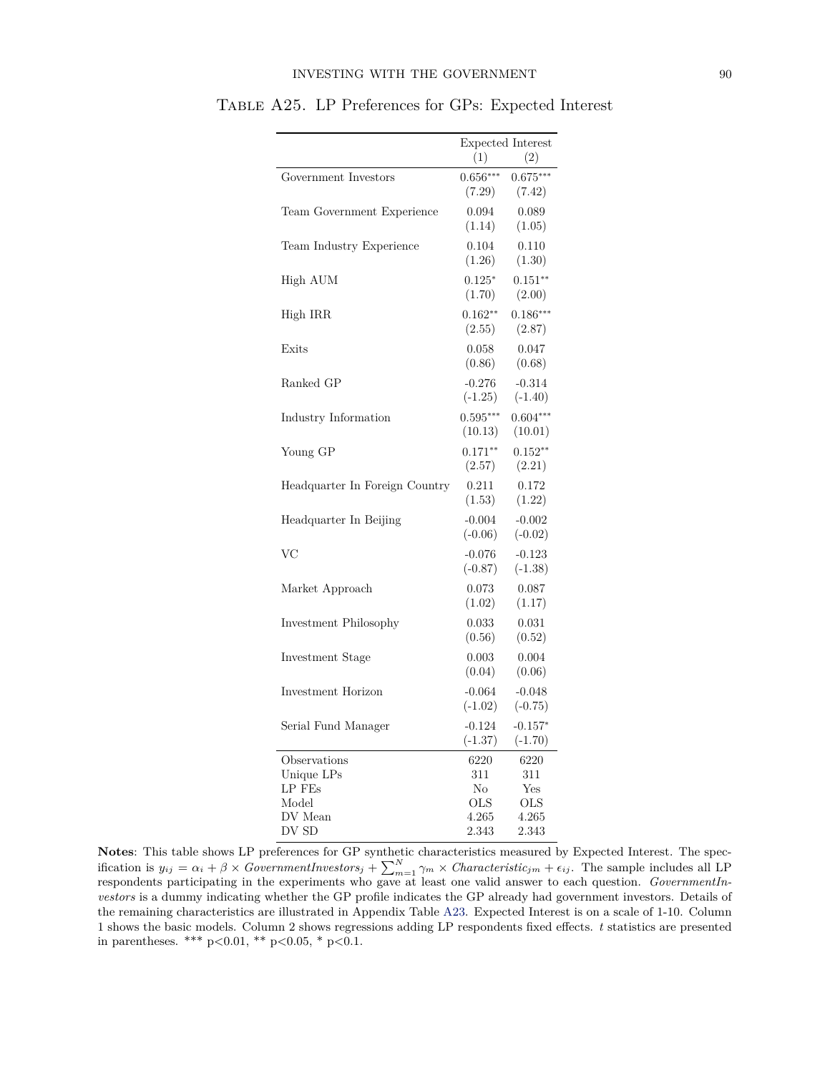|                                |                | Expected Interest |
|--------------------------------|----------------|-------------------|
|                                | (1)            | (2)               |
| Government Investors           | $0.656***$     | $0.675***$        |
|                                | (7.29)         | (7.42)            |
| Team Government Experience     | 0.094          | 0.089             |
|                                | (1.14)         | (1.05)            |
| Team Industry Experience       | 0.104          | 0.110             |
|                                | (1.26)         | (1.30)            |
| High AUM                       | $0.125*$       | $0.151**$         |
|                                | (1.70)         | (2.00)            |
| High IRR                       | $0.162**$      | $0.186***$        |
|                                | (2.55)         | (2.87)            |
| Exits                          | 0.058          | 0.047             |
|                                | (0.86)         | (0.68)            |
| Ranked GP                      | $-0.276$       | $-0.314$          |
|                                | $(-1.25)$      | $(-1.40)$         |
| Industry Information           | $0.595***$     | $0.604***$        |
|                                | (10.13)        | (10.01)           |
| Young GP                       | $0.171**$      | $0.152**$         |
|                                | (2.57)         | (2.21)            |
| Headquarter In Foreign Country | 0.211          | 0.172             |
|                                | (1.53)         | (1.22)            |
| Headquarter In Beijing         | $-0.004$       | $-0.002$          |
|                                | $(-0.06)$      | $(-0.02)$         |
| VC                             | $-0.076$       | $-0.123$          |
|                                | $(-0.87)$      | $(-1.38)$         |
| Market Approach                | 0.073          | 0.087             |
|                                | (1.02)         | (1.17)            |
| Investment Philosophy          | 0.033          | 0.031             |
|                                | (0.56)         | (0.52)            |
| Investment Stage               | 0.003          | 0.004             |
|                                | (0.04)         | (0.06)            |
| Investment Horizon             | $-0.064$       | $-0.048$          |
|                                | $(-1.02)$      | $(-0.75)$         |
| Serial Fund Manager            | $-0.124$       | $-0.157*$         |
|                                | $(-1.37)$      | $(-1.70)$         |
| Observations                   | 6220           | 6220              |
| Unique LPs                     | 311            | 311               |
| LP FEs                         | No             | Yes               |
| Model                          | OLS            | OLS               |
| DV Mean<br>DV SD               | 4.265<br>2.343 | 4.265<br>2.343    |
|                                |                |                   |

Table A25. LP Preferences for GPs: Expected Interest

**Notes**: This table shows LP preferences for GP synthetic characteristics measured by Expected Interest. The specification is  $y_{ij} = \alpha_i + \beta \times GovernmentInvestors_j + \sum_{m=1}^{N} \gamma_m \times Characteristic_{jm} + \epsilon_{ij}$ . The sample includes all LP respondents participating in the experiments who gave at least one valid answer to each question. *GovernmentInvestors* is a dummy indicating whether the GP profile indicates the GP already had government investors. Details of the remaining characteristics are illustrated in Appendix Table [A23.](#page-24-0) Expected Interest is on a scale of 1-10. Column 1 shows the basic models. Column 2 shows regressions adding LP respondents fixed effects. *t* statistics are presented in parentheses. \*\*\* p*<*0.01, \*\* p*<*0.05, \* p*<*0.1.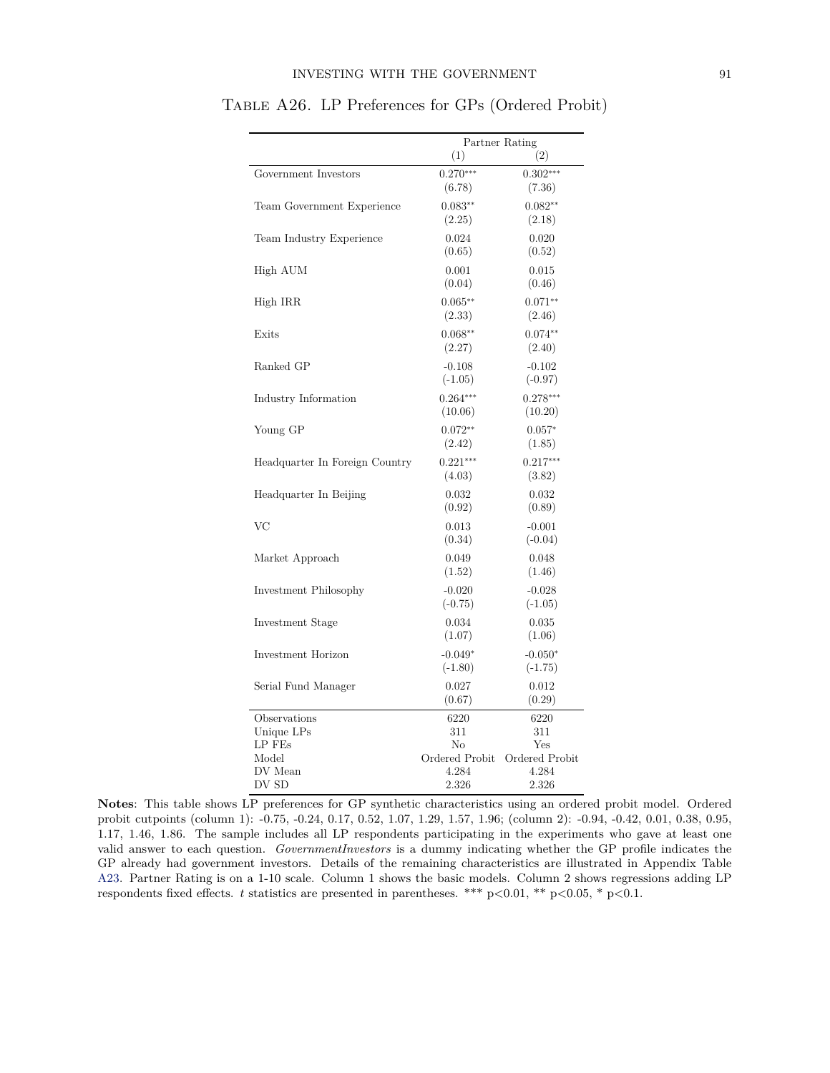|                                | Partner Rating         |                        |  |
|--------------------------------|------------------------|------------------------|--|
|                                | (1)                    | (2)                    |  |
| Government Investors           | $0.270***$<br>(6.78)   | $0.302***$<br>(7.36)   |  |
| Team Government Experience     | $0.083**$<br>(2.25)    | $0.082**$<br>(2.18)    |  |
| Team Industry Experience       | 0.024<br>(0.65)        | 0.020<br>(0.52)        |  |
| High AUM                       | 0.001<br>(0.04)        | 0.015<br>(0.46)        |  |
| High IRR                       | $0.065***$<br>(2.33)   | $0.071**$<br>(2.46)    |  |
| Exits                          | $0.068**$<br>(2.27)    | $0.074**$<br>(2.40)    |  |
| Ranked GP                      | $-0.108$<br>$(-1.05)$  | $-0.102$<br>$(-0.97)$  |  |
| Industry Information           | $0.264***$<br>(10.06)  | $0.278***$<br>(10.20)  |  |
| Young GP                       | $0.072**$<br>(2.42)    | $0.057*$<br>(1.85)     |  |
| Headquarter In Foreign Country | $0.221***$<br>(4.03)   | $0.217***$<br>(3.82)   |  |
| Headquarter In Beijing         | 0.032<br>(0.92)        | 0.032<br>(0.89)        |  |
| VC                             | 0.013<br>(0.34)        | $-0.001$<br>$(-0.04)$  |  |
| Market Approach                | 0.049<br>(1.52)        | 0.048<br>(1.46)        |  |
| Investment Philosophy          | $-0.020$<br>$(-0.75)$  | $-0.028$<br>$(-1.05)$  |  |
| Investment Stage               | 0.034<br>(1.07)        | 0.035<br>(1.06)        |  |
| Investment Horizon             | $-0.049*$<br>$(-1.80)$ | $-0.050*$<br>$(-1.75)$ |  |
| Serial Fund Manager            | 0.027<br>(0.67)        | 0.012<br>(0.29)        |  |
| Observations                   | 6220                   | 6220                   |  |
| Unique LPs                     | 311                    | 311                    |  |
| LP FEs                         | No                     | Yes                    |  |
| Model                          | Ordered Probit         | Ordered Probit         |  |
| DV Mean                        | 4.284                  | 4.284                  |  |
| DV SD                          | 2.326                  | 2.326                  |  |

Table A26. LP Preferences for GPs (Ordered Probit)

**Notes**: This table shows LP preferences for GP synthetic characteristics using an ordered probit model. Ordered probit cutpoints (column 1): -0.75, -0.24, 0.17, 0.52, 1.07, 1.29, 1.57, 1.96; (column 2): -0.94, -0.42, 0.01, 0.38, 0.95, 1.17, 1.46, 1.86. The sample includes all LP respondents participating in the experiments who gave at least one valid answer to each question. *GovernmentInvestors* is a dummy indicating whether the GP profile indicates the GP already had government investors. Details of the remaining characteristics are illustrated in Appendix Table [A23.](#page-24-0) Partner Rating is on a 1-10 scale. Column 1 shows the basic models. Column 2 shows regressions adding LP respondents fixed effects. *t* statistics are presented in parentheses. \*\*\* p*<*0.01, \*\* p*<*0.05, \* p*<*0.1.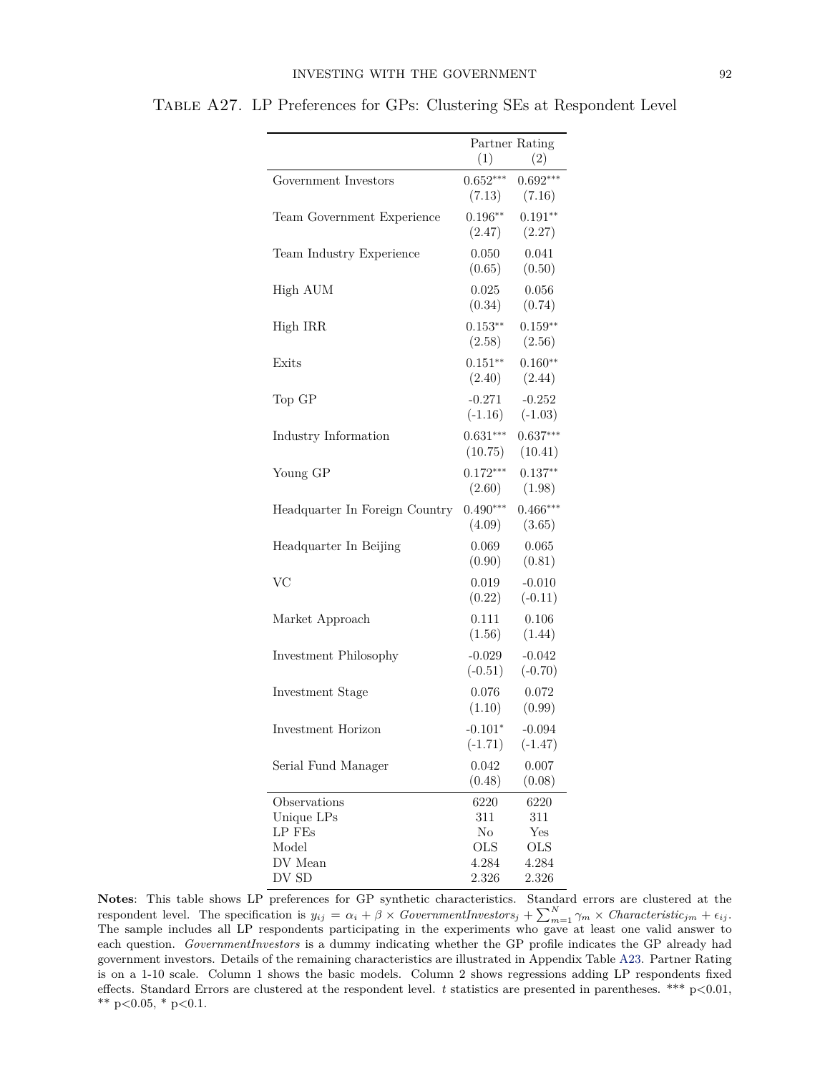|                                | Partner Rating<br>(1)<br>(2) |                       |
|--------------------------------|------------------------------|-----------------------|
| Government Investors           | $0.652***$<br>(7.13)         | $0.692***$<br>(7.16)  |
| Team Government Experience     | $0.196**$<br>(2.47)          | $0.191**$<br>(2.27)   |
| Team Industry Experience       | 0.050<br>(0.65)              | 0.041<br>(0.50)       |
| High AUM                       | 0.025<br>(0.34)              | 0.056<br>(0.74)       |
| High IRR                       | $0.153**$<br>(2.58)          | $0.159**$<br>(2.56)   |
| Exits                          | $0.151**$<br>(2.40)          | $0.160**$<br>(2.44)   |
| Top GP                         | $-0.271$<br>$(-1.16)$        | $-0.252$<br>$(-1.03)$ |
| Industry Information           | $0.631***$<br>(10.75)        | $0.637***$<br>(10.41) |
| Young GP                       | $0.172***$<br>(2.60)         | $0.137**$<br>(1.98)   |
| Headquarter In Foreign Country | $0.490***$<br>(4.09)         | $0.466***$<br>(3.65)  |
| Headquarter In Beijing         | 0.069<br>(0.90)              | 0.065<br>(0.81)       |
| <b>VC</b>                      | 0.019<br>(0.22)              | $-0.010$<br>$(-0.11)$ |
| Market Approach                | 0.111<br>(1.56)              | 0.106<br>(1.44)       |
| Investment Philosophy          | $-0.029$<br>$(-0.51)$        | $-0.042$<br>$(-0.70)$ |
| Investment Stage               | 0.076<br>(1.10)              | 0.072<br>(0.99)       |
| Investment Horizon             | $-0.101*$<br>$(-1.71)$       | $-0.094$<br>$(-1.47)$ |
| Serial Fund Manager            | 0.042<br>(0.48)              | 0.007<br>(0.08)       |
| Observations<br>Unique LPs     | 6220<br>311                  | 6220<br>311           |
| LP FEs                         | No                           | Yes                   |
| Model                          | OLS                          | <b>OLS</b>            |
| DV Mean<br>DV SD               | 4.284<br>2.326               | 4.284<br>2.326        |

Table A27. LP Preferences for GPs: Clustering SEs at Respondent Level

**Notes**: This table shows LP preferences for GP synthetic characteristics. Standard errors are clustered at the respondent level. The specification is  $y_{ij} = \alpha_i + \beta \times GovernmentInvestors_j + \sum_{m=1}^{N} \gamma_m \times Characteristic_{jm} + \epsilon_{ij}$ . The sample includes all LP respondents participating in the experiments who gave at least one valid answer to each question. *GovernmentInvestors* is a dummy indicating whether the GP profile indicates the GP already had government investors. Details of the remaining characteristics are illustrated in Appendix Table [A23.](#page-24-0) Partner Rating is on a 1-10 scale. Column 1 shows the basic models. Column 2 shows regressions adding LP respondents fixed effects. Standard Errors are clustered at the respondent level. *t* statistics are presented in parentheses. \*\*\* p*<*0.01, \*\* p*<*0.05, \* p*<*0.1.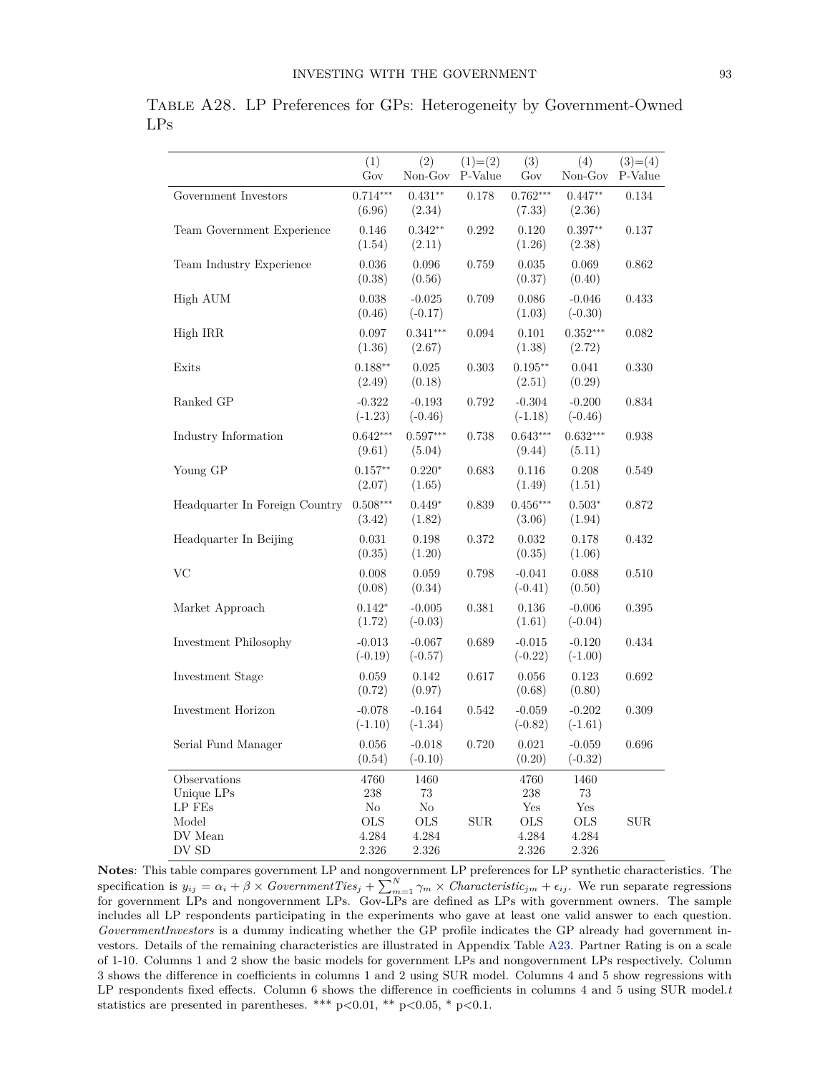|                                                                   | (1)<br>Gov                                  | (2)<br>Non-Gov                                   | $(1)=(2)$<br>P-Value | (3)<br>Gov                                  | (4)<br>$\mbox{Non-Gov}$                    | $(3)=(4)$<br>P-Value |
|-------------------------------------------------------------------|---------------------------------------------|--------------------------------------------------|----------------------|---------------------------------------------|--------------------------------------------|----------------------|
| Government Investors                                              | $0.714***$<br>(6.96)                        | $0.431**$<br>(2.34)                              | 0.178                | $0.762***$<br>(7.33)                        | $0.447**$<br>(2.36)                        | 0.134                |
| Team Government Experience                                        | 0.146<br>(1.54)                             | $0.342**$<br>(2.11)                              | 0.292                | 0.120<br>(1.26)                             | $0.397**$<br>(2.38)                        | 0.137                |
| Team Industry Experience                                          | 0.036<br>(0.38)                             | 0.096<br>(0.56)                                  | 0.759                | 0.035<br>(0.37)                             | 0.069<br>(0.40)                            | 0.862                |
| High AUM                                                          | 0.038<br>(0.46)                             | $-0.025$<br>$(-0.17)$                            | 0.709                | 0.086<br>(1.03)                             | $-0.046$<br>$(-0.30)$                      | 0.433                |
| High IRR                                                          | 0.097<br>(1.36)                             | $0.341***$<br>(2.67)                             | 0.094                | 0.101<br>(1.38)                             | $0.352***$<br>(2.72)                       | 0.082                |
| Exits                                                             | $0.188**$<br>(2.49)                         | 0.025<br>(0.18)                                  | 0.303                | $0.195**$<br>(2.51)                         | 0.041<br>(0.29)                            | 0.330                |
| Ranked ${\rm GP}$                                                 | $-0.322$<br>$(-1.23)$                       | $-0.193$<br>$(-0.46)$                            | 0.792                | $-0.304$<br>$(-1.18)$                       | $-0.200$<br>$(-0.46)$                      | 0.834                |
| Industry Information                                              | $0.642***$<br>(9.61)                        | $0.597***$<br>(5.04)                             | 0.738                | $0.643***$<br>(9.44)                        | $0.632***$<br>(5.11)                       | 0.938                |
| Young GP                                                          | $0.157**$<br>(2.07)                         | $0.220*$<br>(1.65)                               | 0.683                | 0.116<br>(1.49)                             | 0.208<br>(1.51)                            | 0.549                |
| Headquarter In Foreign Country                                    | $0.508***$<br>(3.42)                        | $0.449*$<br>(1.82)                               | 0.839                | $0.456***$<br>(3.06)                        | $0.503*$<br>(1.94)                         | 0.872                |
| Headquarter In Beijing                                            | 0.031<br>(0.35)                             | 0.198<br>(1.20)                                  | 0.372                | 0.032<br>(0.35)                             | 0.178<br>(1.06)                            | 0.432                |
| VC                                                                | 0.008<br>(0.08)                             | 0.059<br>(0.34)                                  | 0.798                | $-0.041$<br>$(-0.41)$                       | 0.088<br>(0.50)                            | 0.510                |
| Market Approach                                                   | $0.142*$<br>(1.72)                          | $-0.005$<br>$(-0.03)$                            | 0.381                | 0.136<br>(1.61)                             | $-0.006$<br>$(-0.04)$                      | 0.395                |
| Investment Philosophy                                             | $-0.013$<br>$(-0.19)$                       | $-0.067$<br>$(-0.57)$                            | 0.689                | $-0.015$<br>$(-0.22)$                       | $-0.120$<br>$(-1.00)$                      | 0.434                |
| Investment Stage                                                  | 0.059<br>(0.72)                             | 0.142<br>(0.97)                                  | 0.617                | 0.056<br>(0.68)                             | 0.123<br>(0.80)                            | 0.692                |
| Investment Horizon                                                | $-0.078$<br>$(-1.10)$                       | $-0.164$<br>$(-1.34)$                            | 0.542                | $-0.059$<br>$(-0.82)$                       | $-0.202$<br>$(-1.61)$                      | 0.309                |
| Serial Fund Manager                                               | 0.056<br>(0.54)                             | $-0.018$<br>$(-0.10)$                            | 0.720                | 0.021<br>(0.20)                             | $-0.059$<br>$(-0.32)$                      | 0.696                |
| Observations<br>Unique LPs<br>LP FEs<br>Model<br>DV Mean<br>DV SD | 4760<br>238<br>No.<br>OLS<br>4.284<br>2.326 | 1460<br>73<br>No<br><b>OLS</b><br>4.284<br>2.326 | <b>SUR</b>           | 4760<br>238<br>Yes<br>OLS<br>4.284<br>2.326 | 1460<br>73<br>Yes<br>OLS<br>4.284<br>2.326 | <b>SUR</b>           |

Table A28. LP Preferences for GPs: Heterogeneity by Government-Owned LPs

**Notes**: This table compares government LP and nongovernment LP preferences for LP synthetic characteristics. The specification is  $y_{ij} = \alpha_i + \beta \times GovernmentTies_j + \sum_{m=1}^{N} \gamma_m \times Characteristic_{jm} + \epsilon_{ij}$ . We run separate regressions for government LPs and nongovernment LPs. Gov-LPs are defined as LPs with government owners. The sample includes all LP respondents participating in the experiments who gave at least one valid answer to each question. *GovernmentInvestors* is a dummy indicating whether the GP profile indicates the GP already had government investors. Details of the remaining characteristics are illustrated in Appendix Table [A23.](#page-24-0) Partner Rating is on a scale of 1-10. Columns 1 and 2 show the basic models for government LPs and nongovernment LPs respectively. Column 3 shows the difference in coefficients in columns 1 and 2 using SUR model. Columns 4 and 5 show regressions with LP respondents fixed effects. Column 6 shows the difference in coefficients in columns 4 and 5 using SUR model.*t* statistics are presented in parentheses. \*\*\* p*<*0.01, \*\* p*<*0.05, \* p*<*0.1.